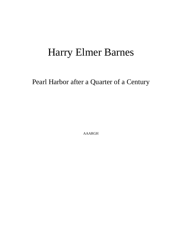# Harry Elmer Barnes

Pearl Harbor after a Quarter of a Century

AAARGH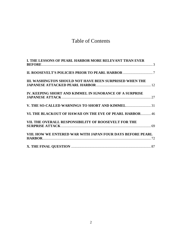# Table of Contents

| I. THE LESSONS OF PEARL HARBOR MORE RELEVANT THAN EVER     |  |
|------------------------------------------------------------|--|
|                                                            |  |
| III. WASHINGTON SHOULD NOT HAVE BEEN SURPRISED WHEN THE    |  |
| IV. KEEPING SHORT AND KIMMEL IN IGNORANCE OF A SURPRISE    |  |
|                                                            |  |
| VI. THE BLACKOUT OF HAWAII ON THE EVE OF PEARL HARBOR 46   |  |
| VII. THE OVERALL RESPONSIBILITY OF ROOSEVELT FOR THE       |  |
| VIII. HOW WE ENTERED WAR WITH JAPAN FOUR DAYS BEFORE PEARL |  |
|                                                            |  |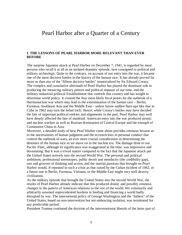# Pearl Harbor after a Quarter of a Century

## **I. THE LESSONS OF PEARL HARBOR MORE RELEVANT THAN EVER BEFORE**

The surprise Japanese attack at Pearl Harbor on December 7, 1941, is regarded by most persons who recall it at all as an isolated dramatic episode, now consigned to political and military archeology. Quite to the contrary, on account of our entry into the war, it became one of the most decisive battles in the history of the human race. It has already proved far more so than any of the "fifteen decisive battles" immortalized by Sir Edward Creasy. The complex and cumulative aftermath of Pearl Harbor has played the dominant role in producing the menacing military pattern and political impasse of our time, and the military-industrial-political Establishment that controls this country and has sought to determine world policy. It created the four most likely focal points for the outbreak of a thermonuclear war which may lead to the extermination of the human race – Berlin, Formosa, Southeast Asia and the Middle East – unless future sudden flare-ups like that in Cuba in 1962 may turn the lethal trick. Hence, while Creasy's battles may have decided the fate of important political entities and alignments in the past, Pearl Harbor may well have deeply affected the fate of mankind. American entry into the war produced atomic and nuclear warfare as well as Russian domination of Central Europe and the triumph of Communist China in Asia.

Moreover, a detailed study of how Pearl Harbor came about provides ominous lessons as to the uncertainties of human judgment and the eccentricities in personal conduct that control the outbreak of wars, an ever more crucial consideration in determining the destinies of the human race as we move on in the nuclear era. The damage done to our Pacific Fleet, although its significance was exaggerated at the time, was impressive and devastating. But it was a trivial matter compared to the fact that the Japanese attack put the United States actively into the second World War. The personal and political ambitions, professional stereotypes, public deceit and mendacity (the credibility gap), ruts and grooves of thinking and action, and the martial passions that brought on Pearl Harbor would, if repeated in such a crisis as that raised by the Cuban incident of 1962, or a future one in Berlin, Formosa, Vietnam, or the Middle East might very well destroy civilization.

As the military episode that brought the United States into the second World War, the results of Pearl Harbor already indicate that this produced drastic and possibly ominous changes in the pattern of American relations to the rest of the world. We voluntarily and arbitrarily assumed unprecedented burdens in feeding and financing a world badly disrupted by war. The international policy of George Washington and the "fathers" of the United States, based on non-intervention but not embracing isolation, was terminated for any predictable period.

President Truman continued the doctrine of the interventionist liberals of the latter part of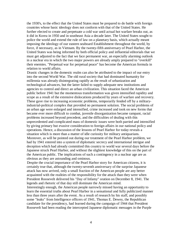the 1930's, to the effect that the United States must be prepared to do battle with foreign countries whose basic ideology does not conform with that of the United States. He further elected to create and perpetuate a cold war until actual hot warfare breaks out, as it did in Korea in 1950 and in southeast Asia a decade later. The United States sought to police the world and extend the rule of law on a planetary basis, which actually meant imposing the ideology of our eastern seaboard Establishment throughout the world, by force, if necessary, as in Vietnam. By the twenty-fifth anniversary of Pearl Harbor, the United States was being informed by both official policy and influential editorials that we must get adjusted to the fact that we face permanent war, an especially alarming outlook in a nuclear era in which the two major powers are already amply prepared to "overkill" their enemies. "Perpetual war for perpetual peace" has become the American formula in relation to world affairs.

Drastic changes in the domestic realm can also be attributed to the impact of our entry into the second World War. The old rural society that had dominated humanity for millennia was already disintegrating rapidly as the result of urbanization and technological advances, but the latter failed to supply adequate new institutions and agencies to control and direct an urban civilization. This situation faced the American public before 1941 but the momentous transformation was given intensified rapidity and scope as a result of the extensive dislocations produced by years of warfare and recovery. These gave rise to increasing economic problems, temporarily fended off by a militaryindustrial-political complex that provided no permanent solution. The social problems of an urban age were enlarged and intensified, crime increased and took on new forms that became ever more difficult to combat, juvenile disorganization became rampant, racial problems increased beyond precedent, and the difficulties of dealing with this unprecedented and complicated mass of domestic issues were both parried and intensified by giving primary but evasive consideration to foreign affairs in our national policy and operations. Hence, a discussion of the lessons of Pearl Harbor for today reveals a situation which is more than a matter of idle curiosity for military antiquarians. Moreover, as will be pointed out during our treatment of the Pearl Harbor problem, we had by 1941 entered into a system of diplomatic secrecy and international intrigue and deception which had already committed this country to world war several days before the Japanese struck Pearl Harbor, and without the slightest knowledge of this on the part of the American public. The implications of such a contingency in a nuclear age are as obvious as they are astounding and ominous.

Despite the crucial importance of the Pearl Harbor story for American citizens, it is certainly true that, although the twenty-seventh anniversary of the surprise Japanese attack has now arrived, only a small fraction of the American people are any better acquainted with the realities of the responsibility for the attack than they were when President Roosevelt delivered his "Day of Infamy" oration on December 8, 1941. The legends and rhetoric of that day still dominate the American mind.

Interestingly enough, the American people narrowly missed having an opportunity to learn the essential truths about Pearl Harbor in a sensational and fully publicized manner less than three years after the event. As a result of research by his staff, and possibly some "leaks" from Intelligence officers of 1941, Thomas E. Dewey, the Republican candidate for the presidency, had learned during the campaign of 1944 that President Roosevelt had been reading the intercepted Japanese diplomatic messages in the Purple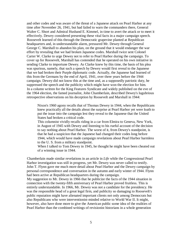and other codes and was aware of the threat of a Japanese attack on Pearl Harbor at any time after November 26, 1941, but had failed to warn the commanders there, General Walter C. Short and Admiral Husband E. Kimmel, in time to avert the attack or to meet it effectively. Dewey considered presenting these vital facts in a major campaign speech. Roosevelt learned of this through the Democratic grapevine planted at Republican headquarters and, in understandable alarm, pressured Mr. Dewey through General George C. Marshall to abandon his plan, on the ground that it would endanger the war effort by revealing that we had broken Japanese codes. Marshall twice sent Colonel Carter W. Clarke to urge Dewey not to refer to Pearl Harbor during the campaign. To cover up for Roosevelt, Marshall has contended that he operated on his own initiative in sending Clarke to importune Dewey. As Clarke knew by this time, the basis of his plea was spurious, namely, that such a speech by Dewey would first reveal to the Japanese that we had broken their Purple diplomatic code. Actually, the Japanese had learned of this from the Germans by the end of April, 1941, over three years before the 1944 campaign. Dewey did not know this at the time and, as a supposedly patriotic duty, he suppressed the speech and the publicity which might have won the election for him. In a column written for the King Features Syndicate and widely published on the eve of the 1964 election, the famed journalist, John Chamberlain, described Dewey's lugubrious retrospective observations on his deception by Roosevelt and Marshall in 1944:

Nixon's 1960 agony recalls that of Thomas Dewey in 1944, when the Republicans knew practically all the details about the surprise at Pearl Harbor yet were loath to put the issue into the campaign lest they reveal to the Japanese that the United States had broken a critical code.

This columnist vividly recalls riding in a car from Elmira to Geneva, New York, in August of 1945 with Dewey and listening to his rueful account of the decision to say nothing about Pearl Harbor. The worst of it, from Dewey's standpoint, is that he had a suspicion that the Japanese had changed their codes long before 1944, which would have made campaign revelations about Pearl Harbor harmless to the U. S. from a military standpoint.

When I talked to Tom Dewey in 1945, he thought he might have been cheated out of a winning issue in 1944.

Chamberlain made similar revelations in an article in *Life* while the Congressional Pearl Harbor investigation was still in progress, yet Mr. Dewey was never called to testify. John T. Flynn gave me much more detail about Pearl Harbor and the Dewey campaign by personal correspondence and conversation in the autumn and early winter of 1944. Flynn had been active at Republican headquarters during the campaign.

My suggestion to Mr. Dewey in 1966 that he publicize the facts of the 1944 situation in connection with the twenty-fifth anniversary of Pearl Harbor proved fruitless. This is entirely understandable. In 1966, Mr. Dewey was not a candidate for the presidency. He was the responsible head of a great legal firm, and publicity so damaging to Roosevelt's public reputation might have alienated important clients not only among Democrats but also Republicans who were interventionist-minded relative to World War II. It might, however, also have done more to give the American public some idea of the realities of Pearl Harbor than the combined writings of revisionist historians in a whole generation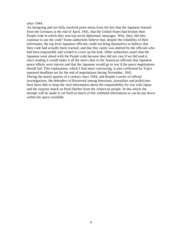#### since 1944.

An intriguing and not fully resolved point stems from the fact that the Japanese learned from the Germans at the end of April, 1941, that the United States had broken their Purple code in which they sent top secret diplomatic messages. Why, then, did they continue to use the code? Some authorities believe that, despite the reliability of their informants, the top level Japanese officials could not bring themselves to believe that their code had actually been cracked, and that this vanity was abetted by the officials who had been responsible and wished to cover up the leak. Other authorities assert that the Japanese went ahead with the Purple code because they did not care if we did read it, since reading it would make it all the more clear to the American officials that Japanese peace efforts were sincere and that the Japanese would go to war if the peace negotiations should fail. This explanation, which I find more convincing, is also confirmed by Tojo's repeated deadlines set for the end of negotiations during November, 1941. During the nearly quarter of a century since 1944, and despite a series of official investigations, the defenders of Roosevelt among historians, journalists and politicians have been able to keep the vital information about the responsibility for war with Japan and the surprise attack on Pearl Harbor from the American people. In this article the attempt will be made to set forth as much of this withheld information as can be put down within the space available.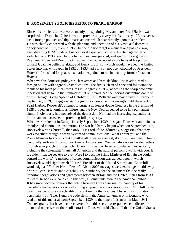#### **II. ROOSEVELT'S POLICIES PRIOR TO PEARL HARBOR**

Since this article is to be devoted mainly to explaining why and how Pearl Harbor was surprised on December 7 1941, we can provide only a very brief summary of Roosevelt's basic foreign policies and diplomatic actions which bear directly upon this problem. He was chiefly concerned with the planning and operation of his New Deal domestic policy down to 1937, even to 1939, but he did not forget armament and possible war, even diverting NRA funds to finance naval expansion, chiefly directed against Japan. In early January, 1933, even before he had been inaugurated, and against the urgings of Raymond Moley and Rexford G. Tugwell, he had accepted as the basis of his policy toward Japan the bellicose altitude of Henry L Stimson which would have led the United States into war with Japan in 1932 or 1933 had Stimson not been checked by President Hoover's firm stand for peace, a situation explained to me in detail by former President Hoover.

Whenever his domestic policy struck reverses and hard sledding Roosevelt turned to foreign policy with aggressive implications. The first such trend appeared following the rebuff to his main political measures in Congress in 1937, as well as the sharp economic recession that began in the Summer of 1937. It produced the inciting quarantine doctrine of his Chicago Bridge Speech of October 5, 1937. With the outbreak of war in Europe in September, 1939, his aggressive foreign policy continued unceasingly until the attack on Pearl Harbor. Roosevelt's attempt to purge a no longer docile Congress in the election of 1938 proved an ignominious failure, and the New Deal appeared to be in a permanent slump. It obviously had not solved the depression. Nor had the increasing expenditures for armament succeeded in providing full prosperity.

When war broke out in Europe in early September, 1939, this gave Roosevelt an ominous impulse and continuous inspiration. The war had hardly begun when, on September 11th, Roosevelt wrote Churchill, then only First Lord of the Admiralty, suggesting that they work together through a secret system of communication: "What I want you and the Prime Minister to know is that I shall at all times welcome it, if you will keep me in touch personally with anything you want me to know about. You can always send sealed letters through your pouch or my pouch." Churchill is said to have responded enthusiastically, including the statement: "I am half American and the natural person to work with you. It is evident that we see eye to eye. Were I to become Prime Minister of Britain we could control the world." A method of secret communication was agreed upon in which Roosevelt would sign himself "Potus" (President of the United States), and Churchill would sign as "Former Naval Person". About 2000 messages were exchanged in this way prior to Pearl Harbor, and Churchill is our authority for the statement that the really important negotiations and agreements between Britain and the United States from 1939 to Pearl Harbor were handled in this way, all quite unknown to the American public. It has since become obvious that while Roosevelt was assuring this country of his peaceful aims he was also actually doing all possible in cooperation with Churchill to get us into war as soon as practicable. In addition to other sources, I have this information personally from Tyler Kent, the code clerk in the American embassy in London, who read all of this material from September, 1939, to the time of his arrest in May, 1941. Two telegrams that have been recovered from this secret correspondence, indicate the tenor and objectives of their collaboration. Roosevelt told Churchill that the United States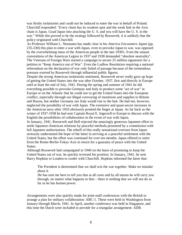was firmly isolationist and could not be induced to enter the war in behalf of Poland. Churchill responded: "Every chain has its weakest spot and the weak link in the Axis chain is Japan. Goad Japan into attacking the U. S. and you will have the U. S. in the war." While this proved to be the strategy followed by Roosevelt, it is unlikely that the policy originated with Churchill.

As Professor William L. Neumann has made clear in his *America Encounters Japan* (pp. 235-230) this plan to enter a war with Japan, even to provoke Japan to war, was opposed by the overwhelming mass of the American people in the late 1930's. Even the annual conventions of the American Legion in 1937 and 1938 demanded "absolute neutrality". The Veterans of Foreign Wars started a campaign to secure 25 million signatures for a petition to "Keep America out of War". Even the Ludlow Resolution requiring a national referendum on the declaration of war only failed of passage because of the tremendous pressure exerted by Roosevelt through influential public figures.

Despite the strong American isolationist sentiment, Roosevelt never really gave up hope of getting the United States into the war after October, 1937, first and directly in Europe until at least the end of July, 1941. During the spring and summer of 1941 he did everything possible to provoke Germany and Italy to produce some "act of war" in Europe or on the Atlantic that he could use to get the United States into the European conflict, especially through our illegal convoying of munitions and supplies to Britain and Russia, but neither Germany nor Italy would rise to the bait. He had not, however, neglected the possibility of war with Japan. The extensive and quasi-secret increases in the American navy after 1933 obviously pointed the finger at Japan. As far back as the winter of 1937-1938 he had sent Captain Royal E. Ingersoll to Europe to discuss with the English the possibilities of collaboration in the event of war with Japan.

In January, 1941, Roosevelt and Hull rejected the amazingly generous Japanese effort to settle Japanese-American relations by peaceful methods presented by a commission with full Japanese authorization. The rebuff of this really sensational overture from Japan seriously undermined the hope of the latter in arriving at a peaceful settlement with the United States, but the effort was continued for over ten months. Japan offered to retire from the Rome-Berlin-Tokyo Axis in return for a guaranty of peace with the United States.

Although Roosevelt had campaigned in 1940 on the basis of promising to keep the United States out of war, he quickly reversed his position. In January, 1941, he sent Harry Hopkins to London to confer with Churchill. Hopkins informed the latter that:

The President is determined that we shall win the war together. Make no mistake about it.

He has sent me here to tell you that at all costs and by all means he will carry you through, no matter what happens to him – there is nothing that we will not do so far as he has human power.

Arrangements were also quickly made for joint-staff conferences with the British to arrange a plan for military collaboration: ABC-1. These were held in Washington from January through March, 1941. In April, another conference was held in Singapore, and this time the Dutch were included to provide for a triangular arrangement: ADB.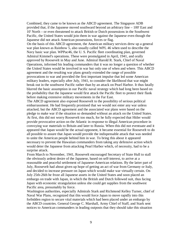Combined, they came to be known as the ABCD agreement. The Singapore ADB provided that, if the Japanese moved southward beyond an arbitrary line – 100' East and 10' North – or even threatened to attack British or Dutch possessions in the Southwest Pacific, the United States would join them in war against the Japanese even though the Japanese did not attack American possessions, forces or flag.

On the basis of this ABCD agreement, the American military services drew up a general war plan known as Rainbow 5, also usually called WPL 46 when used to describe the Navy basic war plan. WPPac46, the U. S. Pacific fleet coordinating plan, governed Admiral Kimmel's operations. These were promulgated in April, 1941, and orally approved by Roosevelt in May and June. Admiral Harold R. Stark, Chief of Naval Operations, informed his leading commanders that it was no longer a question of whether the United States would be involved in war but only one of when and where. This ABCD agreement and the resulting war plans greatly extended the range of possible provocations to war and provided the first important impulse that led some American military leaders, especially after July, 1941, to consider the likelihood that war might break out in the southwest Pacific rather than by an attack on Pearl Harbor. It thus fatally blurred the basic assumption in our Pacific naval strategy which had long been based on the probability that the Japanese would first attack the Pacific fleet to protect their flank before making extensive military movements in the Far East.

The ABCD agreement also exposed Roosevelt to the possibility of serious political embarrassment. He had frequently promised that we would not enter any war unless attacked, but the ABCD agreement and the associated war plans were based on the pledge to make war if the situation so demanded without an attack on the United States. At first, this did not worry Roosevelt too much, for he fully expected that Hitler would provide provocative action on the Atlantic in response to illegal American procedure in convoying war materials to Britain and later to Russia. When this did not eventuate and it appeared that Japan would be the actual opponent, it became essential for Roosevelt to do all possible to assure that Japan would provide the indispensable attack that was needed to unite the American people behind him in war. To bring this about it appeared necessary to prevent the Hawaiian commanders from taking any defensive action which would deter the Japanese from attacking Pearl Harbor which, of necessity, had to be a surprise attack.

From March to November, 1941, Roosevelt encouraged Secretary of State Hull to stall the obviously ardent desire of the Japanese, based on self-interest, to arrive at a reasonable and peaceful settlement of Japanese-American relations. By the latter part of July, Roosevelt had about given up hope of getting an act of war from Germany or Italy, and decided to increase pressure on Japan which would make war virtually certain. On July 25th-26th he froze all Japanese assets in the United States and soon placed an embargo on trade with Japan, in which the British and Dutch followed suit, thus facing Japan with economic strangulation unless she could get supplies from the southwest Pacific area, presumably by force.

Washington authorities, especially Admirals Stark and Richmond Kelley Turner, chief of Naval War Plans, recognized that this would force Japan to move rapidly into this forbidden region to secure vital materials which had been placed under an embargo by the ABCD countries. General George C. Marshall, Army Chief of Staff, and Stark sent notices to American commanders in leading outposts that they should take this situation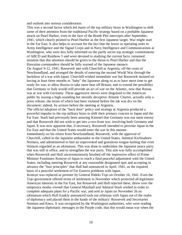and outlook into serious consideration.

This was a second factor which led many of the top military brass in Washington to shift some of their attention from the traditional Pacific strategy based on a probable Japanese attack on Pearl Harbor, even in the face of the Bomb Plot intercepts after September, 1941, which clearly pointed to Pearl Harbor as the first Japanese target. War might start in the Far East. It also helps to account for the fact that the lower or operating units in Army Intelligence and the Signal Corps and in Navy Intelligence and Communications at Washington, who were less fully informed on the partly secret top strategic commitments of ABCD and Rainbow 5 and were devoted to studying the current facts, remained insistent that due attention should be given to the threat to Pearl Harbor and that the Hawaiian commanders should be fully warned of the Japanese menace.

On August 9-12, 1941, Roosevelt met with Churchill at Argentia, off the coast of Newfoundland, and arranged the details of entering the second World War through the backdoor of a war with Japan. Churchill wished immediate war but Roosevelt insisted on having at least three months to "baby" the Japanese along so as to have more time to get ready for war, to allow Russia to take more heat off Britain, and to extend the possibility that Germany or Italy would still provide an act of war on the Atlantic, now that Russia was at war with Germany. These aggressive moves were disguised to the American public by issuing a high-sounding but morally deceptive Atlantic Charter, actually only a press release, the terms of which had been violated before the ink was dry on the document; indeed, by actions before the meeting at Argentia.

The official adoption of the "back door" policy and strategy at Argentia produced a powerful impulse to the top military brass to shift their primary concern to Japan and the Far East. Stark had previously been assuring Kimmel that Germany was our main enemy and that Roosevelt did not wish to get into a two-front war, involving both Germany and Japan. It was now apparent that, if necessary, Roosevelt intended to provoke Japan in the Far East and that the United States would enter the war in this manner.

Immediately on his return from Newfoundland, Roosevelt, with the approval of Churchill, called in the Japanese ambassador to the United States, Admiral Kichisaburo Nomura, and administered to him an unprovoked and gratuitous tongue-lashing that even Stimson regarded as an ultimatum. This was done to undermine the Japanese peace party that was still in office, and to strengthen the war party. This aim was fully accomplished when Roosevelt and Hull unceremoniously brushed off the impressive effort of Prime Minister Fumimaro Konoye of Japan to reach a final peaceful adjustment with the United States, including meeting Roosevelt at any reasonable designated spot and accepting in advance the "four principles" that Hull had announced in April, 1941, as the required basis of a peaceful settlement of Far Eastern problems with Japan.

Konoye was replaced as premier by General Hideki Tojo on October 16, 1941. Even the Tojo government offered terms of settlement in November which protected all legitimate American interests in the Far East, but Roosevelt and Hull rejected these, threw over the temporary *modus vivendi* that General Marshall and Admiral Stark wished in order to complete adequate plans for a Pacific war, and sent to Japan on November 26 an ultimatum which Hull frankly announced took our relations with Japan out of the realm of diplomacy and placed them in the hands of the military: Roosevelt and Secretaries Stimson and Knox. It was recognized by the Washington authorities, who were reading the Japanese diplomatic messages in the Purple code, that this would mean war when the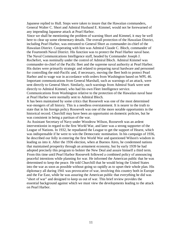Japanese replied to Hull. Steps were taken to insure that the Hawaiian commanders, General Walter C. Short and Admiral Husband E. Kimmel, would not be forewarned of any impending Japanese attack at Pearl Harbor.

Since we shall be mentioning the problem of warning Short and Kimmel, it may be well here to clear up some elementary details. The overall protection of the Hawaiian District, including Pearl Harbor, was entrusted to General Short as commander-in-chief of the Hawaiian District. Cooperating with him was Admiral Claude C. Bloch, commander of the Fourteenth Naval District. His function was to protect the Pearl Harbor naval base. The Naval Communications Intelligence staff, headed by Commander Joseph J. Rochefort, was nominally under the control of Admiral Bloch. Admiral Kimmel was commander-in-chief of the Pacific fleet and the supreme naval authority at Pearl Harbor. His duties were primarily strategic and related to preparing naval hardware and personnel for controlling the mid-Pacific and, if necessary, moving the fleet both to protect Pearl Harbor and to wage war in accordance with orders from Washington based on WPL 46. Important communications from General Marshall, such as warnings of an attack, were sent directly to General Short. Similarly, such warnings from Admiral Stark were sent directly to Admiral Kimmel, who had his own Fleet Intelligence service.

Communications from Washington relative to the protection of the Hawaiian naval base at Pearl Harbor were normally sent to Admiral Bloch.

It has been maintained by some critics that Roosevelt was one of the most determined war-mongers of all history. This is a needless overstatement. It is nearer to the truth to state that in his foreign policy Roosevelt was one of the more notable opportunists in the historical record. Churchill may have been an opportunist on domestic policies, but he was consistent in being a partisan of the war.

As Assistant Secretary of Navy under Woodrow Wilson, Roosevelt was an ardent interventionist in regard to the first World War, and later was a strong supporter of the League of Nations. In 1932, he repudiated the League to get the support of Hearst, which was indispensable if he were to win the Democratic nomination. In his campaign of 1936, he described our folly in entering the first World War and questioned Wilson's wisdom in leading us into it. After the 1936 election, when at Buenos Aires, he condemned nations that maintained prosperity through an armament economy, but by early 1939 he had adopted precisely this program to bolster the New Deal and assure himself a third term. From this time until Pearl Harbor Roosevelt followed a combined policy of announcing peaceful intentions while planning for war. He informed the American public that he was determined to keep the peace. He told Churchill that he would bring the United States into the war as soon as possible without going so rapidly as to upset their whole plan. His diplomacy all during 1941 was provocative of war, involving this country both in Europe and the Far East, while he was assuring the American public that everything he did was "short of war" and designed to keep us out of war. This brief review provides the essential background against which we must view the developments leading to the attack on Pearl Harbor.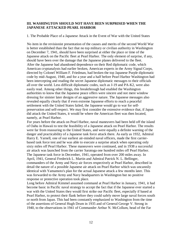# **III. WASHINGTON SHOULD NOT HAVE BEEN SURPRISED WHEN THE JAPANESE ATTACKED PEARL HARBOR**

1. The Probable Place of a Japanese Attack in the Event of War with the United States

No item in the revisionist presentation of the causes and merits of the second World War is better established than the fact that no top military or civilian authority in Washington on December 7, 1941, should have been surprised at either the place or time of the Japanese attack on the Pacific fleet at Pearl Harbor. The only element of surprise, if any, should have been over the damage that the Japanese planes delivered to the fleet. After the Japanese had abandoned dependence on their Red diplomatic code, which American cryptanalysts had earlier broken, American experts in the Army Signal Corps, directed by Colonel William F. Friedman, had broken the top Japanese Purple diplomatic code by mid-August, 1940, and for a year and a half before Pearl Harbor Washington had been intercepting and reading the secret Japanese diplomatic messages to their officials all over the world. Less difficult diplomatic codes, such as J-19 and PA-K2, were also easily read. Among other things, this breakthrough had enabled the Washington authorities to know that the Japanese peace offers were sincere and not mere window dressing for sinister later designs of an aggressive nature. The Japanese messages also revealed equally clearly that if even extreme Japanese efforts to reach a peaceful settlement with the United States failed, the Japanese would go to war for selfpreservation and self-respect. We may first consider the extensive evidence that, if Japan did attack the United States, it would be where the American fleet was then located, namely, at Pearl Harbor.

For years before the attack on Pearl Harbor, naval maneuvers had been held off the island of Oahu in Hawaii to test the feasibility of a Japanese attack on Pearl Harbor. The results were far from reassuring to the United States, and were equally a definite warning of the danger and practicability of a Japanese task force attack there. As early as 1932, Admiral Harry E. Yarnell, one of our earliest air-minded naval officers, made the first carrierbased task force test and he was able to execute a surprise attack when operating only sixty miles off Pearl Harbor. These maneuvers were continued, and in 1938 a successful air attack was launched from the carrier Saratoga one hundred miles off Pearl Harbor. The Japanese task force in December, 1941, operated from over 200 miles away. In April, 1941, General Frederick L. Martin and Admiral Patrick N. L. Bellinger, commanders of the Army and Navy air forces respectively at Pearl Harbor, described in detail the nature of a possible Japanese air attack on Pearl Harbor which was uncannily identical with Yamamoto's plan for the actual Japanese attack a few months later. This was forwarded to the Army and Navy headquarters in Washington but no positive response or protective operation took place.

Long before Admiral Kimmel assumed command at Pearl Harbor in January, 1941, it had become basic in Pacific naval strategy to accept the fact that if the Japanese ever started a war with the United States they would first strike our Pacific fleet, especially if based at Pearl Harbor, to protect their flank before they could safely move large naval forces south or north from Japan. This had been constantly emphasized to Washington from the time of the assertions of General Hugh Drum in 1935 and of General George V. Strong in 1940, to the observations in 1941 of Commander Arthur N. McCollum, head of the Far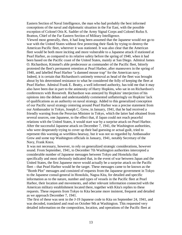Eastern Section of Naval Intelligence, the man who had probably the best informed conceptions of the naval and diplomatic situation in the Far East, with the possible exception of Colonel Otis K. Sadtler of the Army Signal Corps and Colonel Rufus S. Bratton, Chief of the Far Eastern Section of Military Intelligence.

Viewed most generally, then, it had long been assumed that the Japanese would not go to war with the United States without first protecting their flank by trying to destroy the American Pacific fleet, wherever it was stationed. It was also clear that the American fleet would be both more inciting and more vulnerable to a Japanese attack if stationed at Pearl Harbor, as compared to its relative safety before the spring of 1940, when it had been based on the Pacific coast of the United States, mainly at San Diego. Admiral James O. Richardson, Kimmel's able predecessor as commander of the Pacific fleet, bitterly protested the fleet's permanent retention at Pearl Harbor, after maneuvers in the spring of 1940, and labelled Pearl Harbor "a damned mouse trap" for the American navy. Indeed, it is certain that Richardson's untimely removal as head of the fleet was brought about by his determined resistance to what he considered the folly of keeping the fleet at Pearl Harbor. Admiral Frank E. Beatty, a well informed authority, has told me that it may also have been due in part to the animosity of Harry Hopkins, who sat in on Richardson's conferences with Roosevelt. Richardson was annoyed by Hopkins' interjection of his opinions into the debate and understandably commented unflatteringly on Hopkins' lack of qualifications as an authority on naval strategy. Added to this generalized conception of our Pacific naval strategy centering around Pearl Harbor was a precise statement from our Ambassador in Tokyo, Joseph C. Grew, in January, 1941, that he had received a friendly warning from the Peruvian Minister in Tokyo, which the latter had obtained from several sources, one Japanese, to the effect that, if Japan could not reach peaceful relations with the United States, it would start war by a surprise attack on Pearl Harbor. After the successful Japanese attack on December 7, 1941, the Washington authorities, who were desperately trying to cover up their bad guessing or actual guilt, tried to represent this warning as worthless hearsay, but it was not so regarded by Ambassador Grew and some top Washington officials in January, 1941, notably Secretary of the Navy, Frank Knox.

It was not necessary, however, to rely on generalized strategic considerations, however sound. From September, 1941, to December 7th Washington authorities intercepted a considerable number of Japanese messages between Tokyo and Honolulu that specifically and most obviously indicated that, in the event of war between Japan and the United States, the first Japanese move would actually be a surprise attack on the Pacific fleet – that Pearl Harbor would be the target. These messages came to be known as the "Bomb Plot" messages and consisted of requests from the Japanese government in Tokyo to the Japanese consul-general in Honolulu, Nagoa Kita, for detailed and specific information as to the nature, number and types of vessels in the Pacific fleet at Pearl Harbor, their location and movements, and other relevant information connected with the American military establishment located there, together with Kita's replies to these requests. These requests from Tokyo to Kita became more insistent, frequent and detailed as we approach December 7, 1941.

The first of these was sent in the J-19 Japanese code to Kita on September 24, 1941, and was decoded, translated and read on October 9th at Washington. This requested very detailed information on the composition, location, and operations of the Pacific fleet at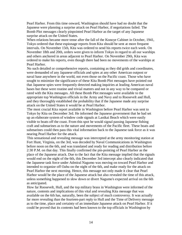Pearl Harbor. From this time onward, Washington should have had no doubt that the Japanese were planning a surprise attack on Pearl Harbor, if negotiations failed. The Bomb Plot messages clearly pinpointed Pearl Harbor as the target of any Japanese surprise attack on the United States.

When relations became more tense after the fall of the Konoye Cabinet in October, 1941, Tokyo ordered that these espionage reports from Kita should be sent at more frequent intervals. On November 15th, Kita was ordered to send his reports twice each week. On November 18th and 20th, orders were given to inform Tokyo in regard to all our warships and others anchored in areas adjacent to Pearl Harbor. On November 29th, Kita was ordered to make his reports, even though there had been no movements of the warships at Pearl Harbor.

No such detailed or comprehensive reports, containing as they did grids and coordinates, were demanded of any Japanese officials and spies at any other American outpost or naval base anywhere in the world, not even those on the Pacific coast. Those who have sought to minimize the significance of these Kita Bomb Plot messages have pointed out that Japanese spies were frequently detected making inquiries at leading American naval bases but these were routine and trivial matters and not in any way to be compared or rated with the Kita messages. All these Bomb Plot messages were available to the appropriate top Washington officials in the Army and Navy and to Roosevelt and Hull, and they thoroughly established the probability that if the Japanese made any surprise attack on the United States it would be at Pearl Harbor.

The most crucial Kita report available in Washington before Pearl Harbor was sent to Tokyo by Kita on December 3rd. He informed the Japanese government that he had set up an elaborate system of window code signals at Lanikai Beach which were easily visible to boats off the coast. From this spot he would signal passing Japanese fishing craft and submarines as to the nature and movements of the Pacific fleet. These boats and submarines could then pass this vital information back to the Japanese task force as it was nearing Pearl Harbor for the attack.

This sensational and revealing message was intercepted at the army monitoring station at Fort Hunt, Virginia, on the 3rd, was decoded by Naval Communications in Washington before noon on the 6th, and was translated and ready for reading and distribution before 2:30 P.M. on that day. This finally confirmed the pin-pointing of Pearl Harbor as the place of the Japanese attack. Due to the fact that the Kita message implied that the signals would end on the night of the 6th, this December 3rd intercept also clearly indicated that the Japanese task force under Admiral Nagumo was moving on toward Pearl Harbor and intended to organize off Oahu on the night of the 6th, and make ready for the attack on Pearl Harbor the next morning. Hence, this message not only made it clear that Pearl Harbor would be the place of the Japanese attack but also revealed the time of this attack, unless something happened to slow down or divert Nagumo's expected arrival on the 6th as anticipated.

How far Roosevelt, Hull, and the top military brass in Washington were informed of the nature, contents and implications of this vital and revealing Kita message that was available on the 6th has, naturally, been the subject of much controversy. It was actually far more revealing than the fourteen-part reply to Hull and the Time of Delivery message as to the time, place and certainty of an immediate Japanese attack on Pearl Harbor. If it could be proved that its contents had been known to the top officials in Washington by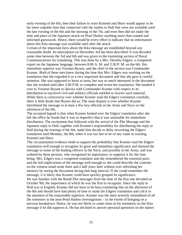early evening of the 6th, then their failure to warn Kimmel and Short would appear to be far more culpable than that connected with the replies to Hull that were not available until the late evening of the 6th and the morning of the 7th, and even then did not make the time and place of the Japanese attack on Pearl Harbor anything more than trained and informed guesswork. Hence, there would be every effort to indicate that no information about this Kita message was available until after the attack.

Certain of the important facts about the Kita message are established beyond any reasonable doubt. Its interception on December 3rd has been described. It was decoded some time between the 3rd and 6th and was given to the translating section of Naval Communications for translating. This was done by a Mrs. Dorothy Edgers, a competent expert on the Japanese language, between 8:00 A. M. and 2:30 P. M. on the 6th. Her immediate superior was Yeoman Bryant, and the chief of the section was Commander Kramer. Both of these men knew during the time that Mrs. Edgers was working on the translation that she regarded it as a very important document and that she gave it careful attention. She was supposed to leave at noon, but was so much interested in the document that she worked until after 2:00 P.M. to complete and revise her translation. She handed it over to Yeoman Bryant to discuss with Commander Kramer with respect to its distribution to top-level civil and military officials entitled to receive such material. While there is controversy over whether Kramer read the Edgers' translation carefully, there is little doubt that Bryant did so. The main dispute is over whether Kramer distributed the message to at least a few key officials in the Army and Navy on the afternoon of the 6th.

The accepted legend is that when Kramer looked over the Edgers' translation after she left the office he found that it was so imperfect that it was unsuitable for immediate distribution. The excitement that followed with the arrival of the Plot Message and the Japanese reply to Hull, together with Kramer's responsibility for distributing the reply to Hull during the evening of the 6th, made him decide to delay reworking the Edgers' translation until Monday, the 8th, when it was too late to be of any value in warning Kimmel and Short.

The circumstantial evidence tends to support the probability that Kramer read the Edgers' translation well enough to recognize its great and immediate significance and showed the message to some of the leading officers in the Navy, and possibly in the Army, and was ordered by these persons, who recognized its importance, to suppress it for the time being. Mrs. Edgers was a competent translator and she remembered the essential parts and the full implications of the message well enough so she could describe the contents on the witness-stand some three and a half years later without ever refreshing her memory by seeing the document during that long interval. If she could remember the message, it is likely that Kramer could have quickly grasped its significance. He was familiar with the Bomb Plot messages from the time of the first one decoded on October 9th, the importance of which he was the first to recognize. Since the reply to Hull was in English, Kramer did not have to be busy translating this on the afternoon of the 6th and should have had plenty of time to study the Edgers' translation and call it to the attention of his responsible superiors. Kramer was the most severely intimidated of all the witnesses in the post-Pearl Harbor investigations – to the extent of bringing on a nervous breakdown. Hence, he was not likely to come clean in his testimony on the Kita message if he did suppress it. He has declined to answer personal questions on the matter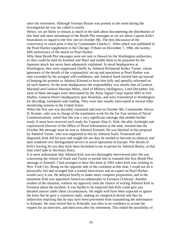since his retirement. Although Yeoman Bryant was present in the room during the investigation he was not called to testify.

Hence, we are likely to remain as much in the dark about documenting the distribution of this final and most sensational of the Bomb Plot messages as we are about Captain Kirk's frustrations in regard to the first one on October 9th. The best discussion of the controversy to reach print is that by Commander Charles C. Hiles which was published in the Pearl Harbor supplement to the Chicago *Tribune* on December 7, 1966, the twentyfifth anniversary of the attack on Pearl Harbor.

Why these Bomb Plot messages were not sent to Hawaii by the Washington authorities, so they could be used by Kimmel and Short and enable them to be prepared for the Japanese attack has never been adequately explained. In naval headquarters at Washington, they were suppressed chiefly by Admiral Richmond Kelley Turner, whose ignorance of the details of the cryptanalytic set-up and operations at Pearl Harbor was only exceeded by his arrogant self-confidence, and Admiral Stark backed him up instead of keeping his promise to Admiral Kimmel to have him fully and speedily informed on all such matters. At the army headquarters the responsibility was mainly that of General Marshall and General Sherman Miles, chief of Military Intelligence. Until December 3rd, most of these messages were intercepted by the Army Signal Corps station MS5 at Fort Shafter, General Short's headquarters near Honolulu, and were transmitted to Washington for decoding, translation and reading. They were also usually intercepted at several other monitoring stations in the United States.

When the first one was decoded, translated and read on October 9th, Commander Alwyn D. Kramer, who was in charge of the translation work for the Far East section of Naval Communications, noted that this was a very significant message that needed further study. It must have received such study for Captain Alan G. Kirk, the able, forthright and experienced Director of the Office of Naval Information at the time, insisted that the October 9th message must be sent to Admiral Kimmel. He was blocked in this proposal by Admiral Turner, who was supported in this by Admiral Stark. Frustrated and disgusted, Kirk left his post and sought the sea duty he needed to become an admiral, and later rendered very distinguished service in naval operations in Europe. The details of Kirk's leaving for sea duty have been furnished to me in person by Admiral Beatty, at that time chief aide to Secretary Knox.

It is most unfortunate that Admiral Kirk was not thoroughly interviewed after the war concerning the refusal of Stark and Turner to permit him to transmit this first Bomb Plot message to Kimmel. I had arranged to have this done in 1962 when Kirk was residing in New York City. Being on the opposite side of the continent at this time, I could not do it personally, but had arranged that a trained interviewer and an expert on Pearl Harbor would carry it out. He delayed briefly to make more complete preparation, and in the meantime Kirk was appointed American ambassador to Formosa (Taiwan). Another student of the situation, without my approval, took the chance of writing Admiral Kirk in Formosa about the incident. It was hardly to be expected that Kirk could give any detailed answer under these circumstances. He might well have been expected to ignore the letter but he gave a courteous reply, making no categorical denial and thus by indirection implying that he may have been prevented from transmitting the information to Kimmel. He soon retired due to ill-health, was then in no condition to accept the request for an interview, and died soon after his retirement. This ended the possibility of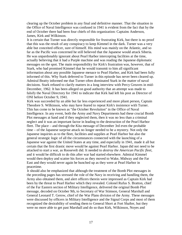clearing up the October problem in any final and definitive manner. That the situation in the Office of Naval Intelligence was confused in 1941 is evident from the fact that by the end of October there had been four chiefs of this organization: Captains Anderson, James, Kirk and Wilkinson.

It is certain that Turner was directly responsible for frustrating Kirk, but there is no proof that this was the result of any conspiracy to keep Kimmel in the dark. Turner was a very able but conceited officer, sure of himself. His mind was mainly on the Atlantic, and so far as the Pacific was concerned he still believed that the Japanese would attack Siberia. He was unpardonably ignorant about Pearl Harbor intercepting facilities at the time, actually believing that it had a Purple machine and was reading the Japanese diplomatic messages on the spot. The main responsibility for Kirk's frustration was, however, that of Stark, who had promised Kimmel that he would transmit to him all significant information about any possible Japanese menace to Pearl Harbor, and Kirk had been fully informed of this. Why Stark deferred to Turner in this episode has never been cleared up. Admiral Beatty informed me that Turner often dominated Stark in the matter of naval decisions. Stark refused to clarify matters in a long interview with Percy Greaves in mid-December, 1962. It has been alleged on good authority that an attempt was made to falsify the Naval Directory for 1941 to indicate that Kirk had left his post as Director of ONI before October 9, 1941.

Kirk was succeeded by an able but far less experienced and more pliant person, Captain Theodore S. Wilkinson, who may have feared to repeat Kirk's insistence with Turner. This has come to be known as "the October Revolution" in the Office of Naval Intelligence. In any event, both the Army and Navy Departments had these crucial Bomb Plot messages at hand and if they neglected them, then it was no less than a criminal neglect and it was an important factor in leading to the destruction of the Pearl Harbor fleet. The place – and through the Kita message of December 3rd even the probable time – of the Japanese surprise attack no longer needed to be a mystery. Not only the Japanese inquiries as to the fleet, facilities and supplies at Pearl Harbor but also the general strategic logic of all the circumstances connected with the launching of a Japanese war against the United States at any time, and especially in 1941, made it all but certain that the first drastic move would be against Pearl Harbor. Japan did not need to be attacked to start a war, as Roosevelt did. It needed to *destroy the American Pacific fleet*, and it would be difficult to do this after war had started elsewhere. Admiral Kimmel would then deploy and scatter his forces as they moved to Wake, Midway and the Far East and they would never again be bunched up as they were at Pearl Harbor in peacetime.

It should also be emphasized that although the treatment of the Bomb Plot messages in the preceding pages has stressed the role of the Navy in receiving and handling them, the Army also obtained them, and alert officers therein were impressed as Captain Kirk had been by the threat to Pearl Harbor which they revealed. Colonel Rufus S. Bratton, chief of the Far Eastern section of Military Intelligence, delivered the original Bomb Plot message, decoded on October 9th, to Secretary of War Stimson, General Marshall and General Leonard T. Gerow, chief of the War Plans division of the Army. These messages were discussed by officers in Military Intelligence and the Signal Corps and most of them recognized the desirability of sending them to General Short at Fort Shafter, but they were no more able to get past Marshall and do so than Kirk, Wilkinson, Noyes and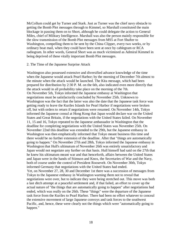McCollum could get by Turner and Stark. Just as Turner was the chief navy obstacle to getting the Bomb Plot messages through to Kimmel, so Marshall constituted the main blockage in passing them on to Short, although he could delegate the action to General Miles, chief of Military Intelligence. Marshall was also the person mainly responsible for the slow transmission of the Bomb Plot messages from MS5 at Fort Shafter to Washington, compelling them to be sent by the China Clipper, every two weeks, or by ordinary boat mail, when they could have been sent at once by cablegram or RCA radiogram. In other words, General Short was as much victimized as Admiral Kimmel in being deprived of these vitally important Bomb Plot messages.

#### 2. The Time of the Japanese Surprise Attack

Washington also possessed extensive and diversified advance knowledge of the time when the Japanese would attack Pearl Harbor; by the morning of December 7th almost to the minute when the attack would be launched. The Kita message, which had been prepared for distribution by 2:30 P. M. on the 6th, also indicated even more directly that the attack would in all probability take place on the morning of the 7th. On November 5th, Tokyo informed the Japanese embassy at Washington that negotiations must be satisfactorily concluded by November 25th. Unknown to Washington was the fact that the latter was also the date that the Japanese task force was getting ready to leave the Kuriles Islands for Pearl Harbor if negotiations were broken off, but with orders to return if negotiations were resumed. On November 14th, Tokyo informed the Japanese consul at Hong Kong that Japan would declare war on the United States and Great Britain, if the negotiations with the United States failed. On November 11, 15 and 16, Tokyo repeated to the Japanese ambassador in Washington that the deadline for completing negotiations with the United States was November 25th. On November 22nd this deadline was extended to the 29th, but the Japanese embassy in Washington was then emphatically informed that Tokyo meant business this time and there would be no further extension of the deadline. After that "things are automatically going to happen." On November 27th and 28th, Tokyo informed the Japanese embassy in Washington that Hull's ultimatum of November 26th was entirely unsatisfactory and Japan would not negotiate any further on that basis. Hull himself had said on the 27th that he knew his ultimatum meant war and that henceforth, affairs between the United States and Japan were in the hands of Stimson and Knox, the Secretaries of War and the Navy, both of course under the control of President Roosevelt. On November 30th, Tokyo informed Germany that negotiations with the United States had ended. Yet, on November 27, 28, 30 and December 1st there was a succession of messages from Tokyo to the Japanese embassy in Washington warning them not to reveal that negotiations were over, but to indicate they were being stretched out. This move was both a last ditch attempt at a peaceful settlement and, if that failed, an effort to cover up the actual nature of "the things that are automatically going to happen" after negotiations had ended, which was really on the 26th. These "things" were the departure of the Japanese task force from the Kuriles to Pearl Harbor. There had been no effort whatever to conceal

the extensive movement of large Japanese convoys and task forces to the southwest Pacific, and, hence, these were clearly not the things which were "automatically going to happen."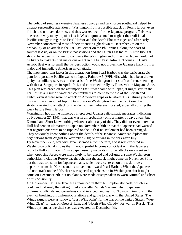The policy of sending extensive Japanese convoys and task forces southward helped to distract responsible attention in Washington from a possible attack on Pearl Harbor, even if it should not have done so, and thus worked well for the Japanese program. This was one reason why many top officials in Washington seemed to neglect the traditional Pacific strategy in regard to Pearl Harbor and the Bomb Plot messages and after early November concentrated most of their attention right down to December 7th on the probability of an attack in the Far East, either on the Philippines, along the coast of southeast Asia, or on the British possessions and the Dutch East Indies. A little thought should have been sufficient to convince the Washington authorities that Japan would not be likely to make its first major onslaught in the Far East. Admiral Thomas C. Hart's Asiatic fleet was so small that its destruction would not protect the Japanese flank from a major and immediate American naval attack.

The most important factor in this distraction from Pearl Harbor was the basic strategic plan for a possible Pacific war with Japan, Rainbow 5 (WPL 46), which had been drawn up by our military services on the basis of the Washington joint staff conferences ending with that at Singapore in April 1941, and confirmed orally by Roosevelt in May and June. This plan was based on the assumption that, if war came with Japan, it might start in the Far East as a result of American commitments to come to the aid of the British and Dutch, even if there were no attack on American ships or territory. This naturally helped to divert the attention of top military brass in Washington from the traditional Pacific strategy related to an attack on the Pacific fleet, wherever located, especially during the week before Pearl Harbor.

Washington had all the numerous intercepted Japanese diplomatic messages indicating by November 27, 1941, that war was in all probability only a matter of days away, but Kimmel and Short knew nothing whatever about any of this. They did not even know that Hull had sent an ultimatum to Japan on November 26th or that the Japanese had warned that negotiations were to be ruptured on the 29th if no settlement had been arranged. They obviously knew nothing about the details of the Japanese-American diplomatic negotiations from August to November 26th; Short was in the dark after July. By November 27th, war with Japan seemed almost certain, and it was expected in Washington official circles that it would probably come coincident with the Japanese reply to Hull's ultimatum. Since Japan usually made its surprise attacks on a weekend, when opposing forces were most likely to be relaxed and off-guard, some Washington authorities, including Roosevelt, thought that the attack might come on November 30th, but that was too soon for Japanese plans, which were centered on the task force's departure from the Kuriles and its movement toward Pearl Harbor. When the Japanese did not attack on the 30th, there was special apprehension in Washington that it might come on December 7th, but no plans were made or steps taken to warn Kimmel and Short of this possibility.

On November 19th, the Japanese announced in their J-19 diplomatic code, which we could and did read, the setting up of a so-called Winds System, which Japanese diplomatic officials and consulates could intercept and learn of Tokyo's intentions in the event of breaking off diplomatic relations and going to war with the United States. The Winds signals were as follows: "East Wind Rain" for the war on the United States; "West Wind Clear" for war on Great Britain; and "North Wind Cloudy" for war on Russia. This Winds system, as we shall see, was executed on December 4th.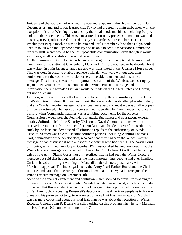Evidence of the approach of war became ever more apparent after November 30th. On December 1st and 2nd it was learned that Tokyo had ordered its main embassies, with the exception of that at Washington, to destroy their main code machines, including Purple, and burn their documents. This was a measure that usually precedes immediate war and is rarely, if ever, otherwise if ordered on any such scale as in December, 1941. The Washington Purple machine was to be retained until December 7th so that Tokyo could keep in touch with the Japanese embassy and be able to send Ambassador Nomura the reply to Hull, which would be the last "peaceful" communication, even though it would also mean, in all probability, the actual onset of war.

On the morning of December 4th a Japanese message was intercepted at the important naval monitoring station at Cheltenham, Maryland. This did not need to be decoded for it was written in plain Japanese language and was transmitted in the Japanese Morse code. This was done in order to enable Japanese officials, who were without decoding equipment after the codes-destruction order, to be able to understand this critical message. This intercept was the all-important execution of the Winds system set up by Japan on November 19th. It is known as the "Winds Execute" message and the information therein revealed that war would be made on the United States and Britain, but not on Russia.

Later on, when the frenzied effort was made to cover up the responsibility for the failure of Washington to inform Kimmel and Short, there was a desperate attempt made to deny that any Winds Execute message had ever been received, and most – perhaps all – copies of it were destroyed. The last copy ever seen was identified by Commander Laurance F. Safford when Commander Kramer was assembling documents for the Roberts Commission a week after the Pearl Harbor attack. But honest and courageous experts, notably Safford, chief of the Security Division of Naval Communications, who had received the intercept from Kramer after translation and handed it over for distribution, stuck by the facts and demolished all efforts to repudiate the authenticity of Winds Execute. Safford was able to list some fourteen persons, including Admiral Thomas C. Hart, commander of the Asiatic fleet, who said that they had seen the Winds Execute message or had discussed it with a responsible official who had seen it. The Naval Court of Inquiry, which met from July to October 1944, established beyond any doubt that the Winds Execute message was received on December 4th. Colonel Otis K. Sadtler, acting chief of the Army Signal Corps, not only testified that he had seen the Winds Execute message but said that he regarded it as the most important intercept he had ever handled. On it he based a forthright warning to Marshall's subordinates, presumably with Marshall's approval. The investigations by the Army Pearl Harbor Board and the Clarke Inquiries indicated that the Army authorities knew that the Navy had intercepted the Winds Execute message on December 4th.

Some of the apparent excitement and confusion which seemed to prevail in Washington military circles on December 4th, when Winds Execute was received, may have been due to the fact that this was also the day that the Chicago *Tribune* published the implications of Rainbow 5, thus revealing Roosevelt's deception of the American people as to his war plans and his promise not to go to war unless attacked. At least we know that Marshall was far more concerned about this vital leak than he was about the reception of Winds Execute. Colonel John R. Deane was still working on this problem when he saw Marshall in his office at 10:00 on the morning of the 7th.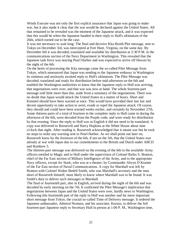Winds Execute was not only the first explicit assurance that Japan was going to make war, but it also made it clear that the war would be declared against the United States. All that remained to be revealed was the moment of the Japanese attack, and it was expected that this would be when the Japanese handed in their reply to Hull's ultimatum of the 26th, which turned out to be the case.

It was not necessary to wait long. The final and decisive Kita Bomb Plot message, sent to Tokyo on December 3rd, was intercepted at Fort Hunt, Virginia, on the same day. By December 6th it was decoded, translated and available for distribution at 2:30 P.M. in the communications section of the Navy Department in Washington. This revealed that the Japanese task force was nearing Pearl Harbor and was expected to arrive off Hawaii by the night of the 6th.

On the heels of processing the Kita message came the so-called Pilot Message from Tokyo, which announced that Japan was sending to the Japanese embassy in Washington its ominous and anxiously awaited reply to Hull's ultimatum. The Pilot Message was decoded, translated and ready for distribution before mid-afternoon on the 6th and enabled the Washington authorities to know that the Japanese reply to Hull was arriving, that negotiations were over, and that war was now at hand. The whole fourteen-part message told little more than this, aside from a summary of the negotiations. There was no doubt that Japan would attack the United States in a matter of hours. Short and Kimmel should have been warned at once. This would have provided their last fair and decent opportunity to take action to avert, evade or repel the Japanese attack. Of course, they should and could have been warned weeks earlier, and certainly by November 27th. Some thirteen parts of a total of fourteen in the complete reply to Hull came in during the afternoon of the 6th, were decoded from the Purple code, and were ready for distribution by that evening. Since the reply to Hull was in English it did not need to be translated. A copy was delivered to Roosevelt and Harry Hopkins at the White House about nine o'clock that night. After reading it, Roosevelt acknowledged that it meant war but he took no steps to order any warning sent to Pearl Harbor. As we shall point out later on, Roosevelt knew by the forenoon of the 6th, if not on the 5th, that the United States was already at war with Japan due to our commitments to the British and Dutch under ABCD and Rainbow 5.

The thirteen-part message was delivered on the evening of the 6th to the available Army officers entitled to Magic and to Hull under the supervision of Colonel Rufus S. Bratton, chief of the Far East section of Military Intelligence of the Army, and to the appropriate Navy officers, except for Stark, who was at a theater, by Commander Alwyn D Kramer of the Far East section of Naval Communications. A copy for Marshall was left by Bratton with Colonel Walter Bedell Smith, who was Marshall's secretary and the man short of Roosevelt himself, most likely to know where Marshall was to be found. It was Smith's duty to deliver such messages to Marshall.

The final or fourteenth part, also in English, arrived during the night of the 6th and was decoded by early morning on the 7th. It confirmed the Pilot Message's implication that negotiations between Japan and the United States were over, hardly news to Washington. Following this fourteenth part of the reply to Hull was another and far more important short message from Tokyo, the crucial so-called Time of Delivery message. It ordered the Japanese ambassador, Admiral Nomura, and his associate, Kurusu, to deliver the full fourteen-part Japanese reply to Secretary Hull in person at 1:00 P. M., Washington time,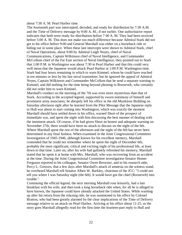#### about 7:30 A. M. Pearl Harbor time.

The fourteenth part was intercepted, decoded, and ready for distribution by 7:30 A.M. and the Time of Delivery message by 9:00 A. M., if not earlier. One authoritative report indicates that both were ready for distribution before 7 00 A. M. They had been received before 5:00 A. M. This does not make too much difference because Admiral Stark did not get to his office before 9:00 and General Marshall was either on a horseback ride or hiding out in some place. When these late intercepts were shown to Admiral Stark, chief of Naval Operations, about 9:00 by Admiral Leigh Noyes, chief of Naval Communications, Captain Wilkinson chief of Naval Intelligence, and Commander McCollum chief of the Far East section of Naval Intelligence, they pointed out to Stark that 1:00 P.M. in Washington was about 7:30 in Pearl Harbor and that this could very well mean that the Japanese would attack Pearl Harbor at 1:00 P.M. Washington time. Stark had four hours remaining in which to warn Kimmel, whom he could have reached in ten minutes or less by his fast naval transmitter, but he ignored the appeal of Admiral Noyes, Captain Wilkinson and Commander McCollum that he send a separate warning to Kimmel, and did nothing for the time being beyond phoning to Roosevelt, who certainly did not order him to warn Kimmel.

Marshall's conduct on the morning of the 7th was even more mysterious than that of Stark. According to the accepted legend, supported by sworn testimony of himself and prominent army associates, he abruptly left his office in the old Munitions Building on Saturday afternoon right after he learned from the Pilot Message that the Japanese reply to Hull was about to start coming into Washington, which was exactly the moment Marshall should have settled down in his office, warned Short of the prospect of immediate war, and spent the night with him discussing the best manner of dealing with the imminent attack. Of course, if he had given Short an honest and adequate warning on November 27th, there would have been no attack to discuss on the night of the 6th. Where Marshall spent the rest of the afternoon and the night of the 6th has never been determined in any final fashion. When examined in the Joint Congressional Committee Investigation of 1945-1946, although known for his excellent memory, Marshall contended that he could not remember where he spent the night of December 6th, probably the most significant, critical and exciting night of his professional life, at least down to that time. Later on, after his wife had gallantly refreshed his memory, Marshall stated that he spent it at home with Mrs. Marshall, who was recovering from an accident at the time. During the Joint Congressional Committee investigation Senator Homer Ferguson reported to his colleague, Senator Owen Brewster, and to his research aide, Percy L. Greaves, that a few days after Marshall's attack of amnesia on the witness stand, he overheard Marshall tell Senator Alben W. Barkley, chairman of the JCC: "I could not tell you where I was Saturday night (the 6th). It would have got the chief (Roosevelt) into trouble."

Continuing the official legend, the next morning Marshall rose leisurely, had a late breakfast with his wife, and then took a long horseback ride when, for all he is alleged to have known, the Japanese could have already attacked the United States. While washing up after his return from the relaxing ride, he was summoned to his office by Colonel Bratton, who had been greatly alarmed by the clear implications of the Time of Delivery message relative to an attack on Pearl Harbor. Arriving at his office about 11:25, so the story goes Marshall allegedly read for the first time the fourteen-part reply to Hull and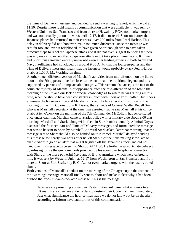the Time of Delivery message, and decided to send a warning to Short, which he did at 11:50. Despite more rapid means of communication that were available, it was sent by Western Union to San Francisco and from there to Hawaii by RCA, not marked urgent, and was not actually put on the wires until 12:17. It did not reach Short until after the Japanese planes had returned to their carriers, over 200 miles from Pearl Harbor. This delay in delivery did not, however, make too much difference, since the message was sent far too late, even if telephoned, to have given Short enough time to have taken effective steps to repel the Japanese attack and it did not even suggest to Short that there was any reason to expect that a Japanese attack might take place immediately. Kimmel and Short thus remained entirely unwarned even after leading experts in both Army and Navy Intelligence had concluded by around 9:00 A. M. that the fourteen-parter and the Time of Delivery messages meant that the Japanese would probably attack Pearl Harbor at about 1:00 P. M., Washington time.

Another much different version of Marshall's activities from mid-afternoon on the 6th to noon on the 7th appears to be far closer to the truth than the traditional legend and it is supported by persons of unimpeachable integrity. This version also accepts the fact of the complete mystery of Marshall's disappearance from the mid-afternoon of the 6th to the morning of the 7th and our lack of precise knowledge as to where he was during all this time, when he should have been constantly in touch with Short at Fort Shafter. But it does eliminate the horseback ride and Marshall's incredibly late arrival at his office on the morning of the 7th. Colonel John R. Deane, then an aide of Colonel Walter Bedell Smith, who was Marshall's secretary at the time, has asserted that he saw Marshall at his office at about ten o'clock on the morning of the 7th. Commander McCollum has twice stated once under oath that Marshall came to Stark's office with a military aide about 9:00 that morning. Marshall and Stark, along with others in Stark's office, notably Admiral Noyes, discussed the fourteen-part and Time of Delivery messages, and formulated the message that was to be sent to Short by Marshall. Admiral Stark asked, later that morning, that the message sent to Short should also be handed on to Kimmel. Marshall delayed sending this message for nearly two hours after he left Stark's office, thus making it too late to enable Short to go on an alert that might frighten off the Japanese attack, and did not hand over his message to be sent to Short until 11:50. He further assured its late delivery by refusing to use the quick methods provided by his scrambler telephone connection with Short or the more powerful Navy and F. B. I. transmitters which were offered to him. It was sent by Western Union at 12:17 from Washington to San Francisco and from there to Short at Fort Shafter by R. C. A., not even marked urgent, with the results noted above.

Both versions of Marshall's conduct on the morning of the 7th agree upon the content of the "warning" message Marshall finally sent to Short and make it clear why it has been dubbed the "too-little-and-too-late" message. This is the message:

Japanese are presenting at one p.m. Eastern Standard Time what amounts to an ultimatum also they are under orders to destroy their Code machine immediately. Just what significance the hour set may have we do not know but be on the alert accordingly. Inform naval authorities of this communication.

Marshall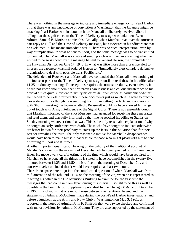There was nothing in the message to indicate any immediate emergency for Pearl Harbor or that there was any knowledge or conviction at Washington that the Japanese might be attacking Pearl Harbor within about an hour. Marshall deliberately deceived Short in telling that the significance of the Time of Delivery message was unknown. Even Admiral Samuel E. Morison admits this. Actually, when Marshall read over the fourteenpart reply to Hull and the Time of Delivery message, his associates in his office state that he exclaimed, "This means immediate war!" There was no such interpretation, even by way of implication, in what he sent to Short, and the same message was to be transmitted to Kimmel. That Marshall was capable of sending a clear and incisive warning when he wished to do so is shown by the message he sent to General Herron, the commander of the Hawaiian District, on June 17, 1940. In what was little more than a practice alert to impress the Japanese Marshall ordered Herron to: "Immediately alert complete defensive organization to deal with possible trans-Pacific raid."

The defenders of Roosevelt and Marshall have contended that Marshall knew nothing of the fourteen-parter or the Time of Delivery messages until he read these in his office after 11:25 on Sunday morning. To accept this requires the utmost credulity, even naivete. If he did not know about them, then this proves carelessness and callous indifference to his official duties quite sufficient to justify his dismissal from office as Army chief-of-staff. He needed to be well informed about these documents just as much if he were to practice clever deception as though he were doing his duty in getting the facts and cooperating with Short in meeting the Japanese attack. Roosevelt would not have allowed him to get out of touch with Army Intelligence or the Signal Corps. There is no reasonable doubt that Marshall, informed of the Pilot Message, had arranged for receiving these messages, had read them, and was fully informed by the time he reached his office or Stark's on Sunday morning whatever time that was. This is the only reasonable explanation of why he sought an early conference with Stark. Those who have sought to indicate otherwise are better known for their proclivity to cover up the facts in this situation than for their zest for revealing the truth. The only reasonable motive for Marshall's disappearance would have been to make himself inaccessible to those who might plead with him to send a warning to Short and Kimmel.

Another important qualification bearing on the validity of the traditional account of Marshall's conduct on the morning of December 7th has been pointed out by Commander Hiles. He made a very careful estimate of the time which would have been required for Marshall to have done all the things he is stated to have accomplished in the twenty-five minutes between 11:25 and 11:50 in his office on the morning of December 7th, and conservatively concluded that it would have required at least two hours. There is no space here to go into the complicated question of where Marshall was from mid-afternoon of the 6th until 11:25 on the morning of the 7th, when he is represented as reaching his office in the Old Munitions Building to examine for the first time the messages that had come in from Japan during this interval. I sought to do this as well as

possible in the Pearl Harbor Supplement published by the Chicago *Tribune* on December 7, 1966. It is obvious that one must choose between the traditional legend and the statements of Admiral McCollum, made during the post-Pearl Harbor investigations, and before a luncheon at the Army and Navy Club in Washington on May 3, 1961, as reported in the notes of Admiral John F. Shafroth that were twice checked and confirmed with minor revisions by Admiral McCollum. They are also supported by the statement of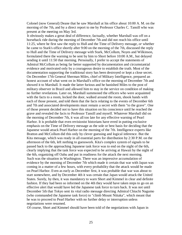Colonel (now General) Deane that he saw Marshall at his office about 10:00 A. M. on the morning of the 7th, and by a direct report to me by Professor Charles C. Tansill who was present at the meeting on May 3rd.

It obviously makes a great deal of difference, factually, whether Marshall was off on a horseback ride during the morning of December 7th and did not reach his office until 11:25, where he first saw the reply to Hull and the Time of Delivery message, *or* whether he came to Stark's office shortly after 9:00 on the morning of the 7th, discussed the reply to Hull and the Time of Delivery message with Stark, McCollum, Noyes and Wilkinson, formulated there the warning to be sent by him to Short before 10:00 A.M., but delayed sending it until 11:50 that morning. Personally, I prefer to accept the statements of Admiral McCollum as being far better supported by documentation and circumstantial evidence and motivated only by a courageous desire to establish the truth. Most of the documentation supporting the traditional story has been destroyed or kept a close secret. On December 17th General Sherman Miles, chief of Military Intelligence, prepared an honest account of what went on in Marshall's office on the morning of December 7th and showed it to Marshall. It made the latter furious and he banished Miles to the post of military observer in Brazil and allowed him to stay in the service on condition of making no further revelations. Later on, Marshall summoned the officers who were acquainted with the facts to a room, locked the door, walked around the room, shook hands with each of those present, and told them that the facts relating to the events of December 6th and 7th and associated developments must remain a secret with them "to the grave". One of those present decided not to have this situation on his conscience until he reached the grave and revealed the facts to Professor Tansill and myself. Whatever Marshall did on the morning of December 7th, it was all too late for any effective warning of Pearl Harbor. It is probable that even revisionist historians have erred in putting exclusive emphasis on the Time of Delivery message as the sole or best basis for deciding that the Japanese would attack Pearl Harbor on the morning of the 7th. Intelligence experts like Bratton and McCollum did this only by clever guessing and logical inference. But the Kita message, which was ready in all essential parts for distribution by 2:30 P.M. on the afternoon of the 6th, left nothing to guesswork. Kita's complex system of signals to be passed back to the approaching Japanese task force was to end on the night of the 6th, clearly implying that the task force was expected to be arriving at Hawaii by the night of the 6th, organizing off Oahu and put in readiness for the attack the next morning. Such was the situation in Washington. There was an impressive accumulation of evidence by the morning of December 7th which made it certain that war with Japan was coming in a matter of a few hours, with every probability that the attack would be made on Pearl Harbor. Even as early as December first, it was probable that war was about to start somewhere, and by December 4th it was certain that Japan would attack the United States. Surely, by then, it was mandatory to warn Short and Kimmel in clear and definite fashion. If they had been so informed on the 4th they would have taken steps to go on an effective alert that would have led the Japanese task force to turn back. It was not until December 5th that Tokyo sent its vital radio message directing Admiral Chiuchi Nagumo (who commanded the Japanese task force) to "climb Mount Niitaka", which meant that he was to proceed to Pearl Harbor with no further delay or interruption unless negotiations were resumed.

Of course, Short and Kimmel should have been told of the negotiations with Japan in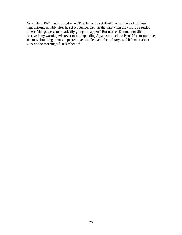November, 1941, and warned when Tojo began to set deadlines for the end of these negotiations, notably after he set November 29th as the date when they must be settled unless "things were automatically going to happen." But neither Kimmel nor Short received any warning whatever of an impending Japanese attack on Pearl Harbor until the Japanese bombing planes appeared over the fleet and the military establishment about 7:50 on the morning of December 7th.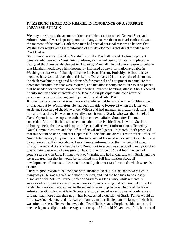# **IV. KEEPING SHORT AND KIMMEL IN IGNORANCE OF A SURPRISE JAPANESE ATTACK**

We may now turn to the account of the incredible extent to which General Short and Admiral Kimmel were kept in ignorance of any Japanese threat to Pearl Harbor down to the moment of the attack. Both these men had special personal reasons to believe that Washington would keep them informed of any developments that directly endangered Pearl Harbor.

Short was a personal friend of Marshall, and like Marshall one of the few important generals who was not a West Point graduate, and he had been promoted and placed in charge of the Army establishment in Hawaii by Marshall. He had every reason to believe that Marshall would keep him thoroughly informed of any information available in Washington that was of vital significance for Pearl Harbor. Probably, he should have begun to have some doubts about this before December, 1941, in the light of the manner in which Washington ignored his demands for material and equipment to complete the defensive installations that were required, and the almost complete failure to send planes that he needed for reconnaissance and repelling Japanese bombing attacks. Short received no information about intercepts of the Japanese Purple diplomatic code after the economic measures taken against Japan at the end of July, 1941.

Kimmel had even more personal reasons to believe that he would not be double-crossed or blacked out by Washington. He had been an aide to Roosevelt when the latter was Assistant Secretary of the Navy under Wilson and had maintained pleasant relations with him after that time. He was an especially close friend of Stark, who was then Chief of Naval Operations, the supreme authority over naval affairs. Soon after Kimmel succeeded Admiral Richardson as commander of the Pacific fleet, he wrote Stark in February, 1941, that he would expect to be sent all relevant information collected by Naval Communications and the Office of Naval Intelligence. In March, Stark promised that this would be done, and that Captain Kirk, the able and alert Director of the Office of Naval Intelligence, fully understood this to be one of his most important duties. There can be no doubt that Kirk intended to keep Kimmel informed and that his being blocked in this by Turner and Stark when the first Bomb Plot intercept was decoded in early October was a main reason why he resigned as head of the Office of Naval Intelligence and sought sea duty. In June, Kimmel went to Washington, had a long talk with Stark, and the latter assured him that he would be furnished with full information about all developments of interest to Pearl Harbor and by the most rapid methods which were also secure.

There is good reason to believe that Stark meant to do this, but his hands were tied in many ways. He was a genial and modest person, and had the bad luck to be closely associated with Admiral Turner, chief of Naval War Plans, who, while a mentally superior officer, was also an arrogant, conceited, overbearing and opinionated bully. He tended to override Stark, almost to the extent of assuming to be in charge of the Navy. Admiral Beatty, who, as aide to Secretary Knox, attended many top naval conferences, told me that, more often than not, when Knox asked a question of Stark, Turner would do the answering. He regarded his own opinions as more reliable than the facts, of which he was often careless. He even believed that Pearl Harbor had a Purple machine and could decode Japanese diplomatic messages on the spot. Until mid-November, 1941, he labored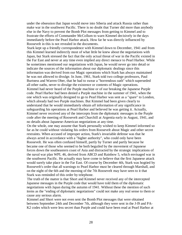under the obsession that Japan would move into Siberia and attack Russia rather than make war in the southwest Pacific. There is no doubt that Turner did more than anybody else in the Navy to prevent the Bomb Plot messages from getting to Kimmel and to frustrate the efforts of Commander McCollum to warn Kimmel decisively in the days immediately before the Pearl Harbor attack. How far he was directly influenced by Roosevelt in this is not revealed in the documents.

Stark kept up a friendly correspondence with Kimmel down to December, 1941 and from this Kimmel learned indirectly most of what little he knew about the negotiations with Japan, but Stark stressed the fact that the only actual threat of war in the Pacific existed in the Far East and never at any time even implied any direct menace to Pearl Harbor. While he sometimes mentioned our negotiations with Japan, he would never go into detail or indicate the sources of the information about our diplomatic dealings since this information was derived from our Magic operations which Stark has always maintained he was not allowed to divulge. In June, 1961, Stark told two college professors, Paul Burtness and Warren Ober, that he had to swear a "horrendous oath" which superseded all other oaths, never to divulge the existence or contents of Magic operations. Kimmel had never heard of the Purple machine or of our breaking the Japanese Purple code. Pearl Harbor had been denied a Purple machine in the summer of 1941, when the one which was originally designed to go to Pearl Harbor was sent as a "spare" to London, which already had two Purple machines. But Kimmel had been given clearly to understand that he would immediately obtain *all* information of any significance in safeguarding his operations at Pearl Harbor and believed he was getting it. Actually, Kimmel never received any of the intercepts from the diplomatic messages in the Purple code after the meeting of Roosevelt and Churchill at Argentia early in August, 1941, and no details about Japanese-American negotiations at any time.

On the whole, one may assume that Stark personally wished to keep Kimmel informed so far as he could without violating his orders from Roosevelt about Magic and other secret restraints. When accused of improper action, Stark's invariable defense was that he always acted in accordance with a "higher authority", who could only have been Roosevelt. He was often confused himself, partly by Turner and partly because he became one of those who seemed to be both beguiled by the movement of Japanese forces down the southeastern coast of Asia and distracted by the strategic implications of the naval war plan WPL 46, derived from ABCD and Rainbow 5, which envisaged war in the southwest Pacific. He actually may have come to believe that the first Japanese attack would surely take place in the Far East. Of course by December 4th, Stark was hogtied by Roosevelt's order that all warnings to Pearl Harbor must be cleared through Marshall, and on the night of the 6th and the morning of the 7th Roosevelt may have seen to it that Stark was reminded of this order by telephone.

The truth of the matter is that Short and Kimmel never received any of the intercepted Japanese messages in the Purple code that would have told them of the diplomatic negotiations with Japan during the autumn of 1941. Without these the mention of such items as the "ending of diplomatic negotiations" could not make any real sense to them or cause any serious alarm.

Kimmel and Short were not even sent the Bomb Plot messages that were obtained between September 24th and December 7th, although they were sent in the J-l9 and PA-K2 codes which were less secret than Purple and could have been read at Pearl Harbor at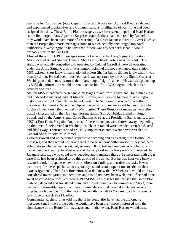any time by Commander (now Captain) Joseph J. Rochefort, Admiral Bloch's talented and experienced cryptanalyst and Communications Intelligence officer, if he had been assigned this duty. These Bomb Plot messages, as we have seen, pinpointed Pearl Harbor as the first target of any Japanese Surprise attack. If these had been read by Rochefort they would have been even more of a warning of a direct Japanese threat to *Pearl Harbor* than the Purple diplomatic messages some of which actually encouraged top naval authorities in Washington to believe that if there was any war with Japan it would probably start in the Far East.

Most of these Bomb Plot messages were picked up by the Army Signal Corps station MS5, located at Fort Shafter, General Short's army headquarters near Honolulu. The station was actually controlled and operated by Colonel Carroll A. Powell operating under the Army Signal Corps in Washington. Kimmel did not even know that Station MS5 existed. Short knew it was stationed at Fort Shafter but he did not know what it was actually doing. He had been informed that it was operated by the Army Signal Corps at Washington and, hence, assumed that if anything of significance to Hawaii was picked up by MS5 the information would be sent back to him from Washington, which never actually occurred.

Station MS5 intercepted the Japanese messages to and from Tokyo and Honolulu as raw and undecoded material, and, at Marshall's order, sent them on by mail to Washington, making use of the China Clipper from Honolulu to San Francisco which made the trip once every two weeks. When the Clipper missed a trip they were sent by boat mail which further slowed down their arrival in Washington. These Bomb Plot messages were also usually intercepted by the Navy monitoring station S at Bainbridge Island on Puget Sound, and by the Army Signal Corps Stations MS2 at the Presidio in San Francisco, and MS7 at Fort Hunt, Virginia. Duplicates of these intercepts were thrown away, depending on the time of their arrival in Washington. Those retained were decoded, translated, read and filed away. Their nature and crucially important contents were never revealed to General Short or Admiral Kimmel.

Colonel Powell had no personnel capable of decoding and translating these Bomb Plot messages, and they would not have dared to do so without authorization if they had been able to do so. But, as we have noted, Admiral Bloch had in Commander Rochefort a trained and veteran cryptanalyst – one of the very best in the Navy – and a master of the Japanese language who could have decoded and translated these J-19 messages with great ease if he had been assigned to do this as one of his duties. But he was kept very busy at research work on Japanese naval codes, direction-finding, and traffic analysis. It was customary for these specialists in cryptanalysis and related operations to stick to their own assignments. Therefore, Rochefort, who did know that MS5 existed, would not have considered investigating its operations and would not have been welcomed if he had done so. If he could have received these J-19 and PA-K2 messages that carried the Bomb Plot material, decoded and translated them, and turned them over to Kimmel and Short, there can be no reasonable doubt that these commanders would have taken defensive actions long before November 25th that would have called a halt to Yamamoto's plan to send a task force to attack Pearl Harbor.

Commander Rochefort has told me that if he could also have had the diplomatic messages sent in the Purple code he would have been even more impressed with the significance of the Bomb Plot messages and, in that event, Pearl Harbor would most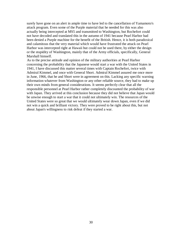surely have gone on an alert in ample time to have led to the cancellation of Yamamoto's attack program. Even some of the Purple material that he needed for this was also actually being intercepted at MS5 and transmitted to Washington, but Rochefort could not have decoded and translated this in the autumn of 1941 because Pearl Harbor had been denied a Purple machine for the benefit of the British. Hence, it is both paradoxical and calamitous that the very material which would have frustrated the attack on Pearl Harbor was intercepted right at Hawaii but could not be used there, by either the design or the stupidity of Washington, mainly that of the Army officials, specifically, General Marshall himself.

As to the precise attitude and opinion of the military authorities at Pearl Harbor concerning the probability that the Japanese would start a war with the United States in 1941, I have discussed this matter several times with Captain Rochefort, twice with Admiral Kimmel, and once with General Short. Admiral Kimmel assured me once more in June, 1966, that he and Short were in agreement on this. Lacking any specific warning information whatever from Washington or any other reliable source, they had to make up their own minds from general considerations. It seems perfectly clear that all the responsible personnel at Pearl Harbor rather completely discounted the probability of war with Japan. They arrived at this conclusion because they did not believe that Japan would be unwise enough to start a war that it could not ultimately win. The resources of the United States were so great that we would ultimately wear down Japan, even if we did not win a quick and brilliant victory. They were proved to be right about this, but not about Japan's willingness to risk defeat if they started a war.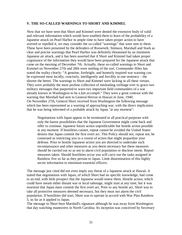### **V. THE SO-CALLED WARNINGS TO SHORT AND KIMMEL**

Now that we have seen that Short and Kimmel were denied the extensive body of valid and relevant information which would have enabled them to learn of the probability of a Japanese attack on Pearl Harbor in ample time to have taken proper action to have averted or repelled it, we may consider the so-called "warnings" that were sent to them. These have been presented by the defenders of Roosevelt, Stimson, Marshall and Stark as clear and precise warnings that Pearl Harbor was definitely threatened by an imminent Japanese air attack, and it has been asserted that if Short and Kimmel had taken proper cognizance of the information they would have been prepared for the Japanese attack that came on the morning of December 7th. Actually, these so-called warnings to Short and Kimmel on November 27th and 28th were nothing of the sort. Commander Hiles has stated the reality clearly: "A genuine, forthright, and honestly inspired war warning can be expressed most lucidly, concisely, intelligently and forcibly in one sentence – the shorter the better. The warnings to Short and Kimmel were lacking in all these virtues. They were probably the most profuse collection of misleading verbiage ever to grace two military messages that purported to warn two important field commanders of a war already known in Washington to be a *fait accompli*." They were a great contrast with the warning that Marshall had sent to General Herron in Hawaii in June, 1940. On November 27th, General Short received from Washington the following message which has been represented as a warning of approaching war, with the direct implication that he was being informed of a probable attack by Japan "at any moment":

Negotiations with Japan appear to be terminated to all practical purposes with only the barest possibilities that the Japanese Government might come back and offer to continue. Japanese future action unpredictable but hostile action possible at any moment. If hostilities cannot, repeat cannot be avoided the United States desires that Japan commit the first overt act. This Policy should not, repeat not, be construed as restricting you to a course of action that might jeopardize your defense. Prior to hostile Japanese action you are directed to undertake such reconnaissance and other measures as you deem necessary but these measures should be carried out so as not to alarm civil population or disclose intent. Report measures taken. Should hostilities occur you will carry out the tasks assigned in Rainbow five so far as they pertain to Japan. Limit dissemination of this highly secret information to minimum essential officers.

The message just cited did not even imply any threat of a Japanese attack at Hawaii. It stated that negotiations with Japan, of which Short had no specific knowledge, had come to an end, with little prospect that the Japanese would renew them. Hostile action, which could have meant either distant war or local sabotage, might start at any time, but it was essential that Japan must commit the first overt act. Prior to any hostile act, Short was to take all protective measures deemed necessary, but they must not alarm the civil population. If hostilities did start, Short was to operate in accord with War Plan Rainbow 5, so far as it applied to Japan.

The message to Short bore Marshall's signature although he was away from Washington that day watching maneuvers in North Carolina. Its inception was conceived by Secretary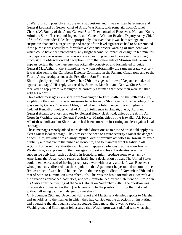of War Stimson, possibly at Roosevelt's suggestion, and it was written by Stimson and General Leonard T. Gerow, chief of Army War Plans, with some aid from Colonel Charles W. Bundy of the Army General Staff. They consulted Roosevelt, Hull and Knox, Admirals Stark, Turner, and Ingersoll, and General William Bryden, Deputy Army Chief of Staff. Commander Hiles has appropriately observed that it was both strange and suspicious that such a large group and range of top level signatories had to be assembled if the purpose was actually to formulate a clear and precise warning of imminent war, which could have been prepared by any bright second lieutenant or ensign in ten minutes. To prepare a war warning that was not a war warning required, however, the pooling of much skill in obfuscation and deception. From the statements of Stimson and Gerow, it appears certain that the message was originally conceived and formulated to guide General MacArthur in the Philippines, to whom substantially the same message was sent. It was also sent to the Caribbean Defense Command in the Panama Canal zone and to the Fourth Army headquarters at the Presidio in San Francisco.

Short logically replied to the November 27th message as follows: "Department alerted against sabotage." His reply was read by Stimson, Marshall and Gerow. Since Short received no reply from Washington he correctly assumed that these men were satisfied with his report.

Three other messages were sent from Washington to Fort Shafter on the 27th and 28th, amplifying the directions as to measures to be taken by Short against local sabotage. One was sent by General Sherman Miles, chief of Army Intelligence in Washington, to Colonel Kendall J. Fielder, chief of Army Intelligence in Hawaii; one by Adjutant General Adams to Short, and one by General Henry H. Arnold, chief of the Army Air Corps in Washington, to General Frederick L. Martin, chief of the Hawaiian Air Force. All of these indicated to Short that he had been correct in instituting an alert against local sabotage.

These messages merely added more detailed directions as to how Short should apply his alert against local sabotage. They stressed the need to assure security against the danger of hostilities, by which was plainly implied local subversive activities in Hawaii, to avoid publicity and not excite the public at Honolulu, and to maintain strict legality in all actions. To the Army authorities in Hawaii, it appeared obvious that the main fear in Washington, as expressed in the messages to Short and his subordinates, was that subversive activities, such as rioting in Honolulu, might produce some overt act by Americans that Japan could regard as justifying a declaration of war. The United States could then be accused of having precipitated war without any attack. It was Roosevelt who, personally, directed that the stipulation that Japan must be permitted to commit the first overt act of war should be included in the message to Short of November 27th and in that of Stark to Kimmel on November 29th. This was the basic formula of Roosevelt as the situation approached hostilities, and was immortalized by the statement of Stimson in his *Diary* after the meeting of the War Cabinet on November 25th: "The question was how we should maneuver them [he Japanese] into the position of firing the first shot without allowing too much danger to ourselves."

On November 29th and December 4th, Short and Martin sent detailed reports to Marshall and Arnold, as to the manner in which they had carried out the directions on instituting and operating the alert against local sabotage. Once more, there was no reply from Washington, and Short again felt assured that Washington was satisfied with what they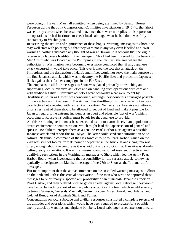were doing in Hawaii. Marshall admitted, when being examined by Senator Homer Ferguson during the Joint Congressional Committee Investigation in 1945-46, that Short was entirely correct when he assumed that, since there were no replies to his reports on the operations he had instituted to check local sabotage, what he had done was fully satisfactory to Washington.

In assessing the nature and significance of these bogus "warning" messages to Short, one may well start with pointing out that they were not in any way even labelled as a "war warning". Nothing indicated any thought of war at Hawaii. It is obvious that the vague reference to Japanese hostility in the message to Short had been inserted for the benefit of MacArthur who was located at the Philippines in the Far East, the area where the authorities in Washington were becoming ever more convinced that, if any Japanese attack occurred, it would take place. This overlooked the fact that an attack on the Philippines and the destruction of Hart's small fleet would not serve the main purpose of the first Japanese attack, which was to destroy the Pacific fleet and protect the Japanese flank against their further campaigns in the Far East.

The emphasis in all four messages to Short was placed primarily on watching and suppressing local subversive activities and on handling such operations with care and with studied legality. Subversive activities were obviously what were meant by "hostilities", so far as Hawaii was concerned, although they doubtless envisaged possible military activities in the case of MacArthur. This throttling of subversive activities was to be effective but executed with restraint and caution. Neither any subversive activities nor Short's restraint of them should be allowed to get out of hand and make it possible for Japan to regard some extreme incident as an overt and plausible "act of war", which, according to Roosevelt's policy, must be left for the Japanese to provide.

All this restraining action must be so executed as not to alarm the civilian population or create excitement or demonstrations which might lead the Japanese consul general and spies in Honolulu to interpret them as a genuine Pearl Harbor alert against a possible Japanese attack and report this to Tokyo. The latter could send such information on to Admiral Nagumo in command of the task force enroute to Pearl Harbor, which on the 27th was still not too far from its point of departure in the Kurile Islands. Nagumo was jittery enough about the venture as it was without any suspicion that Hawaii was already getting ready for an attack. It was this unusual combination of insistent directives and qualifying restrictions in the Washington messages to Short which led the Army Pearl Harbor Board, when investigating the responsibility for the surprise attack, somewhat cynically to designate the Marshall message of the 27th to Short as the "do-and-don't message".

But more important than the above comments on the so-called warning messages to Short on the 27th and 28th is this crucial observation: If the men who wrote or approved these messages to Short really suspected any probability of an *immediate* Japanese attack on Pearl Harbor, and then ordered Short to go on an alert against local sabotage, they would have had to be nothing short of military idiots or political traitors, which would scarcely be true of Stimson, Generals Marshall, Gerow, Bryden, Miles, Arnold and Adams, and Colonel Bundy, or of Admirals Stark and Turner.

Concentration on local sabotage and civilian responses constituted a complete reversal of the attitudes and operations which would have been required to prepare for a possible enemy attack by warships and airplane bombers. Local sabotage turned attention inward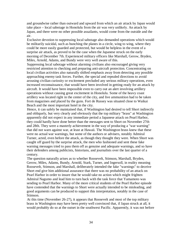and groundwise rather than outward and upward from which an air attack by Japan would take place – local sabotage in Honolulu from the air was very unlikely. An attack by Japan, and there were no other possible assailants, would come from the outside and the air.

Exclusive devotion to suppressing local sabotage also demanded operations which would be militarily suicidal, such as bunching the planes in a circle, wing to wing, where they could be more easily guarded and protected, but would be helpless in the event of a surprise air attack, as proved to be the case when the Japanese struck on the early morning of December 7th. Experienced military officers like Marshall, Gerow, Bryden, Miles, Arnold, Adams, and Bundy were very well aware of this.

Suppressing local sabotage without alarming civilians also encouraged giving very restricted attention to checking and preparing anti-aircraft protection. Concentrating on local civilian activities also naturally shifted emphasis away from detecting any possible approaching enemy task forces. Further, the special and repealed directions to avoid arousing civilian curiosity or excitement precluded any serious military operations, even increased reconnaissance, that would have been involved in getting ready for an attack by aircraft. It would have been impossible even to carry out an alert involving artillery operations without causing great excitement in Honolulu. Some of the heavy coast artillery was located right in the center of the city, and live ammunition had to be taken from magazines and placed by the guns. Fort de Russey was situated close to Waikai Beach and the most important hotel in the city.

Hence, it can safely be maintained that, if Washington had desired to tell Short indirectly and obliquely, but very clearly and obviously that the top military "brass" at Washington apparently did not expect in any immediate period a Japanese attack on Pearl Harbor, they could hardly have done better than the messages sent to Short on November 27th and 28th. They were a masterly achievement in the way of producing a "war warning" that did not warn against war, at least at Hawaii. The Washington brass knew that these were no actual war warnings, but some of the authors or advisers, notably Admiral Turner, acted, even before the attack, as though they thought they were. When Short was caught off guard by the surprise attack, the men who fashioned and sent these fake warning messages tried to pass them off as genuine and adequate warnings, and so have their defenders among publicists, historians, and journalists over the last quarter of a century.

The question naturally arises as to whether Roosevelt, Stimson, Marshall, Bryden, Gerow, Miles, Adams, Bundy, Arnold, Stark, Turner, and Ingersoll, in reality meaning Roosevelt, Stimson, and Marshall, deliberately intended the fake "warnings" to deceive Short end give him additional assurance that there was no probability of an attack on Pearl Harbor in order to insure that he would take no action which might frighten Admiral Nagumo and lead him to turn back with the task force that Yamamoto was sending to Pearl Harbor. Many of the more critical students of the Pearl Harbor episode have contended that the warnings to Short were actually intended to be misleading, and good arguments can be produced to support this interpretation, notably in the case of Stimson.

At this time (November 26-27), it appears that Roosevelt and most of the top military brass in Washington may have been pretty well convinced that, if Japan struck at all, it would probably do so at the outset in the southwest Pacific. Apparently, it was not before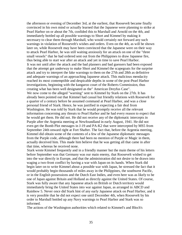the afternoon or evening of December 3rd, at the earliest, that Roosevelt became finally convinced in his own mind or actually learned that the Japanese were planning to strike at Pearl Harbor on or about the 7th, confided this to Marshall and Arnold on the 4th, and immediately bottled up all possible warnings to Short and Kimmel by making it necessary to clear them through Marshall, who would certainly not forward any such warnings in violation of Roosevelt's wishes and orders. Even on the 4th, as will be shown later on, while Roosevelt may have been convinced that the Japanese were on their way to attack Pearl Harbor, he was still waiting anxiously for an attack on one of the "three small vessels" that he had ordered sent out from the Philippines to draw Japanese fire, thus being able to start war after an attack and yet in time to save Pearl Harbor. It was not until after the attack and the bad planners and bad guessers had been exposed that the attempt got underway to make Short and Kimmel the scapegoats for the surprise attack and try to interpret the fake warnings to them on the 27th and 28th as definitive and adequate warnings of an approaching Japanese attack. This malicious mendacity reached its most contemptible and despicable depths in some of the post-Pearl Harbor investigations, beginning with the kangaroo court of the Roberts Commission, thus creating what has been well designated as the" American Dreyfus Case". We now come to the alleged "warning" sent to Kimmel by Stark on the 27th. It has already been pointed out that Kimmel had casual but friendly relations with Roosevelt for a quarter of a century before he assumed command at Pearl Harbor, and was a close personal friend of Stark. Hence, he was justified in expecting a fair deal from Washington. He was told by Stark that he would promptly receive all the relevant information concerning any threats to Pearl Harbor and he had every reason to expect that he would get them. He did not. He did not receive any of the diplomatic intercepts in Purple after the Argentia meeting at Newfoundland in early August, 1941. He did not even get the Bomb Plot messages in J-19 and PA-K2 that were intercepted by MS5 from September 24th onward right at Fort Shafter. The fact that, before the Argentia meeting, Kimmel did obtain some of the contents of a few of the Japanese diplomatic messages from the Purple code, although there had been no mention of Purple or Magic in them, actually deceived him. This made him believe that he was getting all that came in after that time, whereas he received none.

Stark wrote Kimmel frequently and in a friendly manner but the main theme of his letters before September was that Germany was our main enemy, that Roosevelt wished to get into the war directly in Europe, and that the administration did not desire to be drawn into waging a two-front conflict by having a war with Japan on its hands. When Stark did begin later on to write Kimmel about a possible war with Japan, he stressed the fact that it would probably begin thousands of miles away in the Philippines, the southwest Pacific, or in the English possessions and the Dutch East Indies, and even here was as likely to be one of Japan against Britain and Holland as directly against the United States. Of course, Stark was fully aware that any Japanese attack on British or Dutch territory would immediately bring the United States into war against Japan, as arranged in ABCD and Rainbow 5. Never once did Stark hint of any early Japanese attack on Pearl Harbor, and it is very possible that he did not expect one until December 4th, when Roosevelt by his order to Marshall bottled up any Navy warnings to Pearl Harbor and Stark was so informed.

The actions of the Washington authorities which related to Kimmel's and Bloch's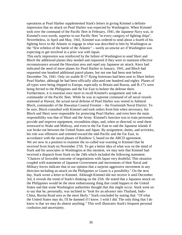operations at Pearl Harbor supplemented Stark's letters in giving Kimmel a definite impression that no attack on Pearl Harbor was expected by Washington. When Kimmel took over the command of the Pacific fleet in February, 1941, the Japanese Navy was, in Kimmel's own words, superior to our Pacific fleet "in every category of fighting ships". Nevertheless, in April and May, 1941, Kimmel was ordered to send about a fourth of his fighting force to the Atlantic to engage in what was described to him by Washington as the "first echelon of the battle of the Atlantic" – surely an unwise act if Washington was expecting to get involved in a prior war with Japan.

This early impression was reinforced by the failure of Washington to send Short and Bloch the additional planes they needed and requested if they were to maintain effective reconnaissance around the Hawaiian area and repel any Japanese air attack. Knox had indicated the need of more planes for Pearl Harbor in January, 1941, and Bloch had requested one hundred additional patrol planes, but not one had been sent before December 7th, 1941. Only six usable B-17 flying fortresses had been sent to Short before Pearl Harbor, although he had been officially allocated one hundred and eighty. Planes of all types were being shipped to Europe, especially to Britain and Russia, and B-17's were being ferried to the Philippines and the Far East to bolster the defense there. Furthermore, it is essential once more to recall Kimmel's assignment and role as commander of the Pacific fleet. While he was in supreme command of all naval vessels stationed at Hawaii, the actual naval defense of Pearl Harbor was vested in Admiral Bloch, commander of the Hawaiian Coastal Frontier – the Fourteenth Naval District. To be sure, Bloch consulted with Kimmel and took orders from him when necessary, but Bloch and Short were responsible for protecting Pearl Harbor, and even here the main responsibility was that of Short and the Army. Kimmel's function was to train personnel, provide and improve equipment, recondition ships, and, when so directed, to send them westward to Wake and Midway, and even to the Far East to raid the Japanese islands if war broke out between the United States and Japan. By assignment, duties, and activities, his role was offensive and oriented toward the mid-Pacific and the Far East, in accordance with the naval phases of Rainbow 5, based on the ABCD agreement. We are now in a position to examine the so-called war-warning to Kimmel that he received from Stark on November 27th. To get a better idea of what was on the mind of Stark and his associates in Washington at this moment, we may note that Kimmel had received a dispatch from Stark on the 24th which included the following statement: "Chances of favorable outcome of negotiations with Japan very doubtful. This situation coupled with statements of Japanese Government and movements of their Naval and Military forces indicate that in our opinion that a surprise aggressive movement in any direction including an attack on the Philippines or Guam is a possibility." On the next day, Stark wrote a letter to Kimmel. Although Kimmel did not receive it until December 3rd, it reveals the trend of Stark's thinking on the 25th. He stated that a Japanese attack on the Philippines would be the most embarrassing thing that could happen to the United States and that some Washington authorities thought that this might occur. Stark went on to say that he, personally, was inclined to "look for an advance into Thailand, Indo-China, Burma Road area as the most likely." Stark concluded by stating that: "Of what the United States may do, I'll be damned if I know. I wish I did. The only thing that I do know is that we may do almost anything." This well illustrates Stark's frequent personal confusion and uncertainty.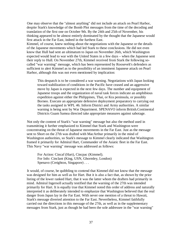One may observe that the "almost anything" did not include an attack on Pearl Harbor, despite Stark's knowledge of the Bomb Plot messages from the time of the decoding and translation of the first one on October 9th. By the 24th and 25th of November, his thinking appeared to be almost entirely dominated by the thought that the Japanese would first attack in the Far East, indeed in the furthest East.

Kimmel, of course, knew nothing about the negotiations with the Japanese or the details of the Japanese movements which had led Stark to these conclusions. He did not even know that Hull had sent an ultimatum to Japan on November 26th, which Washington expected would lead to war with the United States in a few days – when the Japanese sent their reply to Hull. On November 27th, Kimmel received from Stark the following socalled "war warning" message, which has been represented by Roosevelt's defenders as sufficient to alert Kimmel as to the possibility of an imminent Japanese attack on Pearl Harbor, although this was not even mentioned by implication:

This despatch is to be considered a war warning. Negotiations with Japan looking toward stabilization of conditions in the Pacific have ceased and an aggressive move by Japan is expected in the next few days. The number and equipment of Japanese troops and the organization of naval task forces indicate an amphibious expedition against either the Philippines, Thai, or Kra peninsula, or possibly Borneo. Execute an appropriate defensive deployment preparatory to carrying out the tasks assigned in WPL 46. Inform District and Army authorities. A similar warning is being sent by War Department. SPENAVO inform British.Continental Districts Guam Samoa directed take appropriate measures against sabotage.

Not only the content of Stark's "war warning" message but also the method used in transmitting it further emphasized to Kimmel that Stark and Washington were concentrating on the threat of Japanese movements in the Far East. Just as the message sent to Short on the 27th was drafted with MacArthur primarily in the mind of Washington authorities, so Stark's message to Kimmel clearly indicated that Washington framed it primarily for Admiral Hart, Commander of the Asiatic fleet in the Far East. This Navy "war warning" message was addressed as follows:

For Action: Cincaf (Hart), Cincpac (Kimmel). For Info: Cinclant (King, USN, Ghormley, London) Spenavo (Creighton, Singapore) . . .

It would, of course, be quibbling to contend that Kimmel did not know that the message was designed for him as well as for Hart. But it is also a fact that, as shown by the prior listing of the lower ranked Hart, that it was the latter whom the drafters had primarily in mind. Admiral Ingersoll actually testified that the warning of the 27th was intended primarily for Hart. It is equally true that Kimmel noted this order of address and naturally interpreted it as deliberately intended to emphasize that Washington believed that the real danger from Japan lay in the Far East. With never one mention of a threat to Hawaii, Stark's message diverted attention to the Far East. Nevertheless, Kimmel faithfully carried out the directions in this message of the 27th, as well as in the supplementary messages from Stark, just as though he had been the sole addressee in the "war warning"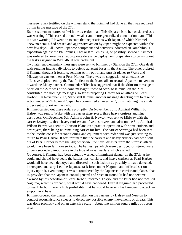message. Stark testified on the witness stand that Kimmel had done all that was required of him in the message of the 27th.

Stark's statement started off with the assertion that "This dispatch is to be considered as a war warning." This carried a much weaker and more generalized connotation than, "This is a war warning." It went on to state that negotiations with Japan, of which Kimmel knew no details, had ceased and aggressive action by Japan might be expected within the next few days. All known Japanese equipment and activities indicated an "amphibious expedition against the Philippines, Thai or Kra Peninsula, or possibly Borneo." Kimmel was ordered to "execute an appropriate defensive deployment preparatory to carrying out the tasks assigned in WPL 46" if war broke out.

Two later supplementary messages were sent to Kimmel by Stark on the 27th. One dealt with sending infantry divisions to defend adjacent bases in the Pacific. The other ordered, if Kimmel thought it feasible, sending Army patrol and pursuit planes to Wake and Midway on carriers then at Pearl Harbor. There was no suggestion of an extensive offensive deployment by the Pacific fleet to the Marshalls to restrain Japanese movement toward the Malay barrier. Commander Hiles has suggested that if the Stimson message to Short on the 27th was a "do-don't message", those of Stark to Kimmel on the 27th constituted "do nothing" messages, so far as preparing Hawaii for an attack on Pearl Harbor. On November 29th, Stark sent Kimmel another message directing him to take no action under WPL 46 until "Japan has committed an overt act", thus matching the similar order sent to Short on the 27th.

Kimmel carried out these orders promptly. On November 28th, Admiral William F. Halsey was sent to Wake with the carrier *Enterprise*, three heavy cruisers and nine destroyers. On December 5th, Admiral John H. Newton was sent to Midway with the carrier *Lexington*, three heavy cruisers and five destroyers; and also on the 5th, Admiral Wilson Brown was sent to Johnson Island on a practice operation with some cruisers and destroyers, there being no remaining carrier for him. The carrier *Saratoga* had been sent to the Pacific coast for reconditioning and equipment with radar and was just starting to return to Pearl Harbor. It was fortunate that the carriers and heavy cruisers had been sent out of Pearl Harbor before the 7th; otherwise, the naval disaster from the surprise attack would have been far more serious. The battleships which were destroyed or injured were of very secondary importance in the type of naval warfare which ensued.

Of course, if Kimmel had been actually warned of imminent danger on the 27th, as he could and should have been, the battleships, carriers, and heavy cruisers at Pearl Harbor would all have been deployed and directed in such fashion as possibly to have detected, intercepted and surprised the Japanese task force under Nagumo and inflicted serious injury upon it, even though it was outnumbered by the Japanese in carrier and planes: that is, provided that the Japanese consul general and spies in Honolulu had not become alarmed by this desertion of Pearl Harbor, informed Tokyo, and the latter had not recalled Nagumo, which is probably what would have happened. Even if Nagumo had proceeded to Pearl Harbor, there is little probability that he would have sent his bombers to attack an empty naval base.

Kimmel ordered the planes that were taken on the carriers by Halsey and Newton to conduct reconnaissance sweeps to detect any possible enemy movements or threats. This was done promptly and on an extensive scale – about two million square miles of ocean area.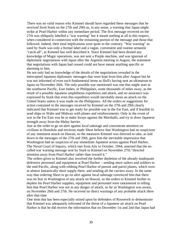There was no valid reason why Kimmel should have regarded these messages that he received from Stark on the 27th and 29th as, in any sense, a warning that Japan might strike at Pearl Harbor within any immediate period. The first message received on the 27th was obliquely labelled a "war warning" but it meant nothing at all in this respect, when considered in connection with the remaining portion of the message and those that followed. Indeed, their total implications were quite to the contrary. "War warning" as used by Stark was only a formal label and a vague, convenient and routine semantic "catch-all", as Kimmel has well described it. Since Kimmel had been denied any knowledge of Magic operations, was not sent a Purple machine, and was ignorant of diplomatic negotiations with Japan after the Argentia meeting in August, the statement that negotiations with Japan had ceased could not have meant anything specific or alarming to him.

He not only had no knowledge of the details of the negotiations revealed in the intercepted Japanese diplomatic messages that were kept from him after August but he was not informed of even such fundamental items as Hull's having sent an ultimatum to Japan on November 26th. The only possible war mentioned was one that might start in the southwest Pacific, East Indies, or Philippines, some thousands of miles away, as the result of a possible Japanese amphibious expedition and attack, and no assurance was expressed by Stark that even this expedition would inevitably mean an attack on the United States unless it was made on the Philippines. All the orders or suggestions for action contained in the messages received by Kimmel on the 27th and 29th clearly indicated that Kimmel was to get ready for possible war in the Far East, and if feasible to send ships to Wake and Midway with planes and reinforcements. Only in the event of war in the Far East was he to make forays against the Marshalls, and try to draw Japanese strength away from the Malay barrier.

Just as the order to go on alert against local sabotage and concentrate attention on civilians in Honolulu and environs made Short believe that Washington had no suspicions of any imminent attack on Hawaii, so the measures Kimmel was directed to take, as laid down in the messages of the 27th and 29th, gave him the inevitable impression that Washington had no suspicion of any immediate Japanese action against Pearl Harbor. The Naval Court of Inquiry, which met from July to October, 1944, asserted that the socalled war warning message sent by Stark to Kimmel on November 27th "directed attention away from Pearl Harbor rather than toward it."

The orders given to Kimmel also involved the further depletion of the already inadequate defensive personnel and equipment at Pearl Harbor – sending more sailors and soldiers to the mid-Pacific, along with robbing Pearl Harbor of pursuit and patrol planes, which were in almost fantastically short supply there, and sending all the carriers away. In the same way that ordering Short to go on alert against local sabotage convinced him that there was no fear in Washington of any attack on Hawaii, so the orders to Kimmel further to deplete his Pearl Harbor supplies, equipment and personnel were tantamount to telling him that Pearl Harbor was not in any danger of attack, so far as Washington was aware, on November 26th and 27th. He received no direct warnings of any probable attack there after that time

One item that has been especially seized upon by defenders of Roosevelt to demonstrate that Kimmel was adequately informed of the threat of a Japanese air attack on Pearl Harbor is that he did receive the information that on December 1st and 2nd that Japan had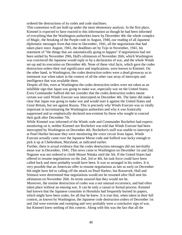ordered the destructions of its codes and code machines.

This contention will not hold up under the most elementary analysis. In the first place, Kimmel is expected to have reacted to this information as though he had been informed of everything that the Washington authorities knew by December 4th: the whole complex of Magic, the breaking of the Purple code in August, 1940, our reading of all Japanese diplomatic messages from that time to December, 1941, all the negotiations that had taken place since August, 1941, the deadlines set by Tojo in November, 1941, his statement of "the things that are automatically going to happen" if negotiations had not been settled by November 29th, Hull's ultimatum of November 26th, which Washington was convinced the Japanese would reply to by a declaration of war, and the whole Winds set-up and its execution on December 4th. None of these vital facts, which gave the codes destruction orders their real significance and implications, were known to Kimmel. On the other hand, in Washington, the codes destruction orders were a dead giveaway as to imminent war when taken in the context of all the other vast array of intercepts and intelligence that was available there.

Despite all this, even at Washington the codes destruction orders were not taken as an infallible sign that Japan was going to make war, especially war on the United States. Even Commander Safford did not consider that the codes destruction orders meant certain war until Winds Execute was intercepted on December 4th. The latter did make it clear that Japan was going to make war and would start it against the United States and Great Britain, but not against Russia. This is precisely why Winds Execute was so vitally important in incriminating the Washington authorities and why it was frantically suppressed and so emphatically declared non-existent by those who sought to conceal their guilt after December 7th.

While Kimmel was informed of the Winds code and Commander Rochefort had experts monitoring on it, neither Kimmel nor Rochefort was told that Winds Execute had been intercepted by Washington on December 4th. Rochefort's staff was unable to intercept it at Pearl Harbor because they were monitoring the voice circuit from Japan. Winds Execute actually came over the Japanese Morse code and Safford was lucky enough to pick it up at Cheltenham, Maryland, as indicated earlier.

Further, there is actual evidence that the codes destruction messages did not inevitably mean war in December, 1941. This news came to Washington on December 1st and 2nd. Nagumo was not ordered to climb Mount Niitaka until the 5th. If the United States had offered to resume negotiations on the 2nd, 3rd or 4th, his task force could have been called back and most probably would have been. It was so arranged in his orders. It is very possible that an American offer to resume negotiations as late as early on December 6th might have led to calling off the attack on Pearl Harbor, but Roosevelt, Hull and Stimson were determined that negotiations would not be resumed after Hull sent his ultimatum on November 26th. Its terms assured that they would not be.

Moreover, the routine destruction of codes was a not unusual occurrence, and had often taken place without an ensuing war. It can be only a casual or formal process. Kimmel had known that the Japanese consulate in Honolulu had frequently burned its papers, which might have been codes, for all that he knew. It is true that, when taken in their full context, as known by Washington, the Japanese code destruction orders of December 1st and 2nd were extreme and sweeping and very probably were a conclusive sign of war, but Kimmel knew nothing of this context. Along with this was the fact that all the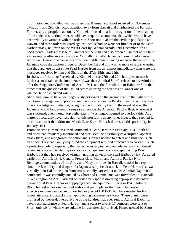information and so-called war warnings that Kimmel and Short received on November 27th, 28th and 29th distracted attention away from Hawaii and emphasized the Far East. Further, any appropriate action by Kimmel, if based on a full recognition of the meaning of the codes destruction order, would have required a complete alert which would have been wholly at variance with the orders to Short not to alarm the civilian population at Hawaii, and these orders to guard against local sabotage were not lifted prior to the Pearl Harbor attack, not even on the West Coast by General Arnold until December 6th at Sacramento. Stark's message to Kimmel on the 29th had also ordered Kimmel not to take any sweeping offensive action under WPL 46 until after Japan had committed an overt act of war. Hence, one can safely conclude that Kimmel's having received the news of the Japanese code destruction orders of December 1st and 2nd was no more of a war warning that the Japanese might strike Pearl Harbor from the air almost immediately than were the messages received by him and Short on the 27th, 28th, and 29th.

In short, the "warnings" received by Kimmel on the 27th and 29th hardly went much further as to details or the imminence of war than Admiral Stark's release to his Admirals after the Singapore Conference of April, 1941, and the formulation of Rainbow 5, to the effect that the question of the United States entering the war was no longer one of *whether* but of *when* and *where*.

Short and Kimmel have been vigorously criticized on the ground that, in the light of the traditional strategic assumptions about naval warfare in the Pacific, they did not, on their own knowledge and initiative, recognize the probability that, in the event of war, the Japanese would first attempt a surprise attack on the American Pacific fleet, wherever it was stationed, even though top authorities in Washington seemed to overlook this. As a matter of fact, they never lost sight of this possibility at any time; indeed, they seemed far more aware of it than Stimson, Marshall, or Stark. Knox had stressed this possibility in January, 1941.

From the time Kimmel assumed command at Pearl Harbor in February, 1941, both he and Short had frequently mentioned and discussed the possibility of a surprise Japanese attack there, and recognized the action and supplies needed to detect and turn back such an attack. They had vainly requested the equipment required effectively to carry out such a protective policy, especially the planes necessary to carry out adequate and continued reconnaissance and to destroy or cripple any Japanese task force approaching Pearl Harbor, but they had received virtually nothing down to the Pearl Harbor attack. As noted earlier, on April 9, 1941, General Frederick L. Martin and Admiral Patrick N. L. Bellinger, commanders of the Army and Navy air forces in Hawaii, handed in a report about the feasibility and danger of a Japanese surprise air attack on Pearl Harbor that was virtually identical to the plan Yamamoto actually carried out under Admiral Nagumo's command. It was carefully studied by Short and Kimmel and was forwarded to Marshall in Washington on April 14th but without any response directing appropriate defensive operations at Pearl Harbor or supplying adequate equipment. Early in 1941, Admiral Bloch had asked for one hundred additional patrol planes that would be needed for effective reconnaissance, and Short had requested 130 B-17 bombers needed for both reconnaissance and attacking an approaching Japanese task force. These planes were promised but never delivered. None of the hundred was ever sent to Admiral Bloch for naval reconnaissance at Pearl Harbor, and a scant twelve B-17 bombers were sent to Short, only six of which were suitable for use after they arrived. Planes needed by Short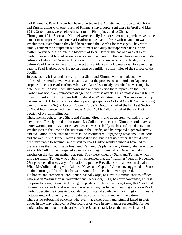and Kimmel at Pearl Harbor had been diverted to the Atlantic and Europe to aid Britain and Russia, along with one-fourth of Kimmel's naval force, sent there in April and May, 1941. Other planes were belatedly sent to the Philippines and to China.

Throughout 1941, Short and Kimmel were actually far more alert and apprehensive to the danger of a surprise attack on Pearl Harbor in the event of war with Japan than was Washington, even though they had been denied the Bomb Plot messages. They were simply refused the equipment required to meet and allay their apprehensions in this matter. Nevertheless, despite the blackout of Pearl Harbor, the patrol planes at Pearl Harbor carried out limited reconnaissance and the planes on the task forces sent out under Admirals Halsey and Newton did conduct extensive reconnaissance in the days just before Pearl Harbor in the effort to detect any evidence of a Japanese task force moving against Pearl Harbor, covering no less than two million square miles of the surface of the Pacific.

In conclusion, it is abundantly clear that Short and Kimmel were not adequately informed, or literally even warned at all, about the prospect of an imminent Japanese surprise attack on Pearl Harbor. What were later dishonestly described as warnings by defenders of Roosevelt actually confirmed and intensified their impression that Pearl Harbor was not in any immediate danger of a surprise attack. This almost criminal failure to warn Short and Kimmel was fully realized in Washington in late November and early December, 1941, by such outstanding operating experts as Colonel Otis K. Sadtler, acting chief of the Army Signal Corps, Colonel Rufus S. Bratton, chief of the Far East Section of Naval Intelligence, and Commander Arthur N. McCollum, chief of the Far East Section of Naval Intelligence.

These men sought to have Short and Kimmel directly and adequately warned, only to have their efforts ignored or frustrated. McCollum believed that Kimmel should have a better warning on the 27th of November. He was probably the best informed person in Washington at the time on the situation in the Pacific, and he prepared a general survey and evaluation of the state of affairs in the Pacific area, Suggesting what should be done, and showed this to Turner, Noyes, and Wilkinson, but it got no further. It would have been invaluable to Kimmel, and if sent to Pearl Harbor would doubtless have led to preparations that would have frustrated Yamamoto's plan to carry through the task-force attack. McCollum then prepared a precise warning to Kimmel on December 1st and another on the 4th, but neither was sent. They were killed by Stark and Turner, which in this case meant Turner, who stubbornly contended that the "warnings" sent on November 27th provided all necessary information to put the Hawaiian commanders on the alert. When McCollum, along with Admiral Noyes and Captain Wilkinson, suggested to Stark on the morning of the 7th that he warn Kimmel at once, both were ignored. No honest and competent Intelligence, Signal Corps, or Naval Communications officer who was in Washington in November and December, 1941, has ever contended, at least not prior to being intimidated during the post-Pearl Harbor investigations, that Short and Kimmel were clearly and adequately warned of any probable impending attack on Pearl Harbor, despite the increasing abundance of material available in Washington from early October onward to justify and validate such a warning and make it mandatory. There is no substantial evidence whatever that either Short and Kimmel failed in their duties in any way whatever at Pearl Harbor or were in any manner responsible for not anticipating and repelling the arrival of the Japanese task force that made the attack on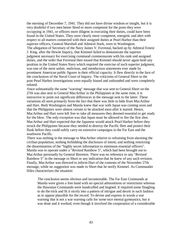the morning of December 7, 1941. They did not have divine wisdom or insight, but it is very doubtful if two men better fitted or more competent for the posts they were occupying in 1941, or officers more diligent in executing their duties, could have been found in the United States. They were clearly more competent, energetic and alert with respect to all matters connected with their assigned duties at Pearl Harbor than their superior officers, General Marshall and Admiral Stark, were in Washington. The allegation of Secretary of the Navy James V. Forrestal, backed up by Admiral Ernest J. King, after the Hewitt Inquiry, that Kimmel failed to demonstrate the superior judgment necessary for exercising command commensurate with his rank and assigned duties, and the order that Forrestal then issued that Kimmel should never again hold any position in the United States Navy which required the exercise of such superior judgment, was one of the most unfair, malicious, and mendacious statements ever made by prominent American public figures in their official capacity. It flew directly in the face of the conclusions of the Naval Court of Inquiry. The criticisms of General Short in the post-Pearl Harbor investigations were equally biased and unfounded and were completely refuted.

Since substantially the same "warning" message that was sent to General Short on the 27th was also sent to General MacArthur in the Philippines at the same time, it is instructive to point out significant differences in the message sent to the latter. These variations all stem primarily from the fact that there was little to hide from MacArthur and Hart. Both Washington and Manila knew that war with Japan was coming soon and that the Philippines were almost certain to be attacked soon after it started. Hence, MacArthur and Hart were left free to take all measures they deemed essential to get ready for the blow. The only exception was that Japan must be allowed to fire the first shot. MacArthur and Hart expected that the Japanese would attack Pearl Harbor before they struck the Philippines because they needed to destroy the Pacific fleet and protect their flank before they could safely carry on extensive campaigns in the Far East and the southwest Pacific.

There was nothing in the message to MacArthur relative to refraining from alarming the civilian population; nothing forbidding the disclosure of intent; and nothing restricting the dissemination of the "highly secret information to minimum essential officers". Manila was to operate under a "*Revised* Rainbow 5", which had been brought out to MacArthur personally by General Brereton. There was no reference to any "*Revised* Rainbow 5" in the message to Short or any indication that he knew of any such revision. Finally, MacArthur was directed to inform Hart of the contents of the November 27th message, while no suggestion was made to Short that he notify Kimmel. As Commander Hiles characterizes the situation:

The conclusion seems obvious and incontestable. The Far East Commands at Manila were given a free hand with no special admonitions or restrictions whereas the Hawaiian Commands were handcuffed and hogtied. It required some finagling to do the trick and fit it nicely into a pattern of intrigue and deceit in such fashion as to appear plausible for the record. To devise and express in words a war warning that is not a war warning calls for some nice mental gymnastics, but it was done and it worked, even though it involved the cooperation of a considerable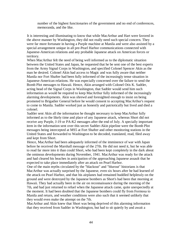number of the highest functionaries of the government and no end of conferences, memoranda, and the like.

It is interesting and illuminating to know that while MacArthur and Hart were favored in the above manner by Washington, they did not really need such special concern. They were far more fortunate in having a Purple machine at Manila and were also assisted by a special arrangement unique in all pre-Pearl Harbor communications connected with Japanese-American relations and any probable Japanese attack on American forces or territory.

When MacArthur felt the need of being well informed as to the diplomatic situation between the United States and Japan, he requested that he be sent one of the best experts from the Army Signal Corps in Washington, and specified Colonel Spencer Akin as the man he desired. Colonel Akin had access to Magic and was fully aware that neither Manila nor Fort Shafter had been fully informed of the increasingly tense situation in Japanese-American relations. He was especially concerned over the failure to send the Bomb Plot messages to Hawaii. Hence, Akin arranged with Colonel Otis K. Sadtler, acting head of the Signal Corps in Washington, that Sadtler would send him such information as would be required to keep MacArthur fully informed of the increasingly alarming developments. Akin was shrewd and foresighted enough to insist on being promoted to Brigadier General before he would consent to accepting MacArthur's request to come to Manila. Sadtler worked just as honestly and patriotically but lived and died a colonel.

Sadtler sent Akin all the information he thought necessary to keep MacArthur fully informed as to the likely time and place of any Japanese attack, whereas Short did not receive any Purple, J-19 or PA-K2 messages after the end of July. A specially important item in the information sent over this secret Sadtler-Akin pipeline were the Bomb Plot messages being intercepted at MS5 at Fort Shafter and other monitoring stations in the United States and forwarded to Washington to be decoded, translated, read, filed away and kept from Short.

Hence, MacArthur had been adequately informed of the imminence of war with Japan before he received the Marshall message of the 27th. He did not need it, but he was able to read far more into it than could Short, who had been kept completely in the dark about the ominous developments during November, 1941. MacArthur was ready for the attack and had cleared his beaches in anticipation of the approaching Japanese assault that he expected to take place immediately after an attack on Pearl Harbor.

One of the main myths circulated by the "blackout" and "blurout" historians is that MacArthur was actually surprised by the Japanese, even six hours after he had learned of the attack on Pearl Harbor, and that his airplanes had remained huddled helplessly on the ground and were destroyed by the Japanese bombers as Short's had been that morning at Hawaii. They had actually been in the air on reconnaissance during the morning of the 7th, and had just returned to refuel when the Japanese attack came, quite unexpectedly at the moment. It had been doubted that the Japanese bombers could fly from Formosa to Manila and return, and weather conditions were also such that it seemed unlikely that they would even make the attempt on the 7th.

MacArthur and Akin knew that Short was being deprived of this alarming information that they received from Sadtler in Washington, but had to sit quietly by and await a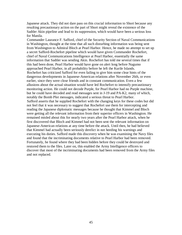Japanese attack. They did not dare pass on this crucial information to Short because any resulting precautionary action on the part of Short might reveal the existence of the Sadtler Akin pipeline and lead to its suppression, which would have been a serious loss for Manila.

Commander Laurance F. Safford, chief of the Security Section of Naval Communications in Washington, thought at the time that all such disturbing information was being sent from Washington to Admiral Bloch at Pearl Harbor. Hence, he made no attempt to set up a secret Safford-Rochefort pipeline which would have given Commander Rochefort, chief of Naval Communications Intelligence at Pearl Harbor, essentially the same information that Sadtler was sending Akin. Rochefort has told me several times that if this had been done, Pearl Harbor would have gone on alert long before Nagumo approached Pearl Harbor, in all probability before he left the Kurile Islands. Rochefort has criticized Safford for even failing to give him some clear hints of the dangerous developments in Japanese-American relations after November 26th, or even earlier, since they were close friends and in constant communication. Even a few allusions about the actual situation would have led Rochefort to intensify precautionary monitoring action. He could not decode Purple, for Pearl Harbor had no Purple machine, but he could have decoded and read messages sent in J-19 and PA-K2, many of which, notably the Bomb Plot messages, indicated a serious threat to Pearl Harbor. Safford asserts that he supplied Rochefort with the changing keys for these codes but did not feel that it was necessary to suggest that Rochefort use them for intercepting and reading the Japanese diplomatic messages because he thought that Kimmel and Bloch were getting all the relevant information from their superior officers in Washington. He remained misled about this for nearly two years after the Pearl Harbor attack, when he first discovered that Bloch and Kimmel had not been sent the relevant information on Japanese-American relations at any time before the attack. Until then, he had believed that Kimmel had actually been seriously derelict in not heeding his warnings and executing his duties. Safford made this discovery when he was examining the Navy files and found that the incriminating documents relative to Pearl Harbor had been removed. Fortunately, he found where they had been hidden before they could be destroyed and restored them to the files. Later on, this enabled the Army Intelligence officers to discover that most of the incriminating documents had been removed from the Army files and not replaced.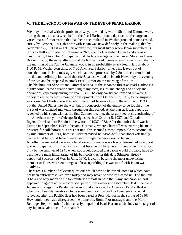## **VI. THE BLACKOUT OF HAWAII ON THE EVE OF PEARL HARBOR**

We may now deal with the problem of why, how and by whom Short and Kimmel were, during the more than a week before the Pearl Harbor attack, deprived of the large and varied mass of information that had been accumulated in Washington and demonstrated, surely by October, 1941, that war with Japan was now definitely in the making, that by November 27, 1941 it might start at any time, but most likely when Japan submitted its reply to Hull's ultimatum of November 26th, that by December 1st and 2nd it was at hand, that by December 4th Japan would declare war against the United States and Great Britain, that by the early afternoon of the 6th war could come at any moment, and that by the morning of the 7th the Japanese would in all probability attack Pearl Harbor about 1:00 P. M. Washington time, or 7:30 A M. Pearl Harbor time. This leaves out of consideration the Kita message, which had been processed by 2:30 on the afternoon of the 6th and definitely indicated that the Japanese would arrive off Hawaii by the evening of the 6th and be prepared to attack Pearl Harbor on the morning of the 7th. The blacking out of Short and Kimmel relative to the Japanese threat at Pearl Harbor is a highly complicated situation involving many facts, issues and changes of policy and operations, especially during the year 1941. The only consistent item and unvarying policy in all the tortuous maze of developments from October 5th, 1937, to the surprise attack on Pearl Harbor was the determination of Roosevelt from the autumn of 1939 to put the United States into the war, but his conception of the enemy to be fought at the onset of war changed markedly throughout this period. At the outset, it was Japan, as revealed by his suggestion at the first Cabinet meeting, the largely secret strengthening of the American navy, the Chicago Bridge speech of October 5, 1937, and Captain Ingersoll's mission to Britain in the winter of 1937-1938. After the outbreak of war in Europe in September, 1939, it became Germany, where Churchill was exerting his main pressure for collaboration. It was not until this seemed almost impossible to accomplish by mid-summer of 1941, because Hitler provided no *casus belli*, that Roosevelt finally decided that he would have to enter war through the back door of Japan. No other prominent American official except Stimson was clearly determined to support war with Japan at this time. Stimson first became publicly very influential in this policy only by the summer of 1941 when Roosevelt decided that Japan would probably have to become the main initial target of his bellicosity. After this date Stimson, already appointed Secretary of War in June, 1940, logically became the most undeviating member of Roosevelt's entourage so far as upholding the war motif with Japan was involved.

There are a number of relevant questions which have to be raised, some of which have not been entirely resolved even today and may never be wholly cleared up. The first one is how and why many of the top military officials in both the Army and Navy at least appeared to ignore at the most crucial period, November and December, 1941, the basic Japanese strategy of a Pacific war – an initial attack on the American Pacific fleet – which had been demonstrated to be sound and practical and had been given special relevance after the Pacific fleet had been based at Pearl Harbor in the spring of 1940? How could they have disregarded the numerous Bomb Plot messages and the Martin-Bellinger Report, both of which clearly pinpointed Pearl Harbor as the inevitable target of any Japanese air attack if war came?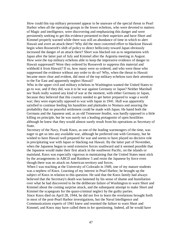How could this top military personnel appear to be unaware of the special threat to Pearl Harbor when all the operating groups in the lower echelons, who were devoted to matters of Magic and intelligence, were discovering and emphasizing this danger and were persistently seeking to get this evidence presented to their superiors and have Short and Kimmel properly warned while there was still an abundance of time in which to alert Hawaii and avert an attack there? Why did the most concerted effort to blackout Hawaii begin when Roosevelt's shift of policy to direct bellicosity toward Japan obviously increased the danger of an attack there? Short was blacked out as to negotiations with Japan after the latter part of July and Kimmel after the Argentia meeting in August. How were the top military echelons able to keep the impressive evidence of danger to Hawaii suppressed? Were they ordered by Roosevelt to suppress this material and withhold it from Hawaii? If so, how many were so ordered, and who were those who suppressed the evidence without any order to do so? Why, when the threat to Hawaii became more clear and evident, did most of the top military echelons turn their attention to the Far East and apparently neglect Hawaii?

Who in the upper civil and military echelons in Washington wanted the United States to go to war, and if they did, was it to be war against Germany or Japan? Neither Marshall nor Stark really wanted any kind of war at the moment, with either Germany or Japan, because they believed that this country needed to get better prepared to wage a world war; they were especially opposed to war with Japan in 1941. Hull was apparently satisfied to continue feeding his banalities and platitudes to Nomura and assuring the probability that no peaceful settlement could be made with Japan. He hated both the Germans and the Japanese and, as an old Tennessee feudist, was hardly opposed to a little killing on principle, but he was surely not a leading protagonist of open hostilities although he knew that they would almost surely result from his operations as Secretary of State.

Secretary of the Navy, Frank Knox, as one of the leading warmongers of the time, was eager to get us into any available war, although he preferred one with Germany, but he wished to have Hawaii well prepared for war and seems to have played no decisive role in precipitating war with Japan or blacking out Hawaii. By the latter part of November, when the Japanese began to send extensive forces southward and it seemed possible that the Japanese would make their first attack in the southwest Pacific, on the islands or mainland, Knox was especially vigorous in maintaining that the United States must stick by the arrangements in ABCD and Rainbow 5 and resist the Japanese by force even though there was no attack on American territory and forces.

When I was teaching at the University of Colorado in 1949, one of my mature students was a nephew of Knox. Learning of my interest in Pearl Harbor, he brought up the subject of Knox in relation to this question. He said that the Knox family had always believed that the Secretary's death was hastened by his sense of shame and humiliation over what he had discovered to be the deliberate failure of Washington to warn Short and Kimmel about the coming surprise attack, and the subsequent attempt to make Short and Kimmel the scapegoats for the quasi-criminal neglect by the guilty parties. Since Knox died on April 28, 1944, he did not live to learn the revelations brought forth

in most of the post-Pearl Harbor investigations, but the Naval Intelligence and Communications experts of 1941 knew and resented the failure to warn Short and Kimmel, and Knox may have called them in for questioning. Indeed, all he would have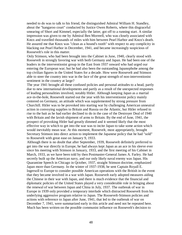needed to do was to talk to his friend, the distinguished Admiral William H. Standley, about the "kangaroo court" conducted by Justice Owen Roberts, where this disgraceful smearing of Short and Kimmel, especially the latter, got off to a running start. A similar impression was given to me by Admiral Ben Morreell, who was closely associated with Knox and travelled thousands of miles with him between Pearl Harbor and Knox's death. He assured me that Knox was "clean as a hound's tooth" with respect to any complicity in blacking out Pearl Harbor in December, 1941, and became increasingly suspicious of Roosevelt's role in this matter.

Only Stimson, who had been brought into the Cabinet in June, 1940, clearly stood with Roosevelt in strongly favoring war with both Germany and Japan. He had been one of the leaders in the interventionist group in the East from 1937 onward who had urged our entering the European war; but he had also been the outstanding Japanophobe among the top civilian figures in the United States for a decade. How were Roosevelt and Stimson able to steer the country into war in the face of the great strength of non-interventionist sentiment in the country at large?

The year 1941 brought all these confused policies and personal attitudes to a head, partly due to new international developments and partly as a result of the unexpected responses of leading personalities involved, notably Hitler. Although keeping Japan as a martial ace-in-the-hole, Roosevelt started out the year with his interventionist policy mainly centered on Germany, an attitude which was supplemented by strong pressure from Churchill. Hitler was to be provoked into starting war by challenging American unneutral action in convoying supplies to Britain and Russia on the Atlantic, but Hitler refused to rise to the bait as he had earlier declined to do in the case of the Destroyer Deal of 1940 with Britain and the lavish shipment of arms to Britain. By the end of June, 1941, the prospect of provoking Hitler had greatly dimmed and it seemed likely that the most effective way in which to get into the war was to incite Japan to take some action which would inevitably mean war. At this moment, Roosevelt, most appropriately, brought Secretary Stimson into direct action to implement the Japanese policy that he had "sold" to Roosevelt with great ease on January 9, 1933.

Although there is no doubt that after September, 1939, Roosevelt definitely preferred to get into the war directly in Europe, he had always kept Japan as an ace in his sleeve ever since his meeting with Stimson in January, 1933, and the first meeting of his Cabinet in March, 1933, as we have been told by then Postmaster-General James A. Farley. He had secretly built up the American navy, and our only likely naval enemy was Japan. His Quarantine Speech in Chicago in Qctober, 1937, straight Stimson doctrine, emphasized Japan more than Germany. In the winter of 1937-1938, he sent Captain Royall E. Ingersoll to Europe to consider possible American operations with the British in the event that they became involved in a war with Japan. Roosevelt early adopted measures aiding the Chinese in their war with Japan, and there is much evidence that the financial and diplomatic policies of the United States played a very considerable role in bringing about the renewal of war between Japan and China in July, 1937. The outbreak of war in Europe in 1939 only provided a temporary interlude which distracted Roosevelt from his underlying aggressive program relative to Japan. The Roosevelt-Stimson policies and actions with reference to Japan after June, 1941, that led to the outbreak of war on December 7, 1941, were summarized early in this article and need not be repeated here. Much has been written on the possible communist influence on Roosevelt's decision to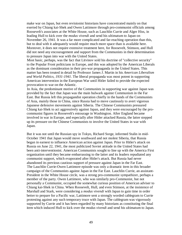make war on Japan, but even revisionist historians have concentrated mainly on that exerted by Chiang kai-Shek and Owen Lattimore through pro-communist officials among Roosevelt's associates at the White House, such as Lauchlin Currie and Alger Hiss, in leading Hull to kick over the *modus vivendi* and send his ultimatum to Japan on November 26, 1941. It was a far more complicated and far-reaching operation than this, but to deal with it adequately would require much more space than is available here. Moreover, it does not require extensive treatment here, for Roosevelt, Stimson, and Hull did not need any encouragement and support from the Communists in their determination to pressure Japan into war with the United States.

Most basic, perhaps, was the fact that Litvinov sold his doctrine of "collective security" to the Popular Front politicians in Europe, and this was adopted by the American Liberals as the dominant consideration in their pro-war propaganda in the United States. This matter has been treated in detail by Professor James J. Martin in his *American Liberalism and World Politics, 1931-1941*. The liberal propaganda was most potent in supporting American intervention in the European War until Hitler failed to provide the expected provocation to war on the Atlantic.

In Asia, the predominant motive of the Communists in supporting war against Japan was provided by the fact that Japan was the main bulwark against Communism in the Far East. But Russia left this propagandist operation chiefly in the hands of the Communists of Asia, mainly those in China, since Russia had to move cautiously to avert vigorous Japanese defensive movements against Siberia. The Chinese Communists pressured Chiang kai-Shek to act aggressively against Japan, and they were encouraged by the procommunist figures in Roosevelt's entourage in Washington. After England became involved in war in Europe, and especially after Hitler attacked Russia, the latter stepped up its pressure on the Chinese Communists to involve the United States in war with Japan.

But it was not until the Russian spy in Tokyo, Richard Sorge, informed Stalin in mid-October 1941 that Japan would move southward and not molest Siberia, that Russia began in earnest to influence American action against Japan. Prior to Hitler's attack on Russia on June 22, 1941, the most publicized Soviet attitude in the United States had been anti-interventionist. American Communists sought to line up with the America First organization until they became embarrassing to the latter and its leaders repudiated any communist support, which evaporated after Hitler's attack. But Russia had never abandoned its previous cautious support of pressure against Japan in the Far East. The Lauchlin Currie-Owen Lattimore episode was only a dramatic item in this broader campaign of the Communists against Japan in the Far East. Lauchlin Currie, an assistant-President in the White House circle, was a strong pro-communist sympathizer, perhaps a member of the party. Owen Lattimore, who was similarly pro-Communist, but not personally a Communist, occupied the somewhat curious position of American adviser to Chiang kai-Shek in China. When Roosevelt, Hull, and even Stimson, at the insistence of Marshall and Stark, were considering a *modus vivendi* with Japan to gain time in order better to prepare for a Pacific war, Lattimore sent a strongly worded cablegram to Currie protesting against any such temporary truce with Japan. The cablegram was vigorously supported by Currie and it has been regarded by many historians as constituting the final item which induced Hull to kick over the *modus vivendi* and send his ultimatum to Japan.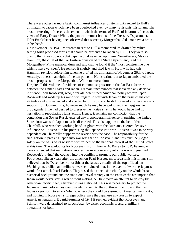There were other far more basic, communist influences on items with regard to Hull's ultimatum to Japan which have been overlooked even by many revisionist historians. The most interesting of these is the extent to which the terms of Hull's ultimatum reflected the views of Harry Dexter White, the pro-communist brains of the Treasury Department, Felix Frankfurter having once observed that secretary Morgenthau did "not have a brain in his head".

On November 18, 1941, Morgenthau sent to Hull a memorandum drafted by White setting forth proposed terms that should be presented to Japan by Hull. They were so drastic that it was obvious that Japan would never accept them. Nevertheless, Maxwell Hamilton, the chief of the Far Eastern division of the State Department, read the Morgenthau-White memorandum and said that he found it the "most constructive one which I have yet seen". He revised it slightly and filed it with Hull, who had this Hamilton revision before him when he drafted his ultimatum of November 26th to Japan. Actually, no less than eight of the ten points in Hull's ultimatum to Japan embodied the drastic proposals of the Morgenthau-White memorandum.

Despite all this volume of evidence of communist pressure in the Far East for war between the United States and Japan, I remain unconvinced that it exerted any decisive influence upon Roosevelt, who, after all, determined American policy toward Japan. Roosevelt had made up his mind with regard to war with Japan on the basis of his own attitudes and wishes, aided and abetted by Stimson, and he did not need any persuasion or support from Communists, however much he may have welcomed their aggressive propaganda. If he had desired to preserve the *modus vivendi* he would have had no hesitation in repudiating Hull's action. Hence, it remains my conviction that the contention that Soviet Russia exerted any preponderant influence in pushing the United States into war with Japan must be discarded. This also applies to the belief that Churchill, who was then working hand-in-glove with the Russians, exerted decisive influence on Roosevelt in his pressuring the Japanese into war. Roosevelt was in no way dependent on Churchill's support; the reverse was the case. The responsibility for the final action in pressing Japan into war was that of Roosevelt, and this must be judged solely on the basis of its wisdom with respect to the national interest of the United States at this time. The apologists for Roosevelt, from Thomas A. Bailey to T. R. Fehrenbach, have contended that our national interest required our entry into the war and justified Roosevelt's "lying" the country into the conflict to promote our public welfare. For at least fifteen years after the attack on Pearl Harbor, most revisionist historians still believed that by December 4th or 5th, at the latest, virtually all the top officials in Washington, civilian and military, were convinced that, in the event of war, the Japanese would first attack Pearl Harbor. They based this conclusion chiefly on the whole broad historical background and the traditional naval strategy in the Pacific: the assumption that Japan would never start a war without making her first move an attempt to destroy the American Pacific fleet, wherever it was stationed. This was necessary to protect the Japanese flank before they could safely move into the southwest Pacific and the East Indies or go north to attack Siberia, unless they could be assured of American neutrality, and nothing in Roosevelt's foreign policy gave the Japanese any reason to expect American neutrality. By mid-summer of 1941 it seemed evident that Roosevelt and Stimson were determined to wreck Japan by either economic pressure, military operations, or both.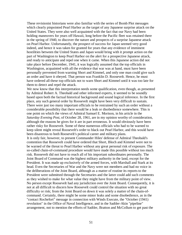These revisionist historians were also familiar with the series of Bomb Plot messages which clearly pinpointed Pearl Harbor as the target of any Japanese surprise attack on the United States. They were also well acquainted with the fact that our Navy had been holding maneuvers for years off Hawaii, long before the Pacific fleet was retained there in the spring of 1940, to discover the nature and prospects of a surprise Japanese attack on Pearl Harbor. Unfortunately, the prospect of success for Japan seemed very good indeed, and hence it was taken for granted for years that any evidence of imminent hostilities between the United States and Japan would bring with it prompt action on the part of Washington to keep Pearl Harbor on the alert for a prospective Japanese attack, and ready to anticipate and repel one when it came. When this Japanese action did not take place before December, 1941, it was logically assumed that the top officials in Washington, acquainted with all the evidence that war was at hand, must have been personally prevented from warning Short and Kimmel, and only one man could give such an order and have it obeyed. That person was Franklin D. Roosevelt. Hence, he must have ordered all these top officials not to warn Short and Kimmel until it was too late for them to detect and repel the attack.

We now know that this interpretation needs some qualification, even though, as presented by Admiral Robert A. Theobald and other informed experts, it seemed to be soundly based upon both the factual historical background and sound logical inference. In the first place, any such general order by Roosevelt might have been very difficult to sustain. There were just too many important officials to be restrained by such an order without a considerable possibility that there would be a leak or disobedience somewhere. This is one point on which the views of Admiral Samuel E. Morison, in his article in the *Saturday Evening Post*, of October 28, 1961, are in my opinion worthy of consideration, although the reasons he gives for it are in part erroneous. It would obviously have been rather risky for Roosevelt. Some of these numerous officials who had to be warned to keep silent might reveal Roosevelt's order to black out Pearl Harbor, and this would have been disastrous to both Roosevelt's political career and military plans.

It is only fair, however, to present Commander Hiles' defense of Admiral Theobald's contention that Roosevelt could have ordered that Short, Bloch and Kimmel were not to be warned of the threat to Pearl Harbor without any great personal risk of exposure. The so-called chain-of-command procedure would have made this possible without too much risk. Roosevelt did not have to reach all of his important subordinates personally. The Joint Board of Command was the highest military authority in the land, except for the President. It was made up exclusively of the armed forces, with Marshall and Stark at its head. Even the Secretaries of War and the Navy were not members and had no voice in the deliberations of the Joint Board, although as a matter of routine its reports to the President were submitted through the Secretaries and the latter could add such comments as they wished to make for what value they might have from the military point of view. No person except Roosevelt had any jurisdiction over the Joint Board. Consequently, it is not at all difficult to discern how Roosevelt could control the situation with no great difficulty or risk; from the Joint Board on down it was solely a matter of the chain-ofcommand. Certainly, there might be some minor leaks and some disobedience, as in the "contact Rochefort" message in connection with Winds Execute, the "October (1941) revolution" in the Office of Naval Intelligence, and in the Sadtler-Akin "pipeline" arrangement, not to mention the efforts of Sadtler, Bratton and McCollum to get past the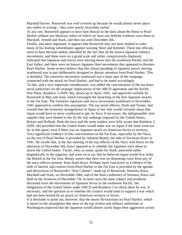Marshall barrier. Roosevelt was well covered up because he would almost never place any orders in writing – they were nearly invariably verbal.

At any rate, Roosevelt appears to have kept Hawaii in the dark about the threat to Pearl Harbor without any blackout orders of which we have any definite evidence save those to Marshall, Arnold and Stark, and then not until December 4th.

Finally, and most important, it appears that Roosevelt may not have needed to order many of his leading subordinates against warning Short and Kimmel. These top officials seem to have become unduly absorbed by the fact that all the known Japanese military movements, and these were on a grand scale and rather conspicuously displayed, indicated that Japanese task forces were moving down into the southwest Pacific and the East Indies, and there were no known Japanese fleet movements that appeared to threaten Pearl Harbor. Some writers believe that this virtual parading of Japanese power moving southward was in part deliberately designed to distract attention from Pearl Harbor. This is doubtful. The extensive movement southward was a basic part of the campaign connected with the attack on Pearl Harbor, and had to be timed accordingly. To this, and a very important consideration, was added the concentration of the top brass naval authorities on the strategic implications of the ABCD agreement and the Pacific War Plans, Rainbow 5 (WPL 46), drawn up in April, 1941, and approved verbally by Roosevelt in May and June, which envisaged the launching of the first Japanese attacks in the Far East. The extensive Japanese task force movements southward in November, 1941 appeared to confirm this assumption. The top naval officers, Stark and Turner, had warned that the economic strangulation of Japan in late July would certainly mean that Japan would have to move southward to get, by force if necessary, the indispensable vital supplies that were denied to her by the July embargo imposed by the United States, Britain and Holland. Both the navy and the army leaders were fully aware that Rainbow 5 (WPL 46) provided that the United States would make war on Japan if the latter went too far in this quest, even if there was no Japanese attack on American forces or territory. Very significant evidence of this concentration on the Far East, especially by the Navy, on the eve of Pearl Harbor is provided by Admiral Beatty, the aide of Secretary Knox in 1941. He recalls that, at the last meeting of the top officers of the Navy with Knox on the afternoon of December 6th, Knox inquired as to whether the Japanese were about to attack the United States. Turner, who, as usual, spoke for Stark, answered rather dogmatically in the negative, and went on to say that he believed Japan would first strike the British in the Far East. Beatty asserts that there was no dissenting voice from any of the navy officers present, from Stark down. Perhaps more conclusive as evidence of the shift of interest and concern from Pearl Harbor to the Far East is provided by the agenda and discussions of Roosevelt's "War Cabinet", made up of Roosevelt, Stimson, Knox, Marshall and Stark, on November 28th, and of the final conference of Stimson, Knox and Hull on the forenoon of December 7th. In both cases the main subject and problems discussed were the movements of Japanese forces to the southwest Pacific, the obligations of the United States under ABCD and Rainbow 5 to check these by war, if necessary, and the question as to whether the country would unite to support a war which had not been started by an attack on American territory or forces.

It is desirable to point out, however, that the newer Revisionism on Pearl Harbor, which is based on the assumption that most of the top civilian and military authorities in Washington expected that the Japanese would almost surely begin their aggressive action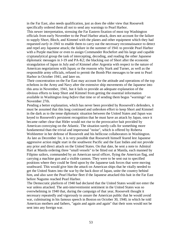in the Far East, also needs qualification, just as does the older view that Roosevelt specifically ordered them all not to send any warnings to Pearl Harbor.

This newer interpretation, stressing the Far Eastern fixation of most top Washington officials from early November to the Pearl Harbor attack, does not account for the failure to supply Short, Bloch, and Kimmel with the planes and other equipment which they had requested *early in 1941* to enable them to carry out the necessary reconnaissance to detect and repel any Japanese attack; the failure in the summer of 1941 to provide Pearl Harbor with a Purple machine or even to assign Commander Rochefort and his large and capable cryptanalytical group the task of intercepting, decoding, and reading the other Japanese diplomatic messages in J-19 and PA-K2; the blacking out of Short after the economic strangulation of Japan in July and of Kimmel after Argentia with respect to the nature of American negotiations with Japan; or the reasons why Stark and Turner, as well as the responsible army officials, refused to permit the Bomb Plot messages to be sent to Pearl Harbor in October 1941, and later on.

Their concentration on the Far East may account for the attitude and operations of the top echelons in the Army and Navy after the extensive ship movements of the Japanese into this area in November, 1941, but it fails to provide an adequate explanation of the obvious efforts to keep Short and Kimmel from getting the essential information available in Washington *long before* that time or of sending them bogus "warnings" on November 27th.

Pending a better explanation, which has never been provided by Roosevelt's defenders, it must be assumed that this long continued and unbroken effort to keep Short and Kimmel in the dark as to the tense diplomatic situation between the United States and Japan was keyed to Roosevelt's persistent recognition that he must have an attack by Japan, once it became rather clear that Hitler would not rise to the provocative bait provided by American convoying on the Atlantic. The situation surely calls for something more fundamental than the trivial and impersonal "noise", which is offered by Roberta Wohlstetter in her defense of Roosevelt and his bellicose collaborators in Washington. As late as December 1st, it is very possible that Roosevelt himself feared lest Japanese aggressive action might start in the southwest Pacific and the East Indies and not provide any prior and direct attack on the United States. On that date, he sent a note to Admiral Hart at Manila ordering three "small vessels" to be fitted out at Manila, each manned by Filipino sailors, commanded by an American naval officer, flying the American flag, and carrying a machine gun and a visible cannon. They were to be sent out to specified positions where they could be fired upon by the Japanese task forces that were moving southward. This would give him the *attack* on American ships that he vitally needed to get the United States into the war by the back door of Japan, unite the country behind him, and also save the Pearl Harbor fleet if the Japanese attacked this bait in the Far East before Nagumo reached Pearl Harbor.

The Democratic platform of 1940 had declared that the United States would not enter the war unless attacked. The anti-interventionist sentiment in the United States was so overwhelming in 1940 that, during the campaign of that year, Roosevelt thought it necessary repeatedly and vigorously to assure the American public that he would avoid war, culminating in his famous speech in Boston on October 30, 1940, in which he told American mothers and fathers, "again and again and again" that their sons would not be sent into any foreign war.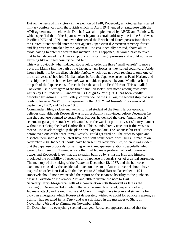But on the heels of his victory in the election of 1940, Roosevelt, as noted earlier, started military conferences with the British which, in April 1941, ended at Singapore with the ADB agreement, to include the Dutch. It was all implemented by ABCD and Rainbow 5, which specified that if the Japanese went beyond a certain arbitrary line in the Southwest Pacific-100'E and 10.N – and even threatened the British and Dutch possessions there, the United States would enter the war against Japan even if American territory, forces and flag were *not* attacked by the Japanese. Roosevelt actually desired, above all, to avoid having to enter the war in this manner. If this happened, he would have to reveal that he had deceived the American public in his campaign promises and would not have anything like a united country behind him.

This was obviously what induced Roosevelt to order the three "small vessels" to move out from Manila into the path of the Japanese task forces as they sailed southward. Aside from a futile trip by the dispatch ship, *Isabel*, which was not even repainted, only one of the small vessels" had left Manila harbor before the Japanese struck at Pearl Harbor, and this ship, the little schooner *Lanikai*, was not able to proceed beyond Manila harbor into the path of the Japanese task forces before the attack on Pearl Harbor. This so-called Cockleshell ship stratagem of the three "small vessels", first noted among revisionist writers by Dr. Frederic R. Sanborn in his *Design for War* (1951) has been vividly described by Admiral Kemp Tolley, commander of the *Lanikai*, the second ship that was ready to leave as "bait" for the Japanese, in the *U.S. Naval Institute Proceedings* of September, 1962, and October 1963.

Commander Hiles, a close and well-informed student of the Pearl Harbor episode, believes that, although Roosevelt was in all probability convinced before December 1st that the Japanese planned to attack Pearl Harbor, he devised the three "small vessels" scheme to get a prior attack which would start the war in a politically satisfactory manner without sacrificing the Pearl Harbor fleet. This is undoubtedly true, but if this was his motive Roosevelt thought up the plan some days too late. The Japanese hit Pearl Harbor before even one of the three "small vessels" could get fired on. The order to equip and dispatch them should at the latest have been sent coincidental with Hull's ultimatum on November 26th. Indeed, it should have been sent by November 5th, when it was evident that the Japanese proposals for settling American-Japanese relations peacefully which were to be offered in November were the final Japanese gesture that could preserve peace, and Roosevelt knew that the situation built up by Stimson, Hull and himself precluded the possibility of accepting any Japanese proposals short of a virtual surrender. The memory of the sinking of the *Panay* on December 12, 1937, and the bellicose excitement caused by the accidental attack on one small American vessel should have inspired an order identical with that he sent to Admiral Hart on December 1, 1941. Roosevelt should not have needed the report on the Japanese hostility to the gunboats passing Formosa on November 29th and 30th to inspire the note to Hart. Secretary Henry Morgenthau tells of a conversation with Roosevelt as late as the morning of December 3rd in which the latter seemed frustrated, despairing of any Japanese attack, and feared that he and Churchill might have to plan and strike the first blow, an emergency which Roosevelt desperately wished to avoid for political reasons, as Stimson has revealed in his *Diary* and was stipulated in the messages to Short on November 27th and to Kimmel on November 29th.

On December 4th, everything seemed changed. Roosevelt appeared assured that the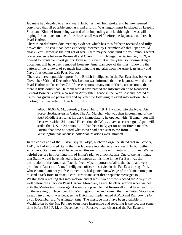Japanese had decided to attack Pearl Harbor as their first stroke, and he now seemed convinced that all possible emphasis and effort in Washington must be placed on keeping Short and Kimmel from being warned of an impending attack, although he was still hoping for an attack on one of the three 'small vessels" before the Japanese could reach Pearl Harbor.

There is no definitive documentary evidence which has thus far been revealed and fully *proves* that Roosevelt had been explicitly informed by December 4th that Japan would attack Pearl Harbor as the first act of war. There may be none until the voluminous secret correspondence between Roosevelt and Churchill, which began in September, 1939, is opened to reputable investigators. Even in this event, it is likely that so incriminating a document will have been removed from any American copy of the files, following the pattern of the removal of so much incriminating material from the American Army and Navy files dealing with Pearl Harbor.

There are three reputable reports from British intelligence in the Far East that, between November 30th and December 7th, London was informed that the Japanese would attack Pearl Harbor on December 7th. If these reports, or any one of them, are accurate, then there is little doubt that Churchill would have passed the information on to Roosevelt. General Bonner Fellers, who was in Army Intelligence in the Near East and located at Cairo, has given me personally and by letter the following relevant information. Here, quoting from his letter of March 6th, 1967:

About 10:00 A. M., Saturday, December 6, 1941, I walked into the Royal Air Force Headquarters in Cairo. The Air Marshal who was then in command of the RAF Middle East sat at his desk. Immediately, he opened with: "Bonner, you will be at war within 24 hours." He continued: "We . . . have a secret signal Japan will strike the U. S. in 24 hours." . . . I had been in Egypt for about fifteen months. During that time no word whatsoever had been sent to me from G-2 in Washington that Japanese-American relations were strained.

In the confession of the Russian spy in Tokyo, Richard Sorge, he stated that in October, 1941, he had informed Stalin that the Japanese intended to attack Pearl Harbor within sixty days. Stalin may well have passed this on to Roosevelt in return for Sumner Welles' helpful gesture in informing him of Hitler's plan to attack Russia. One of the last things that Stalin would have wished to have happen at this time in the Far East was the destruction of the American Pacific fleet. Most important of all is the fact that a very prominent American Army Intelligence officer in service in the Far East during 1941, whose name I am not yet free to mention, had gained knowledge of the Yamamoto plan to send a task force to attack Pearl Harbor and sent three separate messages to Washington revealing this information, and at least two of these reached the Army files well before the attack on Pearl Harbor. Moreover, as will be clear later on when we deal with the Merle-Smith message, it is entirely possible that Roosevelt could have read this on the evening of December 4th, Washington time, and known that the United States was already involved in war because the Dutch had implemented ABCD and Rainbow 5 (A-2) on December 3rd, Washington time. The message must have been available in Washington by the 5th. Perhaps even more instructive and revealing is the fact that some time before 5:30 P. M. on December 4th, Roosevelt had discussed the Far Eastern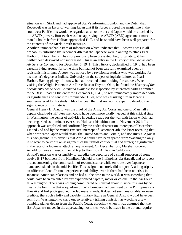situation with Stark and had approved Stark's informing London and the Dutch that Roosevelt was in favor of warning Japan that if its forces crossed the magic line in the southwest Pacific this would be regarded as a hostile act and Japan would be attacked by the ABCD powers. Roosevelt was thus approving the ABCD (ABD) agreement more than 24 hours before Halifax approached Hull, and he should have been well prepared for the contents of the Merle-Smith message.

Another unimpeachable item of information which indicates that Roosevelt was in all probability informed by December 4th that the Japanese were planning to attack Pearl Harbor on December 7th has not previously been presented, but, fortunately, it has neither been destroyed nor suppressed. This is an entry in the History of the *Sacramento Air Service Command* for December 6, 1941. This *History*, declassified in 1948, had been casually lying around for some time but had not been carefully examined even by revisionist historians. A copy was noticed by a revisionist student who was working for his master's degree at Indiana University on the subject of logistic failures at Pearl Harbor. Having plenty of money, he had travelled about looking for sources. When visiting the Wright-Patterson Air Force Base at Dayton, Ohio, he found the *History of the Sacramento Air Service Command* available for inspection by interested parties admitted to the Base. Reading the entry for December 6, 1941, he was immediately impressed with its significance and sent it to Commander Hiles, who was assisting him in locating source-material for his study. Hiles has been the first revisionist expert to develop the full significance of this material.

General Henry H. Arnold was the chief of the Army Air Corps and one of Marshall's deputy chiefs-of-staff. Few men could have been more vitally needed at this critical time in Washington, the center of activities in getting ready for the war with Japan which had been regarded as imminent ever since Hull sent his ultimatum on November 26th. Its approach was amplified and confirmed by the codes destruction intercepts of December 1st and 2nd and by the Winds Execute intercept of December 4th, the latter revealing that when war came Japan would attack the United States and Britain, and not Russia. Against this background, it is obvious that Arnold could have been spared from Washington only if he were to carry out an assignment of the utmost confidential and strategic significance in the face of a Japanese attack at any moment. On December 5th, Marshall ordered Arnold to make a transcontinental trip to Hamilton Airfield in California. Arnold's mission was ostensibly to expedite the departure of a small squadron of some twelve B-17 bombers from Hamilton Airfield to the Philippines via Hawaii, and to repeat orders concerning the continuation of reconnaissance while en route over Japanese mandated islands in the mid-Pacific. This assignment surely did not justify a long trip by an officer of Arnold's rank, experience and ability, even if there had been no crisis in Japanese-American relations and he had all the time in the world. It was something that could have been executed by any experienced captain, major or colonel in the Air Force at Washington. There was nothing complicated or unusual about it, since this was by no means the first time that a squadron of B-17 bombers had been sent to the Philippines via Hawaii and had photographed the Japanese islands. It does not seem reasonable, or even credible, that such a lofty and capable military figure as General Arnold would have been sent from Washington to carry out so relatively trifling a mission as watching a few bombing planes depart from the Pacific Coast, especially when it was assumed that the first Japanese moves in the approaching hostilities would be made in the air and require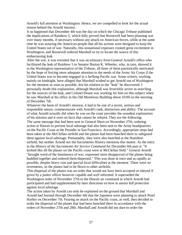Arnold's full attention at Washington. Hence, we are compelled to look for the actual reason behind the Arnold mission.

It so happened that December 4th was the day on which the Chicago *Tribune* published the implications of Rainbow 5, which fully proved that Roosevelt had been planning war over many months, if necessary without any attack on American forces, while at the same time he was assuring the American people that all his actions were designed to keep the United States out of war. Naturally, this sensational exposure created great excitement in Washington, and Roosevelt ordered Marshall to try to locate the source of this embarrassing leak.

After the war, it was revealed that it was an emissary from General Arnold's office who facilitated the leak of Rainbow 5 to Senator Burton K. Wheeler, who, in turn, showed it to the Washington representative of the *Tribune*, all three of them patriotically motivated by the hope of forcing more adequate attention to the needs of the Army Air Corps if the United States was to become engaged in a farflung Pacific war. Some writers, working mainly on hindsight, have alleged that Marshall wished to get Arnold out of Washington for the moment as soon as possible, lest his relation to the "leak" be discovered. I personally doubt this explanation, although Marshall was feverishly active in searching for the sources of the leak, and Colonel Deane was working for him on this subject when he saw Marshall at his office in the Old Munitions Building about 10:00 on the morning of December 7th.

Whatever the basis of Arnold's mission, it had to be one of a secret, serious and responsible nature, commensurate with Arnold's rank, distinction and ability. The account of what Arnold actually did when he was on the coast provides the soundest explanation of his mission and it rests on facts that cannot be refuted. They are the following: The same message that had been sent to General Short on November 27th, ordering action at Hawaii to prevent local sabotage had also been sent to the Army headquarters on the Pacific Coast at the Presidio in San Francisco. Accordingly, appropriate steps had been taken at the McClellan airfield and the planes had been bunched there to safeguard them against local sabotage. Presumably, they were also bunched at the Hamilton airfield, but neither Arnold nor the Sacramento *History* mentions this matter. As the entry in the *History of the Sacramento Air Service Command* for December 6th puts it: "It looked like all the planes on the Pacific coast were at McClellan field." General Arnold "brought word of the imminence of war, expressed stern disapproval of the planes being huddled together and ordered them dispersed." This was done at once and as rapidly as possible, despite heavy rain and special local difficulties at the moment. There were no revetments, so the planes had to be flown to other airfields.

This dispersal of the planes was an order that would not have been accepted or obeyed if given by a junior officer however capable and well informed. It superseded the Washington order of November 27th to the Hawaii air command in which Arnold had participated and had supplemented by later directions on how to assure full protection against local sabotage.

The action taken by Arnold can only be explained on the ground that Marshall and Arnold had learned through December 4th that the Japanese were planning to attack Pearl Harbor on December 7th. Fearing an attack on the Pacific coast, as well, they decided to order the dispersal of the planes that had been bunched there in accordance with the orders of November 27th and 28th. Marshall and Arnold did not dare to order the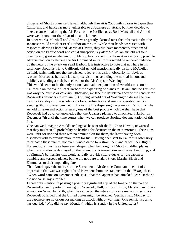dispersal of Short's planes at Hawaii, although Hawaii is 2500 miles closer to Japan than California, and hence far more vulnerable to a Japanese air attack, but they decided to take a chance on alerting the Air Force on the Pacific coast. Both Marshall and Arnold were well known for their fear of an attack there.

In other words, Marshall and Arnold were greatly alarmed over the information that the Japanese would attack at Pearl Harbor on the 7th. While their hands were tied with respect to alerting Short and Martin at Hawaii, they did have momentary freedom of action on the Pacific coast and could surreptitiously alert McClellan airfield without creating any great excitement or publicity. In any event, by the next morning any possible adverse reaction to alerting the Air Command in California would be rendered redundant by the news of the attack on Pearl Harbor. It is instructive to note that nowhere in his testimony about his trip to California did Arnold mention actually visiting McClellan airfield, which indicates that he wished to leave this visit in obscurity for obvious reasons. Moreover, he made it a surprise visit, thus avoiding the normal honors and publicity attending a visit by the head of the Air Corps in Washington.

This would seem to be the only rational and valid explanation of Arnold's mission to California on the eve of Pearl Harbor; the expediting of planes to Hawaii and the Far East was only the excuse or coverup. Otherwise, we face the double paradox of the century for Roosevelt's defenders to explain: (1) pulling Arnold out of Washington during the two most critical days of the whole crisis for a perfunctory and routine operation, and (2) keeping Short's planes bunched in Hawaii, while dispersing the planes in California. The Arnold mission and action is surely one of the best proofs which we shall have that Roosevelt had advance knowledge that the Japanese planned to attack Pearl Harbor on December 7th until the time comes when we can produce absolute documentation of this fact.

One can well imagine Arnold's feelings as he sent off the B-17's to Hawaii, unwarned that they might in all probability be heading for destruction the next morning. Their guns were unfit for use and there was no ammunition for them, the latter having been dispensed with to provide more room for fuel. Having been sent to California ostensibly to dispatch these planes, not even Arnold dared to restrain them and cancel their flight. His emotions must have been even deeper when he thought of Short's huddled planes, which would also be destroyed on the ground by Japanese bombers the next morning, and of Kimmel's battleships that would actually provide sitting-ducks for the Japanese bombing and torpedo planes, but he did not dare to alert Short, Martin, Bloch and Kimmel as to their impending fate.

That Arnold gave the officers at the Sacramento Air Service Command the definite impression that war was right at hand is evident from the statement in the *History* that: "When word came on December 7th, 1941, that the Japanese had attacked Pearl Harbor it did not cause any surprise!"

I shall only mention in passing a possibly significant slip of the tongue on the part of Roosevelt at an important meeting of Roosevelt, Hull, Stimson, Knox, Marshall and Stark at noon on November 25th, which has attracted the interest of some revisionist scholars. Roosevelt observed that the United States might be attacked "perhaps next Monday for the Japanese are notorious for making an attack without warning." One revisionist critic has queried: "Why did he say 'Monday', which is Sunday in the United states?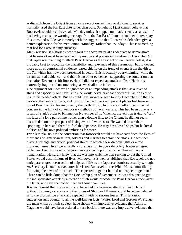A dispatch from the Orient from anyone except our military or diplomatic services normally used the Far East date rather than ours. Somehow, I just cannot believe that Roosevelt would even have said Monday unless it slipped out inadvertently as a result of his having read some warning message from the Far East." I am not inclined to overplay this item, and will leave it merely with the suggestion that Roosevelt's defenders give a better explanation for his mentioning "Monday" rather than "Sunday". This is something that had long aroused my curiosity.

Many revisionist historians now regard the above material as adequate to demonstrate that Roosevelt must have received impressive and precise information by December 4th that Japan was planning to attack Pearl Harbor as the first act of war. Nevertheless, it is probably best to recognize the plausibility and relevance of this assumption but to depend more upon circumstantial evidence, based chiefly on the trend of events from the 4th to the 7th which has now been presented in detail. This is actually overwhelming, while the circumstantial evidence – and there is no other evidence – supporting the contention that even after December 4th Roosevelt still did not expect an attack on Pearl Harbor is extremely fragile and unconvincing, as we shall now indicate.

One argument for Roosevelt's ignorance of an impending attack is that, as a lover of ships and especially our naval ships, he would never have sacrificed our Pacific fleet to insure his needed attack. But he could have known or seen to it by December 5th that the carriers, the heavy cruisers, and most of the destroyers and pursuit planes had been sent out of Pearl Harbor, leaving mainly the battleships, which were chiefly of sentimental concern in the light of contemporary methods of naval warfare. This had been done as a result of Stark's order to Kimmel on November 27th. When Roosevelt was trying to "sell" his idea of a long patrol line, rather than a double line, to the Orient, he did not seem disturbed about the prospect of losing even a few cruisers. He wanted to see them "popping up here and there" to fool the Japanese. He may have loved ships but he loved politics and his own political ambitions far more.

Even less plausible is the contention that Roosevelt would not have sacrificed the lives of thousands of American sailors, soldiers and marines to obtain the attack. He was then playing for high and crucial political stakes in which a few dreadnaughts or a few thousand human lives were hardly a consideration to override policy, however regret table their loss. Roosevelt's program was primarily political rather than military or humanitarian. He surely knew that the war into which he was seeking to put the United States would cost millions of lives. Moreover, it is well established that Roosevelt did not anticipate as great destruction of ships and life as the Japanese bombers actually wrought. As Secretary Knox observed after he visited Roosevelt in the White House immediately following the news of the attack: "He expected to get hit but did not expect to get hurt." There can be little doubt that the Cockleship plan of December 1st was designed to get the indispensable attack by a method which would precede the Pearl Harbor attack, avert the latter, and save the Pacific fleet and American lives.

It is maintained that Roosevelt could have had his Japanese attack on Pearl Harbor without its being a surprise and the forces of Short and Kimmel could have been alerted as to the prospective attack and repelled it with no serious losses. This fantastic suggestion runs counter to all the well-known facts. Walter Lord and Gordon W. Prange, the main writers on this subject, have shown with impressive evidence that Admiral Nagumo would have been ordered to turn back if there was any impressive evidence that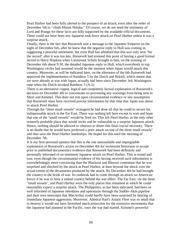Pearl Harbor had been fully alerted to the prospect of an attack, even after the order of December 5th to "climb Mount Niitaka." Of course, we do not need the testimony of Lord and Prange for these facts are fully supported by the available official documents. There could not have been any Japanese task-force attack on Pearl Harbor unless it was a surprise attack.

Finally, there is the fact that Roosevelt sent a message to the Japanese Emperor on the night of December 6th, after he knew that the negative reply to Hull was coming in, suggesting a peaceful settlement, but even Hull has admitted that this was only sent "for the record" after it was too late. Roosevelt had stressed this point of having a good formal record to Harry Hopkins when Lieutenant Schulz brought to him, on the evening of December 6th about 9:30, the detailed Japanese reply to Hull, which everybody in top Washington circles had assumed would be the moment when Japan would attack this country. Moreover, as will be indicated later, on the afternoon of the 6th Roosevelt had approved the implementation of Rainbow 5 by the Dutch and British, which meant that we were already at war with Japan, actually had been since December 3rd, Washington time when the Dutch invoked Rainbow 5 (A-2).

There is an alternative cogent, logical and completely factual explanation of Roosevelt's decision on December 4th to concentrate on preventing any warnings from being sent to Short and Kimmel. This does not rest upon circumstantial evidence or any assumption that Roosevelt must have received precise information by that time that Japan was about to attack Pearl Harbor.

Through the "three small vessels" stratagem he had done all that he could to secure his indispensable attack in the Far East. There was nothing left here except to wait and hope that one of the "small vessels" would be fired on. This left Pearl Harbor as the only other remotely probable place that would invite and be vulnerable to a surprise Japanese attack. Hence, nothing should be allowed to obstruct or divert this final crucial necessity. There is no doubt that he would have preferred a prior attack on one of the three small vessels" and thus save the Pearl Harbor battleships. He hoped for this until the morning of December 7th.

It is my firm personal opinion that this is the one unassailable and impregnable explanation of Roosevelt's action on December 4th for revisionist historians to accept prior to published documentary evidence that Roosevelt had been definitely and personally informed of an imminent Japanese attack on Pearl Harbor. This is sound and true, even though the circumstantial evidence of his having received such information is overwhelmingly more convincing than the Blackout and Blurout contention that he was surprised and shocked by the attack at Pearl Harbor, at least beyond the shock over the actual extent of the devastation produced by the attack. By December 4th he had brought the country to the brink of war. Its outbreak had to come through an attack on American forces if he was to have a united country behind the war effort. The Far East, via the three "small vessels", and Pearl Harbor were the only places that remained at which he could reasonably expect a surprise attack. The Philippines, as has been indicated, had been so well informed of Japanese intentions and operations through the Sadtler-Akin pipeline and their own intercepts that MacArthur could hardly have been surprised by hearing of immediate Japanese aggression. Moreover, Admiral Hart's Asiatic Fleet was so small that to destroy it would not have furnished much protection for the extensive movements that the Japanese had planned in the Pacific, once the war had started. Kimmel's powerful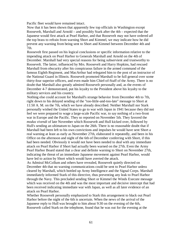Pacific fleet would have remained intact.

Now that it has been shown that apparently few top officials in Washington except Roosevelt, Marshall and Arnold – and possibly Stark after the 4th – expected that the Japanese would first attack at Pearl Harbor, and that Roosevelt may not have ordered *all* the top brass to refrain from warning Short and Kimmel, we may indicate how he did prevent any warning from being sent to Short and Kimmel between December 4th and 7th.

Roosevelt first passed on his logical conclusions or specific information relative to the impending attack on Pearl Harbor to Generals Marshall and Arnold on the 4th of December. Marshall had very special reasons for being subservient and trustworthy to Roosevelt. The latter, influenced by Mrs. Roosevelt and Harry Hopkins, had rescued Marshall from obscurity after his conspicuous failure in the armed command of the famous Eighth Regiment, and MacArthur had relegated him to the post of an instructor of the National Guard in Illinois. Roosevelt promoted Marshall to be full general over some thirty-four superior officers, and even made him Chief-of-Staff of the Army. There is no doubt that Marshall also greatly admired Roosevelt personally and, as the events of December 4-7 demonstrated, put his loyalty to the President above his loyalty to the military services and his country.

Nothing else could account for Marshall's strange behavior from December 4th to 7th, right down to his delayed sending of the "too-little-and-too-late" message to Short at 11:50 A. M. on the 7th, which we have already described. Neither Marshall nor Stark personally wished the United States to go to war with Japan in 1941 because they did not feel we were prepared to wage a large-scale Pacific war, to say nothing of a two-front war in Europe and the Pacific. They so reported on November 5th. They favored the *modus vivendi* of late November which Roosevelt and Hull kicked over, followed by Hull's sending an ultimatum to Japan on the 26th. There is no reasonable doubt that if Marshall had been left to his own convictions and impulses he would have sent Short a real warning at least as early as November 27th, elaborated it repeatedly, and been in his Office on the afternoon and night of the 6th of December conferring with Short, if this had been needed. Obviously it would not have been needed to deal with any immediate attack on Pearl Harbor if Short had actually been warned on the 27th. Even the Army Pearl Harbor Board stated that a clear and definite warning to Short on November 27th, indicating the threat of an immediate Japanese movement against Pearl Harbor, would have led to action by Short which would have averted the attack.

As Admiral McCollum and others have revealed, Roosevelt quietly directed on December 4th that no warning communications could be sent to Pearl Harbor unless cleared by Marshall, which bottled up Army Intelligence and the Signal Corps. Marshall immediately informed Stark of this directive, thus preventing any leak to Pearl Harbor through the Navy. This precluded sending Short or Kimmel the Winds Execute message which was received on the 4th and was the most important and decisive intercept that had been received indicating immediate war with Japan, as well as all later evidence of an attack on Pearl Harbor.

Whether Roosevelt personally emphasized to Stark this arrangement to black out Pearl Harbor before the night of the 6th is uncertain. When the news of the arrival of the Japanese reply to Hull was brought to him about 9:30 on the evening of the 6th, Roosevelt called Stark on the telephone, found that he was out for the evening at the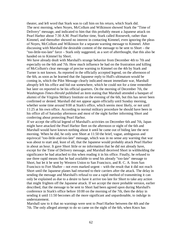theater, and left word that Stark was to call him on his return, which Stark did. The next morning, when Noyes, McCollum and Wilkinson showed Stark the "Time of Delivery" message, and indicated to him that this probably meant a Japanese attack on Pearl Harbor about 7:30 A.M. Pearl Harbor time, Stark called Roosevelt, rather than Kimmel, and thereafter showed no interest in contacting Kimmel, even ignoring the pleas of Noyes, McCollum and Wilkinson for a separate warning message to Kimmel. After discussing with Marshall the desirable content of the message to be sent to Short – the "too-little-too-late" farce – Stark only suggested, as a sort of afterthought, that this also be handed on to Kimmel by Short.

We have already dealt with Marshall's strange behavior from December 4th to 7th and especially on the 6th and 7th. How much influence he had on the frustration and killing of McCollum's clear message of precise warning to Kimmel on the 4th by Stark and Turner is not known. As reported in the officially accepted legend, on the afternoon of the 6th, as soon as he learned that the Japanese reply to Hull's ultimatum would be coming in, which the Pilot Message clearly indicated meant immediate war, Marshall abruptly left his office and hid out somewhere, which he could not for a time remember but later on reported to be his official quarters. On the morning of December 7th, the *Washington-Times-Herald* published an item stating that Marshall attended a banquet of alumni of the Virginia Military Institute on the evening of the 6th, but this has never been confirmed or denied. Marshall did not appear again officially until Sunday morning, whether some time around 9:00 at Stark's office, which seems most likely, or not until 11:25 at his own office. According to normal military procedure he should have been in his office all of Saturday afternoon and most of the night further informing Short and conferring about protecting Pearl Harbor.

If we accept the official legend of Marshall's activities on December 6th and 7th, Japan might have attacked the Pearl Harbor fleet on the afternoon or night of the 6th and Marshall would have known nothing about it until he came out of hiding late the next morning. When he did, he only sent Short at 11:50 the brief, vague, ambiguous and equivocal "too-little-and-too-late" message, which was in no sense any warning that war was about to start and, least of all, that the Japanese would probably attack Pearl Harbor in about an hour. It gave Short little or no information that he did not already have, except for the Time of Delivery message, and Marshall deceived Short in withholding the significance he had attached to this when reading it in his office. Finally, he refused to use three rapid means that he had available to send his already "too-late" message to Short, but let it be sent by Western Union to San Francisco, and R. C. A. from San Francisco to Fort Shafter – not even marked urgent – with the result that it did not reach Short until the Japanese planes had returned to their carriers after the attack. The delay in sending the message and Marshall's refusal to use a rapid method of transmitting it can only be explained as due to a desire to have it arrive too late for Short to take any action that might frighten off the Japanese attack. If we accept the more probable version, earlier described, that the message to be sent to Short had been agreed upon during Marshall's conference in Stark's office before 10:00 on the morning of the 7th, then the delay in sending it until 11:50 becomes all the more significant and unpardonable, to indulge in understatement.

Marshall saw to it that no warnings were sent to Pearl Harbor between the 4th and the 7th. The only alleged attempt to do so came on the night of the 6th, when Knox has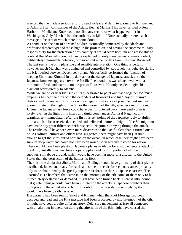asserted that he made a serious effort to send a clear and definite warning to Kimmel and to Admiral Hart, commander of the Asiatic fleet at Manila. This never arrived at Pearl Harbor or Manila and Knox could not find any record of what happened to it in Washington. Only Marshall had the authority to kill it if Knox actually ordered such a message to be sent of which there is some doubt.

As conduct on the part of a trained soldier, assumedly dominated by the ideals and professional stereotypes of those high in his profession, and having the supreme military responsibility for the protection of his country, it would seem both fair and reasonable to contend that Marshall's conduct can be explained on only three grounds: mental defect, deliberately treasonable behavior, or carried out under orders from President Roosevelt. The last seems the only plausible and sensible interpretation. One thing is certain: however much Marshall was dominated and controlled by Roosevelt, his behavior during the brief period between December 4th and 7th perfectly performed the function of keeping Short and Kimmel in the dark about the danger of Japanese attack until the Japanese bombers appeared over the Pacific fleet. And this was all achieved with a minimum of risk and exertion on the part of Roosevelt. He only needed to give his blackout order directly to Marshall.

While we are on or near that subject, it is desirable to point out that altogether too much emphasis has been laid by both the defenders of Roosevelt and his "Day of Infamy" rhetoric and the revisionist critics on the alleged significance of possible "last minute" warnings late on the night of the 6th or the morning of the 7th, whether sent or unsent. Unless the Japanese task force could have been frightened back more easily than is likely, even in the light of its jittery and timid commander, Admiral Nagumo, any warnings sent immediately *after* the first thirteen points of the Japanese reply to Hull's ultimatum had been received, decoded and delivered before midnight of the 6th might not have made any great difference with respect to Nagumo's carrying through the attack. The results could have been even more disastrous to the Pacific fleet than it turned out to be. As Admiral Nimitz and others have suggested, there might have been just time enough to get the ships out of port and on the ocean, in which case they might have been sunk in deep water and could not have been raised, salvaged and restored for action. There would have been plenty of Japanese planes available for a supplementary attack on the Army installations, machine shops, supplies and most important of all, the oil supplies, still above ground, which would have been far more of a disaster to the United States than the destruction of the battleship fleet.

There is little doubt that Short, Martin and Bellinger could have got many of their planes distributed, fueled and ready for battle and some in the air for reconnaissance, probably only to be shot down by the greatly superior air force on the six Japanese carriers. The unarmed B-17 bombers that came in on the morning of the 7th, some of them only to be immediately destroyed or damaged, might have been turned back. There is little doubt that greater damage could have been inflicted on the attacking Japanese bombers than took place in the actual attack, but it is doubtful if the devastation wrought by them would have been greatly lessened.

If a warning had been sent to Short and Kimmel when the Pilot Message had been decoded and read and the Kita message had been processed by mid-afternoon of the 6th, it might have been a quite different story. Defensive movements at Hawaii connected with an alert put in operation during the afternoon of the 6th might have caused the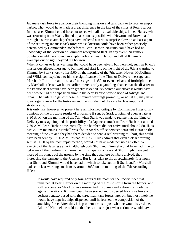Japanese task force to abandon their bombing mission and turn back or to face an empty harbor. That would have made a great difference in the fate of the ships at Pearl Harbor. In this case, Kimmel could have put to sea with all his available ships, joined Halsey who was returning from Wake, linked up as soon as possible with Newton and Brown, and through a surprise attack perhaps have inflicted a serious surprise blow on at least a part of the returning Japanese task force whose location could have been rather precisely determined by Commander Rochefort at Pearl Harbor. Nagumo could have had no knowledge of the location of Kimmel's reorganized fleet. In any event, Nagumo's bombers would have found an empty harbor at Pearl Harbor and all of Kimmel's warships out of sight beyond the horizon.

When it comes to later warnings that could have been given, but were not, such as Knox's mysterious alleged message to Kimmel and Hart late on the night of the 6th, a warning to Kimmel by Stark shortly after 9:00 on the morning of the 7th, when Noyes, McCollum and Wilkinson explained to him the significance of the Time of Delivery message, and Marshall's "too-little-and-too-late" message at 11:50, or even a clear and forthright one by Marshall at least two hours earlier, there is only a gambling chance that the disaster to the Pacific fleet would have been greatly lessened. As pointed out above it would have been worse had the ships been sunk in the deep Pacific beyond hope of salvage and repair. The failure to get off these last minute warnings promptly, or not at all, may have great significance for the historian and the moralist but they are far less important strategically.

It is only fair, however, to present here an informed critique by Commander Hiles of my opinions on the probable results of a warning if sent by Stark to Kimmel even as late as 9:30 A. M. on the morning of the 7th, when Stark was made to realize that the Time of Delivery message implied the probability of a Japanese attack on Pearl Harbor at around 7:30 A.M. Pearl Harbor time. Actually, the bombers did not arrive until about 7:50. If, as McCollum maintains, Marshall was also in Stark's office between 9:00 and 10:00 on the morning of the 7th and they had there decided to send a real warning to Short, this could have been sent by 10:00 A.M. instead of 11:50. Hiles admits that even a clear warning sent at 11:50 by the most rapid method, would not have made possible an effective averting of the Japanese attack, although both Short and Kimmel would have had time to get some of their anti-aircraft armament in shape for action and Short might have got more of his planes off the ground by the time the Japanese bombers arrived, thus increasing the damage to the Japanese. But let us stick to the approximately four hours that Short and Kimmel would have had in which to take action if Stark and/or Marshall had sent clear warnings to them by around 9:30 on the morning of the 7th According to Hiles:

It would have required only four hours at the most for the Pacific fleet that remained at Pearl Harbor on the morning of the 7th to sortie from the harbor, and still less time for Short to have re-oriented his planes and anti-aircraft defense against the attack. Kimmel could have sortied and dispersed his entire force and perhaps rendezvoused with the three main task forces later on, but most likely he would have kept his ships dispersed until he learned the composition of the attacking force. After this, it is problematic as to just what he would have done. Admiral Kimmel has told me that he is not sure just what action he would have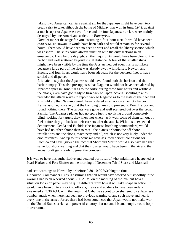taken. Two American carriers against six for the Japanese might have been too great a risk to take, although the battle of Midway was won in June, 1942, against a much superior Japanese naval force and the four Japanese carriers were mainly destroyed by one American carrier, the *Enterprise*.

Now let me set the stage for you, assuming a four-hour alert. It would have been 3:30 A.M. at Hawaii. It would have been dark and would remain so for several hours. There would have been no need to wait and recall the liberty section which was ashore. The ships could always function with the duty sections in an emergency. Long before daylight all the major units would have been clear of the harbor and well scattered beyond visual distance. A few of the smaller ships might have been visible by the time the Japs arrived but even this is not likely because a large part of the fleet was already away with Halsey, Newton and Brown, and four hours would have been adequate for the depleted fleet to have sortied and dispersed.

It is safe to say that the Japanese would have found both the horizon and the harbor empty. This also presupposes that Nagumo would not have been alerted by Japanese spies in Honolulu as to the sortie during these four hours and withheld the attack, even have got ready to turn back to Japan. Several scouting planes preceded the attack waves to report back to Nagumo as to the state of the fleet and it is unlikely that Nagumo would have ordered an attack on an empty harbor. Let us assume, however, that the bombing planes did proceed to Pearl Harbor and found nothing there. The targets were gone and well scattered out over the broad Pacific. The Japanese planes had no spare fuel to go flying around completely blind, looking for targets they knew not where; as it was, some of them ran out of fuel before they got back to their carriers after the attack. With this unexpected denouement, Genda and Fuchida (the Japanese bombing commanders) would have had no other choice than to recall the planes or bomb the off-shore installations and the shops, machinery and oil, which is not very likely under the circumstances. And up to this point we have assumed perfect conditions for Fuchida and have ignored the fact that Short and Martin would also have had that same four-hour warning and that their planes would have been in the air and the anti-aircraft guns ready to greet the bombers.

It is well to have this authoritative and detailed portrayal of what might have happened at Pearl Harbor and Fort Shafter on the morning of December 7th if Stark and Marshall

had sent warnings to Hawaii by or before 9:30-10:00 Washington time. Of course, Commander Hiles is assuming that all would have worked out smoothly if the warning had been received about 3:30 A. M. on the morning of the 7th, but how a situation looks on paper may be quite different from how it will take shape in action. It would have been quite a shock to officers, crews and soldiers to have been rudely awakened at 3:30 A.M. with the news that Oahu was about to be shattered by a Japanese bomber attack when there had been no previous warning of any such move and nearly every one in the armed forces there had been convinced that Japan would not make war on the United States, a rich and powerful country that no small island empire could hope to overcome.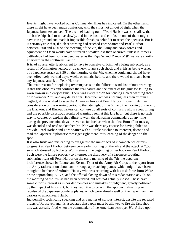Events might have worked out as Commander Hiles has indicated. On the other hand, there might have been much confusion, with the ships not all out of sight when the Japanese bombers arrived. The channel leading out of Pearl Harbor was so shallow that the battleships had to move slowly, and in the haste and confusion one of them might have run aground and made it impossible for ships behind it to reach the open sea. But it is certainly true that, if a clear warning had reached Fort Shafter and Pearl Harbor between 3:00 and 4:00 on the morning of the 7th, the Army and Navy forces and equipment on Oahu would have suffered a smaller loss than occurred, unless Kimmel's battleships had been sunk in deep water as the *Repulse* and *Prince of Wales* were shortly afterward in the southwest Pacific.

It is, of course, utterly abhorrent to have to conceive of Kimmel's being subjected, as a result of Washington neglect or treachery, to any such shock and crisis as being warned of a Japanese attack at 3:30 on the morning of the 7th, when he could and should have been effectively warned days, weeks or months before, and there would not have been any Japanese attack on Pearl Harbor.

The main reason for deploring overemphasis on the failure to send last minute warnings is that this obscures and confuses the real nature and the extent of the guilt for failing to warn Hawaii in plenty of time. There was every reason for sending a clear warning there on November 27th, and any delay after December 4th was nothing less than criminal neglect, if one wished to save the American forces at Pearl Harbor. If one limits main consideration of the warning period to the late night of the 6th and the morning of the 7th, the Blackout and Blurout writers can conjure up all sorts of confusing alibis about timing and the possible disastrous results of warnings sent at this late hour, but there is no such way to counter or explain the failure to warn the Hawaiian commanders at any time during the previous nine days, or even as far back as when the first Bomb Plot message was decoded and read on October 9th. Nor was there any excuse for having failed to provide Pearl Harbor and Fort Shafter with a Purple Machine to intercept, decode and read the Japanese diplomatic messages right there, thus learning of the danger on the spot.

It is also futile and misleading to exaggerate the minor acts of incompetence or misjudgment at Pearl Harbor between very early morning on the 7th and the attack at 7:50, so much stressed by Roberta Wohlstetter at the beginning of her book on Pearl Harbor. Such were the failure properly to interpret the discovery of a Japanese scouting submarine right off Pearl Harbor on the early morning of the 7th, the apparent indifference shown by Lieutenant Kermit Tyler of the Army Air Corps to the report from the Army radar station about some strange approaching planes, which might have been thought to be those of Admiral Halsey who was returning with his task force from Wake or the approaching B-17's, and the official closing down of this radar station at 7:00 on the morning of the 7th, as had been ordered, but was not actually closed. These have some curious interest as minor deficiencies and mistakes of judgment, greatly bolstered by the impact of hindsight, but they had little to do with the approach, diverting or repulse of the Japanese bombing planes, which were already well on their way from their carriers to attack Pearl Harbor.

Incidentally, technically speaking and as a matter of curious interest, despite the repeated orders of Roosevelt and his associates that Japan must be allowed to fire the first shot, this was actually fired when the commander of the American destroyer *Ward* fired upon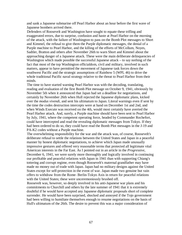and sank a Japanese submarine off Pearl Harbor about an hour before the first wave of Japanese bombers arrived there.

Defenders of Roosevelt and Washington have sought to equate these trifling and exaggerated errors, due to surprise, confusion and haste at Pearl Harbor on the morning of the attack, with the failure of Washington to pass on the Bomb Plot messages to Short and Kimmel, the refusal to give them the Purple diplomatic messages, the denial of a Purple machine to Pearl Harbor, and the killing of the efforts of McCollum, Noyes, Sadtler, Bratton and others after November 26th to warn Short and Kimmel about the approaching danger of a Japanese attack. These were the main deliberate delinquencies of Washington which made possible the successful Japanese attack – to say nothing of the fact that most of the top Washington officialdom, civil and military, involved in such matters, appear to have permitted the movement of Japanese task forces down the southwest Pacific and the strategic assumptions of Rainbow 5 (WPL 46) to drive the whole traditional Pacific naval strategy relative to the threat to Pearl Harbor from their minds.

The time to have started warning Pearl Harbor was with the decoding, translating, reading and evaluation of the first Bomb Plot message on October 9, 1941, obviously by November 5th when it announced that Japan had set a deadline for negotiations, and certainly by November 26th when Hull rejected the Japanese diplomatic plans, kicked over the *modus vivendi*, and sent his ultimatum to Japan. Literal warnings even if sent by the time the codes destruction intercepts were at hand on December 1st and 2nd, and when Winds Execute was received on the 4th, would most certainly have averted the Pearl Harbor attack. And, surely, a Purple machine should have been sent to Pearl Harbor by July, 1941, where the competent operating force, headed by Commander Rochefort, could have intercepted and read the revealing diplomatic messages from Tokyo. If they had been ordered to do so, they could have read the Bomb Plot messages in the J-19 and PA-K2 codes without a Purple machine.

The overwhelming responsibility for the war and the attack was, of course, Roosevelt's deliberate refusal to settle the relations between the United States and Japan in a peaceful manner by honest diplomatic negotiations, to achieve which Japan made unusually impressive gestures and offered very reasonable terms that protected all legitimate vital American interests in the Far East. As I pointed out in an article in the *Progressive*, December 6, 1941, we were surely more thoroughly and logically involved in continuing our profitable and peaceful relations with Japan in 1941 than with supporting Chiang's tottering and corrupt regime, even though Roosevelt's maternal grandfather may have made no money out of trade with Japan. Japan had no military designs against the United States except for self-protection in the event of war. Japan made two genuine but vain offers to withdraw from the Rome- Berlin-Tokyo Axis in return for peaceful relations with the United States; these were unceremoniously brushed off.

Roosevelt was, however, so deeply involved in his anti-Japanese war plans and his commitments to Churchill and others by the late summer of 1941 that it is extremely doubtful if he would have accepted any Japanese diplomatic proposals short of complete surrender. He would have been surprised, shocked and annoyed if the Tojo government had been willing to humiliate themselves enough to resume negotiations on the basis of Hull's ultimatum of the 26th. The desire to prevent this was a major consideration of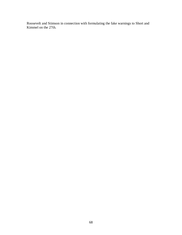Roosevelt and Stimson in connection with formulating the fake warnings to Short and Kimmel on the 27th.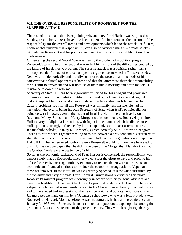## **VII. THE OVERALL RESPONSIBILITY OF ROOSEVELT FOR THE SURPRISE ATTACK**

The essential facts and details explaining why and how Pearl Harbor was surprised on Sunday, December 7, 1941, have now been presented. There remains the question of the responsibility for the overall trends and developments which led to the attack itself. Here, I believe that fundamental responsibility can also be overwhelmingly – almost solely – attributed to Roosevelt and his policies, in which there was far more deliberation than inadvertence.

Our entering the second World War was mainly the product of a political program: Roosevelt's turning to armament and war to bail himself out of the difficulties created by the failure of his domestic program. The surprise attack was a political rather than a military scandal. It may, of course, be open to argument as to whether Roosevelt's New Deal was not ideologically and morally superior to the program and methods of his conservative political opponents at home and that the latter must share the responsibility for his shift to armament and war because of their stupid hostility and often malicious resistance to domestic reforms.

Secretary of State Hull has been vigorously criticized for his arrogant and pharisaical diplomacy, based on unrealistic platitudes, beatitudes, and banalities, and designed to make it impossible to arrive at a fair and decent understanding with Japan over Far Eastern problems. But for all this Roosevelt was primarily responsible. He had no hesitation whatever in being his own Secretary of State when Hull's policies did not coincide with his own, even to the extent of insulting Hull by relying heavily on Raymond Moley, Stimson and Henry Morgenthau in such matters. Roosevelt permitted Hull to carry on diplomatic relations with Japan in the manner which he did because Hull's policies, strongly influenced by his principal advisor on Far Eastern matters, the Japanophobe scholar, Stanley K. Hornbeck, agreed perfectly with Roosevelt's program. There has rarely been a greater meeting of minds between a president and his secretary of state than in the accord between Roosevelt and Hull over our negotiations with Japan in 1941. If Hull had entertained contrary views Roosevelt would no more have hesitated to push Hull aside over Japan than he did in the case of the Morgenthau Plan dealt with at the Quebec Conference in September, 1944.

So far as the economic background of Pearl Harbor is concerned, the responsibility was almost solely that of Roosevelt, whether we consider the effort to save and prolong his political career by creating a military economy to replace the New Deal or his use of economic and financial methods to produce the economic strangulation of Japan and force her into war. In the latter, he was vigorously opposed, at least when instituted, by the top army and navy officials. Even Admiral Turner strongly criticized this move. Roosevelt's militant program was thoroughly in accord with his personal attitudes and aims. His hostility to Japan went back to a deep-seated boyhood affection for China and antipathy to Japan that were closely related to his China-oriented family financial history, and to the alleged bad impression of the traits, behavior and political ambitions of the Japanese people made on him by a "Japanese schoolboy", who was a fellow student with Roosevelt at Harvard. Months before he was inaugurated, he had a long conference on January 9, 1933, with Stimson, the most eminent and passionate Japanophobe among the prominent American statesmen of the present century. They were brought together by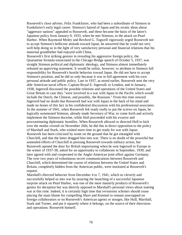Roosevelt's close adviser, Felix Frankfurter, who had been a subordinate of Stimson in Frankfurter's early legal career. Stimson's hatred of Japan and his erratic ideas about "aggressor nations" appealed to Roosevelt, and these became the basis of the latter's Japanese policy from January 9, 1933, when he met Stimson, to the attack on Pearl Harbor. When Raymond Moley and Rexford G. Tugwell vigorously urged Roosevelt not to accept Stimson's bellicose attitude toward Japan, he answered that he could not very well help doing so in the light of very satisfactory personal and financial relations that his maternal grandfather had enjoyed with China.

Roosevelt's first striking gesture in revealing his aggressive foreign policy, the Quarantine formula enunciated in the Chicago Bridge speech of October 5, 1937, was straight Stimson political and diplomatic ideology, and Stimson almost immediately released an approving statement. It would be unfair, however, to attribute to Stimson full responsibility for Roosevelt's hostile behavior toward Japan. He did not have to accept Stimson's position, and he did so only because it was in full agreement with his own personal attitude and public policy. Late in 1937, as noted earlier, Roosevelt sent the very able American naval officer, Captain Royal E. Ingersoll, to London, and in January, 1938, Ingersoll discussed the possible relations and operations of the United States and Great Britain in case they "were involved in a war with Japan in the Pacific which would include the Dutch, the Chinese, and possibly, the Russians." From this time onward Ingersoll had no doubt that Roosevelt had war with Japan in the back of his mind and made no bones of this fact in his confidential discussions with his professional associates. In the summer of 1941, when Roosevelt felt ready really to put the screws on Japan, he logically summoned Stimson, already made Secretary of War, to come forth and actively implement the Stimson doctrine, while Hull proceeded with his evasive and procrastinating diplomatic homilies. When Roosevelt allowed or directed Hull to kick over the *modus vivendi* on November 26th, he did this in direct opposition to the policy of Marshall and Stark, who wished more time to get ready for war with Japan. Roosevelt has been criticized by some on the ground that he got entangled with Churchill, and that the latter dragged him into war. There is no doubt of the powerful but unneeded efforts of Churchill in pressing Roosevelt towards military action, but Roosevelt opened the door for British importuning when he sent Ingersoll to Europe in the winter of 1937-38, asked for an opportunity to collaborate in September, 1939, and later agreed with and cooperated in the Anglo-American joint effort against Germany. The over two years of voluminous secret communications between Roosevelt and Churchill, which determined the course of relations between the United States and Britain, completely hidden from the American public, were instituted at Roosevelt's request.

Marshall's directed behavior from December 4 to 7, 1941, which so cleverly and successfully helped us into war by assuring the launching of a successful Japanese surprise attack on Pearl Harbor, was one of the most masterly products of Roosevelt's genius for deception but was directly opposed to Marshall's personal views about starting war at this time. Indeed, it is certainly high time that revisionist scholars should cease placing the main blame for compelling Short and Kimmel to remain unwrapped on foreign collaborators or on Roosevelt's American agents or stooges, like Hull, Marshall, Stark and Turner, and put it squarely where it belongs, on the source of their directions and operations: Roosevelt himself.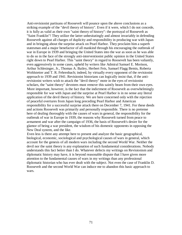Anti-revisionist partisans of Roosevelt will pounce upon the above conclusions as a striking example of the "devil theory of history". Even if it were, which I do not concede, it is fully as valid as their own "saint theory of history": the portrayal of Roosevelt as "Saint Franklin"! They utilize the latter unhesitatingly and almost invariably in defending Roosevelt against all charges of duplicity and responsibility in producing war with Japan and in bringing about the surprise attack on Pearl Harbor. They proclaim him a superb statesman and a major benefactor of all mankind through his encouraging the outbreak of war in Europe in 1939 and bringing the United States into the war as soon as he was able to do so in the face of the strongly anti-interventionist public opinion in the United States right down to Pearl Harbor. This "saint theory" in regard to Roosevelt has been valiantly, even aggressively in some cases, upheld by writers like Admiral Samuel E. Morison, Arthur Schlesinger, Jr., Thomas A. Bailey, Herbert Feis, Samuel Flagg Bemis, Roberta Wohlstetter and T. R. Fehrenbach; indeed, by virtually every opponent of the revisionist approach to 1939 and 1941. Revisionist historians can logically insist that, if the antirevisionist writers wish to attack the "devil theory" mote in the eyes of revisionist scholars, the "saint theory" devotees must remove this saintly beam from their own eyes. More important, however, is the fact that the indictment of Roosevelt as overwhelmingly responsible for war with Japan and the surprise at Pearl Harbor is in no sense any literal application of the devil theory of history. We are here concerned only with the rejection of peaceful overtures from Japan long preceding Pearl Harbor and American responsibility for a successful surprise attack there on December 7, 1941. For these deeds and actions Roosevelt was primarily and personally responsible. There is no pretense here of dealing thoroughly with the causes of wars in general, the responsibility for the outbreak of war in Europe in 1939, the reasons why Roosevelt turned from peace to armament and war after the campaign of 1936, the basis of Roosevelt's desire for the glamor of being a war president, the wisdom of his domestic opponents in opposing the New Deal system, and the like.

Even less is there any attempt here to present and analyze the basic geographical, biological, economic, sociological and psychological causes of wars in general, which account for the genesis of all modern wars including the second World War. Neither the devil nor the saint theory is any explanation of such fundamental considerations. Nobody understands this fact better than I do. Whatever defects my writings on Revisionism and diplomatic history may have, it is beyond reasonable dispute that I have given more attention to the fundamental causes of wars in my writings than any professional diplomatic historian who has ever dealt with the subject. Not even the case of Franklin D. Roosevelt and the second World War can induce me to abandon this basic approach to wars.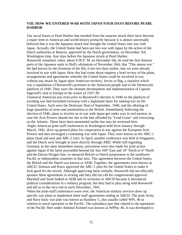## **VIII. HOW WE ENTERED WAR WITH JAPAN FOUR DAYS BEFORE PEARL HARBOR**

Our naval losses at Pearl Harbor that resulted from the surprise attack there have become a major item in American and world history primarily because it is almost universally believed that it was the Japanese attack that brought the United States into war with Japan. Actually, the United States had been put into war with Japan by the action of the Dutch authorities at Batavia, approved by the Dutch government, on December 3rd, Washington time, four days before the Japanese struck at Pearl Harbor. Roosevelt remarked, when, about 9:30 P. M. on December 6th, he read the first thirteen parts of the Japanese reply to Hull's ultimatum of November 26th, that "This means war." He had known by the forenoon of the 6th, if not two days earlier, that we were already involved in war with Japan. How this had come about requires a brief review of the plans, arrangements and agreements whereby the United States could be involved in war without any attack by Japan upon American territory, forces or flag, a situation which was a repudiation of Roosevelt's promises to the American people and of the Democratic platform of 1940. They were the ultimate development and implementation of Captain Ingersoll's visit to Europe in the winter of 1937-38.

Unneutral American acts even prior to Roosevelt's election in 1940 on the platform of avoiding war had furnished Germany with a legitimate basis for making war on the United States. Such were the Destroyer Deal of September, 1940, and the allotting of large quantities of arms and ammunition to the British. Immediately following the election of 1940, plans to involve us in war with Japan got under way in real earnest, in case the Axis Powers should not rise to the bait afforded by "Lend Lease" and convoying on the Atlantic. These have been mentioned earlier but may be reviewed here. Anglo-American joint-staff conferences in Washington held from January through March, 1941, drew up general plans for cooperation in war against the European Axis Powers and also envisaged a containing war with Japan. They were known as the ABC-1 plans (land and sea) and ABC-2 (air). In April, another conference was held in Singapore, and the Dutch were brought in more directly through ABD. While still regarding Germany as the main immediate enemy, provisions were also made for joint action against Japan if the latter proceeded beyond the line 100° East and 10° North or 6° North and the Davao-Waigeo line, or menaced British or Dutch possessions in the southwest Pacific or independent countries in that area. This agreement between the United States, the British and the Dutch was known as ADB. Together, the agreements were known as ABCD. Stimson and Knox approved the ABC-1 plan for the United States to make it look good for the record. Although approving them verbally, Roosevelt did not officially sponsor these agreements in writing and they did not call for congressional approval. Marshall and Stark balked at ADB and its inclusion in ABCD because it introduced political considerations in a military program, but they had to play along with Roosevelt and did so to the very end in early December, 1941.

When the joint-staff conferences were over, the American military services drew up specific war plans to implement these staff agreements ending in ABCD. The joint Army and Navy basic war plan was known as Rainbow 5, also usually called WPL 46 in relation to naval operation in the Pacific. The subsidiary part that related to the operations of the Pacific fleet under Admiral Kimmel was known as WPPac 46. It was developed to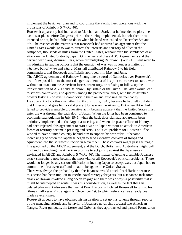implement the basic war plan and to coordinate the Pacific fleet operations with the provisions of Rainbow 5 (WPL 46).

Roosevelt apparently had indicated to Marshall and Stark that he intended to place the basic war plans before Congress prior to their being implemented, but whether he so intended or not, he had failed to do so when his hand was called on December 5th and 6th. The essence of the matter is that Roosevelt had approved an agreement that the United States would go to war to protect the interests and territory of allies in the Antipodes, thousands of miles from the United States, without even the semblance of an attack on the United States by Japan. On the heels of these ABCD agreements and the derived war plans, Admiral Stark, when promulgating Rainbow 5 (WPL 46), sent word to his admirals in leading outposts that the question of war was no longer a matter of *whether*, but of *when* and *where*. Marshall distributed Rainbow 5 to his field commanders, and Roosevelt unofficially approved it in May and June. The ABCD agreement and Rainbow 5 hung like a sword of Damocles over Roosevelt's head. It exposed him to the most dangerous dilemma of his political career: to start a war without an attack on the American forces or territory, or refusing to follow up the implementation of ABCD and Rainbow 5 by Britain or the Dutch. The latter would lead to serious controversy and quarrels among the prospective allies, with the disgruntled powers leaking Roosevelt's complicity in the plan and exposing his mendacity. He apparently took this risk rather lightly until July, 1941, because he had felt confident that Hitler would give him a valid pretext for war on the Atlantic. But when Hitler had failed to provide a suitable provocative act it became apparent that the United States must enter the war through the back door of Japan. When the latter had been consigned to economic strangulation in July 1941, when the back door plan had apparently been definitely implemented at the Argentia meeting, and when the peace efforts of Konoye had been rejected, this agreement to start a war on Japan without an attack on American forces or territory became a pressing and serious political problem for Roosevelt if he wished to have a united country behind him to support his war effort. It became increasingly so when the Japanese began to send extensive convoys of troops and equipment into the southwest Pacific in November. These convoys might pass the magic line specified by the ABCD agreement, and the Dutch, British and Australians might call his hand by invoking the American promise to act jointly against the Japanese as envisaged in ABCD and Rainbow 5 (WPL 46). The matter of getting a suitable Japanese attack somewhere now became the most vital of all Roosevelt's political problems. There would no longer be any serious difficulty in inciting Japan to accept war, but Japan had to commit the "first overt act" and it had to be against the United States. There was always the probability that the Japanese would attack Pearl Harbor because

this action had been implicit in Pacific naval strategy for years, but a Japanese task-force attack at Hawaii involved a long ocean voyage and there was always a possibility that it might be intercepted en route. It was this consideration, as well as the fact that this belated plan might also save the fleet at Pearl Harbor, which led Roosevelt to turn to his "three small vessels" stratagem on December 1st, to which reference has already been made several times.

Roosevelt appears to have obtained his inspiration to set up this scheme through reports of the menacing attitude and behavior of Japanese naval ships toward two American Yangtse River gunboats, the *Luzon* and *Oahu*, as they approached and passed Formosa on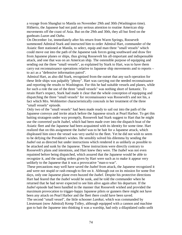a voyage from Shanghai to Manila on November 29th and 30th (Washington time). Hitherto, the Japanese had not paid any serious attention to routine American ship movements off the coast of Asia. But on the 29th and 30th, they all but fired on the gunboats *Luzon* and *Oahu*.

On December 1st, immediately after his return from Warm Springs, Roosevelt summoned Admiral Stark and instructed him to order Admiral Hart, commander of the Asiatic fleet stationed at Manila, to select, equip and man three "small vessels" which could move out into the path of the Japanese task forces going southward and draw fire from Japanese planes or ships, thus giving Roosevelt his all-important and indispensable attack, and one that was on an American ship. The ostensible purpose of equipping and sending out the three "small vessels", as explained by Stark to Hart, was to have them carry out reconnaissance operations relative to Japanese ship movements and to reports – to act as a "defensive information patrol".

Admiral Hart, as also did Stark, recognized from the outset that any such operation for these little ships was palpably "phony". Hart was carrying out the needed reconnaissance and reporting the results to Washington. For this he had suitable vessels and planes, while for such a role the use of the three "small vessels" was nothing short of fantastic. To retain Hart's respect, Stark had made it clear that the whole conception of equipping and dispatching the three "small vessels" for reconnaissance was Roosevelt's and not his, a fact which Mrs. Wohlstetter characteristically conceals in her treatment of the three "small vessels" episode.

Only two of the "small vessels" had been made ready to sail out into the path of the Japanese convoys and invite attack before the Japanese struck at Pearl Harbor. To get this baiting stratagem under way promptly, Roosevelt had Stark suggest to Hart that he might use the converted yacht *Isabel*, which had been made over into the dispatch boat of the Asiatic fleet and the Japanese had been acquainted with its identity for some time. Hart realized that on this assignment the *Isabel* was to be bait for a Japanese attack, which displeased him since the vessel was very useful to the fleet. Yet he did not wish to seem to be defying the President's wishes. He sensibly solved his dilemma by sending the *Isabel* out as directed but under instructions which rendered it as unlikely as possible to be attacked and sunk by the Japanese. These instructions were directly contrary to Roosevelt's plans and intentions, and Hart knew they were. The *Isabel* was not even repainted before being dispatched, which assured that the Japanese would be able to recognize it, and the sailing orders given by Hart were such as to make it appear very unlikely to the Japanese that it was a provocative "man-o-war".

These precautions may well have saved the *Isabel* from attack, the Japanese recognized it and were not stupid or rash enough to fire on it. Although out on its mission for some five days, only one Japanese plane even buzzed the *Isabel*. Despite his protective directions Hart had feared that the *Isabel* would be sunk, and he told the commander when he returned that he had never expected to see him alive again after his departure. If the *Isabel* episode had been handled in the manner that Roosevelt wished and provided the maximum provocation to trigger-happy Japanese pilots or gunners there might not have been any attack on Pearl Harbor and the fleet there could have been saved. The second "small vessel", the little schooner *Lanikai*, which was commanded by

Lieutenant (now Admiral) Kemp Tolley, although equipped with a cannon and machine gun to bait the Japanese into thinking it was a warship, had only a dilapidated radio unfit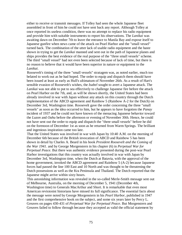either to receive or transmit messages. If Tolley had seen the whole Japanese fleet assembled in front of him he could not have sent back any report. Although Tolley at once reported its useless condition, there was no attempt to replace his radio equipment and provide him with suitable instruments to report his observations. The *Lanikai* was awaiting dawn on December 7th to leave the entrance to Manila Bay and expose itself to Japanese gunfire when news came of the attack on Pearl Harbor and the "small vessel" turned back. The combination of the utter lack of usable radio equipment and the haste shown in trying to get the *Lanikai* manned and sent out in the path of Japanese planes and ships provides the best evidence of the real purpose of the "three small vessels" scheme. The third "small vessel" had not even been selected because of lack of time, but there is no reason to believe that it would have been superior in nature or equipment to the *Lanikai*.

Roosevelt's timing of the three "small vessels" stratagem was, as noted earlier, much too belated to work out as he had hoped. The order to equip and dispatch them should have been issued at least as early as Hull's ultimatum of November 26th. As a result of Hart's sensible evasion of Roosevelt's wishes, the *Isabel* sought to avert a Japanese attack. The *Lanikai* was not able to put to sea effectively to challenge Japanese fire before the attack on Pearl Harbor on the 7th, and, as will be shown shortly, the United States had been already involved in war with Japan without any attack on this country through the Dutch implementation of the ABCD agreement and Rainbow 5 (Rainbow A-2 for the Dutch) on December 3rd, Washington time. Roosevelt gave the order concerning the three "small vessels" as soon as the idea occurred to him, but he appears to have forgotten the *Panay* incident of 1937 and he could not have known of the menacing Japanese behavior toward the *Luzon* and *Oahu* before the afternoon or evening of November 30th. Hence, he could not have sent out the order to equip and dispatch the "three small vessels" before he did on the forenoon of December 1st as soon as he returned from Warm Springs. The brilliant and ingenious inspiration came too late.

That the United States was involved in war with Japan by 10:40 A.M. on the morning of December 6th because of the British invocation of ABCD and Rainbow 5 has been shown in detail by Charles A. Beard in his book *President Roosevelt and the Coming of the War 1941*. and by George Morgenstern in his chapter (6) in *Perpetual War for Perpetual Peace*. But there was authentic evidence presented during the post-war Pearl Harbor investigations that this country was actually involved in war with Japan by December 3rd, Washington time, when the Dutch at Batavia, with the approval of the home government, invoked the ABCD agreement and Rainbow 5 (A-2) because Japanese forces had passed the line 100 East and 10 North and was thought to be threatening the Dutch possessions as well as the Kra Peninsula and Thailand. The Dutch reported that the Japanese might arrive within sixty hours.

This astonishing information was revealed in the so-called Merle-Smith message sent out of Melbourne, Australia, on the morning of December 5, 1941 (December 4th, Washington time) to Generals MacArthur and Short. It is remarkable that even most American revisionist historians have missed its full significance. The essential facts about the message were noted by George Morgenstern in his *Pearl Harbor*, published in 1947 and the first comprehensive book on the subject, and some six years later by Percy L. Greaves on pages 430-431 of *Perpetual War for Perpetual Peace*. But Morgenstern and Greaves failed to follow through because they accepted as valid the official statement by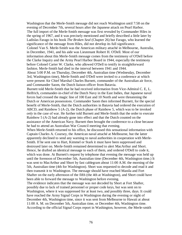Washington that the Merle-Smith message did not reach Washington until 7:58 on the evening of December 7th, several hours after the Japanese attack on Pearl Harbor. The full import of the Merle-Smith message was first revealed by Commander Hiles in the spring of 1967, and it was precisely mentioned and briefly described a little later by Ladislas Farago in his book *The Broken Seal* (Chapter 26) but Farago, who learned the significance of the message from Hiles, did not develop its full significance. Colonel Van S. Merle-Smith was the American military attaché in Melbourne, Australia, in December, 1941, and his aide was Lieutenant Robert H. O'Dell. Most of our information about this Merle-Smith message comes from the testimony of O'Dell before the Clarke Inquiry and the Army Pearl Harbor Board in 1944, especially the testimony

fashion. Merle-Smith had died in the interval between 1941 and 1944. About 5:00 P.M. on Thursday, December 4th, Australian time (Wednesday, December 3rd, Washington time), Merle-Smith and O'Dell were invited to a conference at which were present Air Chief Marshal Charles Burnett, commander of the Australian air force, and Commander Saom, the Dutch liaison officer from Batavia.

before Colonel Carter W. Clarke, who allowed O'Dell to testify in straightforward

Burnett told Merle-Smith that he had received information from Vice-Admiral C. E, L. Helfrich, commander-in-chief of the Dutch Navy in the East Indies, that Japanese naval forces had crossed the magic line of 100 East and 10 North and were threatening the Dutch or American possessions. Commander Saom then informed Burnett, for the special benefit of Merle-Smith, that the Dutch authorities in Batavia had ordered the execution of ABCD, and Rainbow 5 (A-2), the Dutch phase of Rainbow 5, which was to be invoked *only* in the case of war. He further told Burnett and Merle-Smith that the order to execute Rainbow 5 (A-2) had already gone into effect and that the Dutch counted on the assistance of the American Navy. Burnett then brought the conference to a close because he had to attend an Australian War Council meeting that evening.

When Merle-Smith returned to his office, he discussed this sensational information with Captain Charles A. Coursey, the American naval attaché at Melbourne, but the latter apparently declined to send any warning to naval authorities in cooperation with Merle-Smith. If he sent one to Hart, Kimmel or Stark it must have been suppressed and destroyed later on. Merle-Smith remained determined to alert MacArthur and Short. Hence, he drafted an identical message to each of them, and ordered O'Dell to code it, which was done. At Burnett's request by telephone that evening the message was held up until the forenoon of December 5th, Australian time (December 4th, Washington time.) It was sent to MacArthur and Short by fast cablegram about 11:00 A.M. the morning of the 5th, Australian time (4th for Washington). Short was requested to decode and read it and then transmit it to Washington. The message should have reached Manila and Fort Shafter on the early afternoon of the fifth (the 4th at Washington), and Short could have been able to forward the message to Washington before evening.

The evidence indicates that the message was not decoded by Short at Fort Shafter, possibly due to lack of trained personnel or proper code keys, but was sent on to Washington, where it was suppressed for at least two, and possibly three, days. It could have reached the Army Signal Corps in Washington during the evening or night of December 4th, Washington time, since it was sent from Melbourne to Hawaii at about 11:00 A. M. on December 5th, Australian time, or December 4th, Washington time. According to the official Signal Corps report in Washington, however, the Merle-smith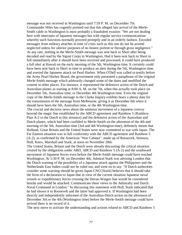message was not received in Washington until 7:59 P. M. on December 7th. Commander Hiles has cogently pointed out that this alleged late arrival of the Merle-Smith cable in Washington is most probably a fraudulent evasion: "We are not dealing here with intercepts of Japanese messages but with regular service communications whereby such functions normally proceed promptly and in an orderly fashion. Encoded messages from military attaches in time of crisis such as this one do not lie around neglected unless for ulterior purposes of no honest portent or through gross negligence." At any rate, nothing in the Merle-Smith message was sent back to Short after being decoded and read by the Signal Corps in Washington. Had it been sent back to Short in full immediately after it should have been received and processed, it could have produced a full alert at Hawaii on the early morning of the 5th, Washington time. It certainly could have been sent back to Short in time to produce an alert during the 5th, Washington time, and averted the Japanese attack on Pearl Harbor. When O'Dell was called to testify before the Army Pearl Harbor Board, the government only presented a paraphrase of the original Merle-Smith message which arbitrarily changed some of the dates and modified the content in other places. For instance, it represented the defensive action of the Dutch and Australian planes as starting at 8:00 A. M. on the 7th, when this actually took place on December 5th, Australian time, or December 4th Washington time. Even the original copy of the Merle-Smith message in the Clarke Inquiry exhibits bears a phony date for the transmission of the message from Melbourne, giving it as December 6th when it should have been the 5th, Australian time, or the 4th Washington time.

The crucial and decisive news about the ominous movement of a Japanese convoy beyond the magic line established by the ABCD agreement and Rainbow 5 (Rainbow Plan A-2 to the Dutch in this instance) and the defensive action of the Australian and Dutch planes, which had been confided to Merle-Smith on the afternoon of the 4th and morning of the 5th, Australian time (3rd and 4th Washington time), definitely meant that Holland, Great Britain and the United States were now committed to war with Japan. The Far Eastern situation was in full conformity with the ABCD agreement and Rainbow 5 (A-2), as confirmed by the American "War Cabinet", made up of Roosevelt, Stimson, Hull, Knox, Marshall and Stark, at noon on November 28th.

The United States, Britain and the Dutch were already discussing the critical situation created by the obligations under ABD, ABCD and Rainbow 5 (A-2) and the southward movement of Japanese forces even before the Merle-Smith message could have reached Washington. At 5:30 P. M. on December 4th, Admiral Stark was advising London that the Dutch warning of the possibility of a Japanese attack against the Philippines and the Netherlands East Indies could not be ruled out, and went on to say: "If Dutch authorities consider some warning should be given Japan CNO [Stark] believes that it should take the form of a declaration to Japan that in view of the current situation Japanese naval vessels or expeditionary forces crossing the Davao-Waigeo line would be considered hostile and would be attacked. Communicate these views to the Admiralty and Dutch Naval Command in London." In discussing this statement with Hull, Stark indicated that he had shown it to Roosevelt and the latter had approved it. If Washington had been directly and independently informed of the Australian-Dutch action on the afternoon of December 3rd or the 4th (Washington time) before the Merle-Smith message could have arrived there is no record of it.

The next move to activate the understanding and actions related to ABCD and Rainbow 5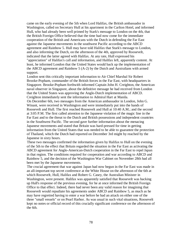came on the early evening of the 5th when Lord Halifax, the British ambassador in Washington, called on Secretary Hull at his apartment in the Carlton Hotel, and informed Hull, who had already been well primed by Stark's message to London on the 4th, that the British Foreign Office believed that the time had now come for the immediate cooperation of the British and Americans with the Dutch in defending the Far East against the Japanese movements in the southwest Pacific according to the ABCD agreement and Rainbow 5. Hull may have told Halifax that Stark's message to London, and also informing the Dutch, on the afternoon of the 4th, approved by Roosevelt, indicated that the latter agreed with Halifax. At any rate, Hull expressed his "appreciation" of Halifax's call and information, and Halifax left, apparently content. At least, he informed London that the United States would back up the implementation of the ABCD agreement and Rainbow 5 (A-2) by the Dutch and Australians with armed support.

London sent this critically important information to Air Chief Marshal Sir Robert Brooke-Popham, commander of the British forces in the Far East, with headquarters in Singapore. Brooke-Popham forthwith informed Captain John H. Creighton, the American naval observer in Singapore, about the definitive message he had received from London that the United States was approving the Anglo-Dutch implementation of ABCD. Creighton immediately sent the information to Admiral Hart at Manila. On December 6th, two messages from the American ambassador in London, John G. Winant, were received in Washington and were immediately put into the hands of Roosevelt and Hull. The first reached Roosevelt and Hull at 10:40 A.M.; and the second at 3:05 P.M. The first called attention to the Japanese violation of the magic line in the Far East and to the threat to the Dutch and British possessions and independent countries in the Southwest Pacific. The second gave further information about the menacing Japanese movements and stated that Britain was hard-pressed for time in getting information from the United States that was needed to be able to guarantee the protection of Thailand, which the Dutch had reported on December 3rd might by reached by the Japanese in sixty hours.

These two messages confirmed the information given by Halifax to Hull on the evening of the 5th to the effect that Britain regarded the situation in the Far East as activating the ABCD agreement for Anglo-American-Dutch cooperation in the Far East to repel Japan in that region. The conditions required for cooperation and war according to ABCD and Rainbow 5, and the decision of the Washington War Cabinet on November 28th had all been met by the Japanese movements.

The crucial agreement that war against Japan had now begun in the Far East was made in an all-important top secret conference at the White House on the afternoon of the 6th at which Roosevelt, Hull, Halifax and Robert G. Casey, the Australian Minister in Washington, were present. Halifax was apparently satisfied that Roosevelt was backing up Hull's response of the previous evening, for he at once informed the British Foreign Office to that effect. Indeed, there had never been any valid reason for imagining that Roosevelt would repudiate his agreements under ABCD and Rainbow 5, as much as he may have regretted having to enter a war before he had an attack on either one of the three "small vessels" or on Pearl Harbor. As was usual in such vital situations, Roosevelt kept no notes or official record of this crucially significant conference on the afternoon of the 6th.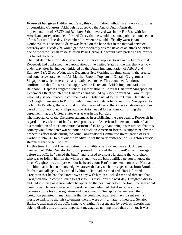Roosevelt had given Halifax and Casey this confirmation without in any way informing or consulting Congress. Although he approved the Anglo-Dutch-Australian implementation of ABCD and Rainbow 5 that involved war in the Far East with full American participation, he informed Casey that he would postpone public announcement of this fact until Tuesday, December 9th, when he would officially warn Japan. Doubtless, this decision to delay was based on the hope that in the interval between Saturday and Tuesday he would get the desperately desired news of an attack on either one of the three "small vessels" or on Pearl Harbor. He would have preferred the former but he got the latter.

The first definite information given to an American representative in the Far East that Roosevelt had confirmed the participation of the United States in the war that was now under way after having been initiated by the Dutch implementation of ABCD and Rainbow 5 (A-2) on Wednesday, December 3rd, Washington time, came in the precise and conclusive statement of Air Marshal Brooke-Popham to Captain Creighton at Singapore to which reference has already been made. This contained London's confirmation that Roosevelt had approved the Dutch and British implementation of Rainbow 5. Captain Creighton sent this information to Admiral Hart from Singapore on December 6th, at which time Hart was being visited by Vice-Admiral Sir Tom Phillips, who had just been placed in command of all British naval forces in China. Hart showed the Creighton message to Phillips, who immediately departed to return to Singapore. As he left Hart's office, the latter told him that he would send the American destroyers then based on Borneo to aid Phillips and the British naval forces, thus confirming the agreement that the United States was at war in the Far East.

The importance of the Creighton statement, in establishing the case against Roosevelt in regard to the violation of his "sacred" promises to "American fathers and mothers" and his repudiation of the Democratic platform of 1940 by abandoning his assurance that this country would not enter war without an attack on American forces, is emphasized by the desperate effort made during the Joint Congressional Committee Investigation of Pearl Harbor in 1945-46 to blot out the validity, if not the very existence, of Creighton's crucial statement that he sent to Hart.

By this time Admiral Hart had retired from military service and was a U. S. Senator from Connecticut. When Senator Ferguson pressed him about the Brooke-Popham message before the JCC, he "passed the buck" and refused to discuss it, stating that Creighton, who was to follow him on the witness-stand, was the best qualified person to know the facts. Creighton was not present but he heard about Hart's statement, contacted Hart, and told him that he had no knowledge whatever that any such message as that from Brooke-Popham and allegedly forwarded by him to Hart had ever existed. Hart informed Creighton that he had the latter's own copy with him in a locked case and directed that Creighton should come at once to get it for his testimony the next day. Creighton did so and had it in his possession when he appeared the next day before the Joint Congressional Committee. He was compelled to produce it and admitted that it must be authentic because it bore his code signature and was signed in Singapore. When, even then, Creighton persisted in maintaining that he could not recall ever having sent such a message and, if he did, his statements therein were only a matter of hearsay, Senator Barkley, chairman of the JCC, came to Creighton's rescue and by devious rhetoric was able to dismiss this critically important message as nothing more than a rumor. It was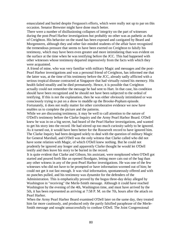emasculated and buried despite Ferguson's efforts, which were really not up to par on this occasion. Senator Brewster might have done much better.

There were a number of disillusioning collapses of integrity on the part of witnesses during the post-Pearl Harbor investigations but probably no other was as pathetic as that of Creighton. His behavior on the stand has been exposed and castigated by Beard and Morgenstern, although they and other fair-minded students of the affair have recognized the tremendous pressure that seems to have been exerted on Creighton to falsify his testimony, which may have been even greater and more intimidating than was evident on the surface at the time when he was testifying before the JCC. This had happened with other witnesses whose testimony departed impressively from the facts with which they were acquainted.

A friend of mine, who was very familiar with military Magic and messages and the post-Pearl Harbor investigations and was a personal friend of Creighton, has informed me that the latter was, at the time of his testimony before the JCC, already sadly afflicted with a serious tropical disease contracted at Singapore that had virtually ruined his memory. His health failed steadily and he died prematurely. Hence, it is possible that Creighton actually could not remember the message he had sent to Hart. In that case, his condition should have been recognized and he should not have been subjected to the ordeal of testifying. If this is not the explanation, then he was either obviously intimidated or was consciously trying to put on a show to muddle up the Brooke-Popham episode. Fortunately, it does not really matter for other corroborative evidence we now have enables us to complete the picture and the patterns.

While we are discussing testimony, it may be well to call attention to the nature of O'Dell's testimony before the Clarke Inquiry and the Army Pearl Harbor Board. O'Dell knew he was in on a big secret, had heard of the Pearl Harbor investigations, and wanted to get his story into the record. He had stirred up too much curiosity safely to be ignored. As it turned out, it would have been better for the Roosevelt record to have ignored him. The Clarke Inquiry had been designed solely to deal with the question of military Magic for General Marshall, and O'Dell was the only witness that Clarke called who did not have some relation with Magic, of which O'Dell knew nothing. But he could not prudently be ignored any longer and apparently Clarke thought he would let O'Dell testify and then leave his story to be buried in the record.

It is quite evident that Clarke and Gibson, his assistant, were nonplussed when O'Dell got started and poured forth like an opened floodgate, letting more cats out of the bag than any other witness in any of the post-Pearl Harbor investigations. He was one of the few witnesses who did not have to be prompted or have information wormed out of him; he could not get it out fast enough. It was vital information, spontaneously offered and with no punches pulled, and his testimony was dynamite for the defenders of the

Administration. This is emphatically proved by the bogus three-day delay alleged by Washington in "receiving" the Merle-Smith message. Although it could have reached Washington by the evening of the 4th, Washington time, and must have arrived by the 5th, it has been represented as arriving at 7:58 P. M. on the 7th, hours after the attack on Pearl Harbor.

When the Army Pearl Harbor Board examined O'Dell later on the same day, they treated him far more cautiously, and produced only the partly falsified paraphrase of the Merle-Smith message and sought unsuccessfully to confuse O'Dell. The Joint Congressional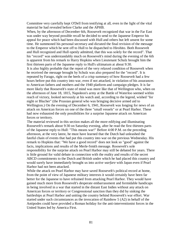Committee very carefully kept O'Dell from testifying at all, even in the light of the vital material he had revealed before Clarke and the APHB.

When, by the afternoon of December 6th, Roosevelt recognized that war in the Far East was under way beyond possible recall he decided to send to the Japanese Emperor his appeal for peace which had been discussed with Hull and others but left unsent for some time. He summoned his personal secretary and dictated the final revision of the message to the Emperor which he sent off to Hull to be dispatched to Hirohito. Both Roosevelt and Hull recognized and Hull openly admitted, that this was solely for the record". That his "record" was understandably much on Roosevelt's mind during the evening of the 6th is apparent from his remark to Harry Hopkins when Lieutenant Schulz brought him the first thirteen parts of the Japanese reply to Hull's ultimatum at about 9:30. It is also highly probable that the report of the very relaxed condition of Roosevelt when

he received the message brought by Schulz was also prepared for the "record". It is repeated by Farago, right on the heels of a crisp summary of how Roosevelt had a few hours before put this country into war, even if not attacked, in violation of his assurances to American fathers and mothers and the 1940 platform and campaign pledges. It is far more likely that Roosevelt's state of mind was more like that of Wellington who, when on the afternoon of June 18, 1815, Napoleon's army at the Battle of Waterloo seemed within reach of victory, looked nervously at his watch and, according to the legend, wished "for night or Blucher" (the Prussian general who was bringing decisive armed aid to Wellington.) On the evening of December 6, 1941, Roosevelt was longing for news of an attack on American forces on one of the three "small vessels" or at Pearl Harbor. These had now exhausted the only possibilities for a surprise Japanese attack on American forces or territory.

The material reviewed in this section makes all the more edifying and illuminating Roosevelt's remark about 9:30 on Saturday evening, after he read the first thirteen parts of the Japanese reply to Hull: "This means war!" Before 4:00 P.M. on the preceding afternoon, at the very latest, he must have learned that the Dutch had unleashed the fateful chain of events that had put this country into war on the previous Wednesday. His remark to Hopkins that: "We have a good record" does not look so "good" against the facts, implications and results of the Merle-Smith message. Roosevelt's sole responsibility for the surprise attack on Pearl Harbor may still be debated for years. There is little ground for valid debate in connection with the reality and results of the secret ABCD commitments to the Dutch and British under which he had placed this country and would surely have immediately brought us into *active warfare* with Japan even if Pearl Harbor had not been attacked.

While the attack on Pearl Harbor may have saved Roosevelt's political record at home, from the point of view of Japanese military interests it would certainly have been far better for the Japanese to have refrained from attacking Pearl Harbor. They would have gained much more from Roosevelt's desperate embarrassment and formidable handicaps in being involved in a war that started in the distant East Indies without any attack on American forces or territory or Congressional sanction than they did by sinking the battleships at Pearl Harbor and uniting the country behind Roosevelt's war effort. War started under such circumstances as the invocation of Rainbow 5 (A2) in behalf of the Antipodes could have provided a Roman holiday for the anti-interventionist forces in the United States led by America First.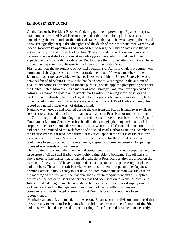## **IX. ROOSEVELT LUCK!**

On the face of it, President Roosevelt's daring gamble in providing a Japanese surprise attack on an unwarned Pearl Harbor appeared at the time to be a glorious success. Considering the magnitude of the political stakes in the game he was playing, the loss of a few strategically antique dreadnaughts and the death of three thousand men were trivial, indeed. Roosevelt's operations had enabled him to bring the United States into the war with a country strongly united behind him. That it turned out in this manner was only because of several strokes of almost incredibly good luck which could hardly been expected and which he did not deserve. But for these the surprise attack might well have proved the major military disaster in the history of the United States.

First of all, was the personality, policy and operations of Admiral Chuichi Nagumo, who commanded the Japanese task force that made the attack. He was a member of the Japanese moderate party which wished to keep peace with the United States. He was a personal friend of Saburo Kurusu who had been sent to Washington in the autumn of 1941 to aid Ambassador Nomura for this purpose, and he opposed precipitating war with the United States. Moreover, as a matter of naval strategy, Nagumo never approved of Admiral Yamamoto's bold plan to attack Pearl Harbor, believing it far too risky and likely to end in disaster. Nevertheless, due to the rigorous Japanese seniority rule, he had to be placed in command of the task force assigned to attack Pearl Harbor although his record as a naval officer was not distinguished.

Nagumo was nervous and worried during the trip from the Kurile Islands to Hawaii. As soon as the successful attacks of the Japanese planes on Pearl Harbor on the morning of the 7th was reported to him, Nagumo ordered the task force to head back toward Japan. If Commander Minoru Genda, who had handled the strategic planning and details of the surprise attack, or Commander Mitsuo Fuchida, who directed the actual attack on the 7th, had been in command of the task force and attacked Pearl Harbor again on December 8th, the Pacific War might have been turned in favor of Japan in the course of the next few days, or even few hours. As the most favorable outcome for the United States, victory could have been postponed for several years, at great additional expense and appalling losses of war vessels and manpower.

The machine shops and other mechanical equipment, the army and navy supplies, and the large store of oil at Pearl Harbor were highly vulnerable to bombing. The oil was still above ground. The planes that remained available at Pearl Harbor after the attack on the morning of the 7th could have put up no decisive resistance to Japanese fighter planes and bombers. The anti-aircraft batteries were not sufficient to repel another Japanese bombing attack, although they might have inflicted more damage than was the case on the morning of the 7th. With the machine shops, military equipment and oil supplies destroyed, the heavy cruisers and carriers that had been sent on to Wake, Midway and Johnston Islands might have been rendered helpless as soon as their oil supply ran out and been captured by the Japanese unless they had been scuttled by their own commanders. The damaged or sunk ships at Pearl Harbor could not have been reconditioned.

Admiral Yamaguchi, commander of the second Japanese carrier division, announced that he was ready to send out fresh planes for a third attack even on the afternoon of the 7th, and those which had been used on the morning of the 7th could have been made ready for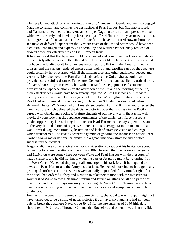a better planned attack on the morning of the 8th. Yamaguchi, Genda and Fuchida begged Nagumo to remain and continue the destruction at Pearl Harbor, but Nagumo refused, and Yamamoto declined to intervene and compel Nagumo to remain and press the attack, which would surely and inevitably have destroyed Pearl Harbor for a year or two, at least, as our great Pacific naval base in the mid-Pacific. To have recaptured Hawaii from the Japanese or defeated Japan from the Western coast of the United States would have been a colossal, prolonged and expensive undertaking and would have seriously reduced or slowed down our effectiveness on the European front.

It has been said that the Japanese could have landed and taken over the Hawaiian Islands immediately after attacks on the 7th and 8th. This is not likely because the task force did not have any landing craft for an extensive occupation. But with the American heavy cruisers and the carriers rendered useless after their oil and gasoline ran out, the Japanese could certainly have returned with all the landing craft and other equipment needed and very possibly taken over the Hawaiian Islands before the United States could have provided successful resistance. To be sure, General Short had an excellently trained army of over 30,000 troops in Hawaii, but with their facilities, equipment end armament devastated by Japanese attacks on the afternoon of the 7th and the morning of the 8th, their effectiveness would have been greatly impaired. All of these possibilities were clearly foreseen in a panicky message sent by the top Washington military brass to the Pearl Harbor command on the morning of December 9th which is described below. Admiral Chester W. Nimitz, who ultimately succeeded Admiral Kimmel and directed the naval warfare which delivered the decisive victories over the Japanese in the Pacific, agreed with Genda and Fuchida: "Future students of our naval war in the Pacific will inevitably conclude that the Japanese commander of the carrier task force missed a golden opportunity in restricting his attack on Pearl Harbor to one day's operations, and in the very limited choice of objectives." Hence, it is no exaggeration to maintain that it was Admiral Nagumo's timidity, hesitation and lack of strategic vision and courage which transformed Roosevelt's desperate gamble of goading the Japanese to attack Pearl Harbor from a major national calamity into a great American strategic and political success for the moment.

Nagumo did have some relatively minor considerations to support his hesitation about remaining to renew the attack on the 7th and 8th. He knew that the carriers *Enterprise* and *Lexington* were somewhere between Wake and Pearl Harbor with their escorts of heavy cruisers, and he did not know when the carrier *Saratoga* might be returning from the West Coast. He feared they might all converge on his task force if he lingered to devastate Pearl Harbor and the Army installations. He needed more fuel to indulge in any prolonged further action. His worries were actually unjustified, for Kimmel, right after the attack, had ordered Halsey and Newton to take their station with the two carriers southeast of Wake to await Nagumo's return and launch an attack on all or a part of his task force, and the *Saratoga* was only just leaving the West Coast. Nagumo would have been safe in remaining until he destroyed the installations and equipment at Pearl Harbor on the 8th.

Even with the benefit of Nagumo's stubborn timidity, the naval war with Japan might not have turned out to be a string of naval victories if our naval cryptanalysts had not been able to break the Japanese Naval Code JN-25 for the late summer of 1940 [this date should read 1942—ed.]. Through Commander Rochefort and others it was then possible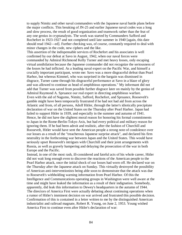to supply Nimitz and other naval commanders with the Japanese naval battle plans before the major conflicts. This breaking of JN-25 and earlier Japanese naval codes was a long and slow process, the result of good organization and teamwork rather than the feat of any one genius in cryptanalysts. The work was started by Commanders Safford and Rochefort in 1923-1927 and not completed until late summer in 1940 [again, this date should read 1942—ed]. Further checking was, of course, constantly required to deal with minor changes in the code, new ciphers and the like.

This assertion of the indispensable services of Rochefort and his associates is well confirmed by our defeat at Savo in August, 1942, when our naval forces were commanded by Admiral Richmond Kelly Turner and met heavy losses, only escaping virtual annihilation because the Japanese commander did not recognize the seriousness of the losses he had inflicted. As a leading naval expert on the Pacific War, and himself a crucially important participant, wrote me: Savo was a more disgraceful defeat than Pearl Harbor, but whereas Kimmel, who was surprised in the bargain was dismissed in disgrace, Turner came through his disgraceful performance at Savo in a blaze of glory and was allowed to continue as head of amphibious operations." My informant did not add that Turner was saved from possible further disgrace later on mainly by the genius of Admiral Raymond A. Spruance our real expert in directing amphibious warfare. Even with the aid of Nagumo, Nimitz, Safford, Rochefort, and Spruance, Roosevelt's gamble might have been temporarily frustrated if he had not had aid from across the Atlantic and from, of all persons, Adolf Hitler, through the latter's idiotically precipitate declaration of war on the United States on the Thursday after Pearl Harbor. Japan had failed to support Hitler in 1939, and especially in the summer and autumn of 1941. Hence, he did not have the slightest moral reason for honoring his formal commitments to Japan in the Rome-Berlin-Tokyo Axis, but had every political and military reason for ignoring them. If he had been adroit and realistic, after the fashion of Churchill and Roosevelt, Hitler would have sent the American people a strong note of condolence over our losses as a result of the "treacherous Japanese surprise attack", and declared his firm neutrality in the forthcoming war between Japan and the United States. This would have seriously upset Roosevelt's intrigues with Churchill and their joint arrangements with Russia, as well as gravely hampering and delaying the prosecution of the war in both Europe and the Pacific.

Instead, in one of the most rash, ill-considered and fateful acts of his whole career, Hitler did not wait long enough even to discover the reactions of the American people to the Pearl Harbor attack, once the initial shock of our losses had worn off. He declared war on the Thursday after the Japanese attack on Sunday. This virtually destroyed the possibility of American anti-interventionists being able soon to demonstrate that the attack was due to Roosevelt's withholding warning information from Pearl Harbor. Of this the Intelligence and Communications operating groups in Washington were well aware at the time and might have leaked the information as a result of their indignation. Somebody, apparently, did leak this information to Dewey's headquarters in the autumn of 1944. The directors of America First were actually debating about continuing operations when a rumor of Hitler's imminent decision on war arrived and frustrated this possible decision. Confirmation of this is contained in a letter written to me by the distinguished American industrialist and railroad magnate, Robert R. Young, on June 2, 1953. Young wished America First to continue even after Hitler's declaration of war: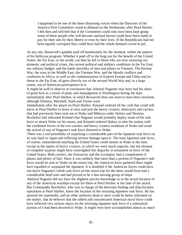I happened to be one of the three dissenting voices when the Directors of the America First Committee voted to disband on the Wednesday after Pearl Harbor. I felt then and still feel that if the Committee could only have been kept going some of these people who will become national heroes could have been made to pay for their sins by their liberty or even by their lives. If the Republicans had not been equally corrupted they could have had the whole damned crowd in jail.

At any rate, Roosevelt's gamble paid off handsomely for the moment, within the pattern of his bellicose program. Whether it paid off in the long run for the benefit of the United States, the Far East, or the world, can best be left to those who are now assessing our domestic and political crises, the current political and military conditions in the Far East, our military budget, and the battle mortality of men and planes in Vietnam. The Korean War, the wars in the Middle East, the Vietnam War, and the bloody conflicts and confusion in Africa, as well as the communization of Eastern Europe and China and its threat to the Far East, all grew directly our of the second World War and, to a large extent, out of American participation in it.

It might be well to observe in conclusion that Admiral Nagumo may have had his share of good luck as a result of panic and misjudgment at Washington during the days immediately after Pearl Harbor, in which Roosevelt does not seem to have been involved, although Stimson, Marshall, Stark and Turner were.

Immediately after the attack on Pearl Harbor, Kimmel ordered all the craft that could still move at Pearl Harbor to leave at once and join the heavy cruisers, destroyers and carriers that had previously been sent out to Wake and Midway under Halsey and Newton. Rochefort had informed Kimmel that Nagumo would probably deploy some of his task force to attack Wake on his return, and Kimmel ordered Halsey to take his station with the combined forces of the two carriers and heavy cruisers southeast of Wake and await the arrival of any of Nagumo's task force diverted to Wake.

There was a real possibility of surprising a considerable part of the Japanese task force on its way back to Japan and inflicting serious damage upon it. The total Japanese task force, of course, outnumbered anything the United States could muster at Wake at the time, except in the matter of heavy cruisers, in which we were much superior, but the element of complete surprise might have outweighed this disparity in armament in favor of the United States. Both carriers, the *Enterprise* and the *Lexington*, had a complement of planes and plenty of fuel. Since it was unlikely that more than a portion of Nagumo's task force would be sent to Wake on the return trip, the American force gathered there might have equalled or surpassed the Japanese. It is doubtful if the American forces could have run down Nagumo's whole task force on the return trip for the latter would have had a considerable head start and had proved to be a fast-moving group of ships.

Admiral Nagumo did not have the slightest precise knowledge as to the actual location of any of the American warships except for those at Pearl Harbor at the time of the attack. But Commander Rochefort, who was in charge of the direction-finding and ship-location operations at Pearl Harbor, knew the location of the returning Japanese task force. He has assured me repeatedly, and no other authority dead or alive could be better informed on the matter, that he believes that the rallied and concentrated American naval force could have inflicted very serious injury on the returning Japanese task force if a substantial portion of it had been diverted to Wake. It might even have accomplished almost as much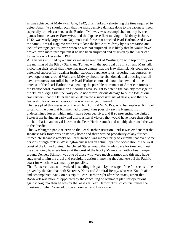as was achieved at Midway in June, 1942, thus markedly shortening the time required to defeat Japan. We should recall that the most decisive damage done to the Japanese fleet, especially to their carriers, at the Battle of Midway was accomplished mainly by the planes from the carrier *Enterprise*, and the Japanese fleet moving on Midway in June, 1942, was vastly larger than Nagumo's task force that attacked Pearl Harbor. And it was the same Admiral Nagumo who was to lose the battle at Midway by his hesitation and lack of strategic genius, even when he was not surprised. It is likely that he would have proved even more incompetent if he had been surprised and attacked by the American forces in early December, 1941.

All this was nullified by a panicky message sent out of Washington with top priority on the morning of the 9th by Stark and Turner, with the approval of Stimson and Marshall, indicating their belief that there was grave danger that the Hawaiian Islands could not be defended successfully against further expected Japanese raids, ordering that aggressive naval operations around Wake and Midway should be abandoned, and directing that all naval resources controlled by the Pearl Harbor command should be devoted to the defense of the Pearl Harbor area, pending the possible retirement of American forces to the Pacific coast. Washington authorities have sought to defend the panicky message of the 9th by alleging that the Navy could not afford serious damage to or the loss of our two carriers, that the latter had never delivered a successful naval attack, and that the leadership for a carrier operation in war was as yet untested.

The receipt of this message on the 9th led Admiral W. S. Pye, who had replaced Kimmel, to call off the plan that Kimmel had ordered, thus possibly saving Nagumo from undetermined losses, which might have been decisive, and if so preventing the United States from having an early and glorious naval victory that would have more than offset the humiliation and naval losses in the Pearl Harbor attack and notably shortened the war in the Pacific.

This Washington panic relative to the Pearl Harbor situation, until it was evident that the Japanese task force was on its way home and there was no probability of any further immediate Japanese attacks on Pearl Harbor, was momentarily so extreme that even some persons of high rank in Washington envisaged an actual Japanese occupation of the west coast of the United States. The United States would then trade space for time and meet the advancing Japanese forces at the crest of the Rocky Mountains, with a final rampart around Denver. Stimson was one of those who were much alarmed and this may have suggested to him the cruel and precipitate action in moving the Japanese off the Pacific coast for which he was mainly responsible.

That Roosevelt was not involved in sending this panicky message of the 9th seems to be proved by the fact that both Secretary Knox and Admiral Beatty, who was Knox's aide and accompanied Knox on his trip to Pearl Harbor right after the attack, assert that Roosevelt was more disappointed by the cancelling of Kimmel's plan for operations against Nagumo than he was by the losses at Pearl Harbor. This, of course, raises the question of why Roosevelt did not countermand Pye's order.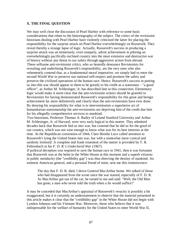## **X. THE FINAL QUESTION**

We may well close the discussion of Pearl Harbor with reference to some basic considerations that relate to the historiography of the subject. The critics of the revisionist historians dealing with Pearl Harbor have violently criticized the latter for placing the responsibility for the surprise attack on Pearl Harbor overwhelmingly on Roosevelt, They reveal thereby a strange lapse of logic. Actually, Roosevelt's success in producing a surprise attack was an immensely, even uniquely, adroit achievement in piloting an overwhelmingly pacifically-inclined country into the most extensive and destructive war of history without any threat to our safety through aggressive action from abroad. These selfsame anti-revisionist critics, who so heatedly denounce Revisionists for revealing and underlining Roosevelt's responsibility, are the very ones who also vehemently contend that, as a fundamental moral imperative, we simply had to enter the second World War to preserve our national self-respect and promote the safety and preserve the civilized operations of the human race. Hence, Roosevelt's success in putting us into this war should appear to them to be greatly to his credit as a statesman – "a good officer", as Arthur M. Schlesinger, Jr. has described him in this connection. Elementary logic would make it seem clear that the anti-revisionist writers should be grateful to Revisionists for having demonstrated Roosevelt's responsibility for this great and benign achievement far more definitively and clearly than the anti-revisionists have ever done. By denying his responsibility for what is to interventionists a superlative act of humanitarian statesmanship the anti-revisionists are depriving him of the credit due him for his allegedly comprehensive services to mankind.

Two historians, Professor Thomas A. Bailey of Leland Stanford University and Arthur M. Schlesinger, Jr. of Harvard, were very early logical in this matter. They admitted decades back that Roosevelt lied us into war, but contend that he did so for the good of our country, which was not wise enough to know what was for its best interests at the time. At the Republican convention of 1944, Clare Boothe Luce called attention to Roosevelt's lying the United States into war, but with a somewhat more cynical and sardonic *leitmotif*. A complete and frank treatment of the matter is provided by T. R. Fehrenbach in his *F. D. R.'s Undeclared War* (1967).

If political deception was required to save the human race in 1941, then it was fortunate that Roosevelt was at the helm in the White House at this moment and a superb virtuoso in public mendacity (the "credibility gap") was thus directing the destiny of mankind. An eminent American general, and a personal friend of mine, sent me this reminiscence:

The day that F. D. R. died, I drove General MacArthur home. We talked of those who had disappeared from the scene since the war started, especially of F. D. R. As MacArthur got out of the car, he turned to me and said: "Well, the Old Man has gone; a man who never told the truth when a lie would suffice!"

It may be conceded that MacArthur's appraisal of Roosevelt's veracity is possibly a bit exaggerated, but it is certainly an understatement to observe that the material presented in this article makes it clear that the "credibility gap" in the White House did not begin with Lyndon Johnson and his Vietnam War. Moreover, those who believe that it was indispensable for the welfare of humanity for the United States to enter World War II,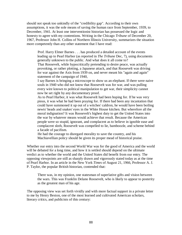should not speak too unkindly of the "credibility gap". According to their own assumptions, it was the sole means of saving the human race from September, 1939, to December, 1941. At least one interventionist historian has possessed the logic and honesty to agree with my contentions. Writing in the Chicago *Tribune* of December 20, 1967, Professor John H. Collins of Northern Illinois University, summarizes the situation more competently than any other statement that I have read:

Prof. Harry Elmer Barnes . . . has produced a detailed account of the events leading up to Pearl Harbor (as reported in *The Tribune* Dec, 7), using documents generally unknown to the public. And what does it all come to? That Roosevelt, while hypocritically pretending to desire peace, was actually provoking, or rather plotting, a Japanese attack, and that Roosevelt was driving for war against the Axis from 1939 on, and never meant his "again and again" statement of the campaign of 1940,

I say Barnes is bringing a microscope to show us an elephant. If there were naive souls in 1940 who did not know that Roosevelt was for war, and was pulling every wire known to political manipulation to get war, their simplicity cannot now be set right by any documentary proof.

As to Pearl Harbor, it was what Roosevelt had been hoping for. If he was very pious, it was what he had been praying for. If there had been any incantation that could have summoned it up out of a witches' caldron, he would have been boiling newts' heads and snakes' eyes in the White House kitchen. But wherefore all the moral indignation? It was Roosevelt's highest duty to get the United States into the war by whatever means would achieve that result. Because the American people were so stupid, ignorant, and complacent as to believe in ignoble ease and complacent sloth, Roosevelt was compelled to lie, bamboozle, and scheme behind a facade of pacifism.

He had the courage to disregard morality to save the country, and his Machiavellian policy should be given its proper mead of historical praise.

Whether our entry into the second World War was for the good of America and the world will be debated for a long time, and how it is settled should depend on the ultimate verdict as to whether the world and the United States did benefit from our entry. The opposing viewpoints are still as sharply drawn and vigorously stated today as at the time of Pearl Harbor. In an article in the New York *Times* of August 21, 1966, Professor A. J. P. Taylor, the popular British historian, contended that:

There was, in my opinion, one statesman of superlative gifts and vision between the wars. This was Franklin Delano Roosevelt, who is likely to appear to posterity as the greatest man of his age.

The opposing view was set forth vividly and with more factual support in a private letter to me by Henry Beston, one of the most learned and cultivated American scholars, literary critics, and publicists of this century: